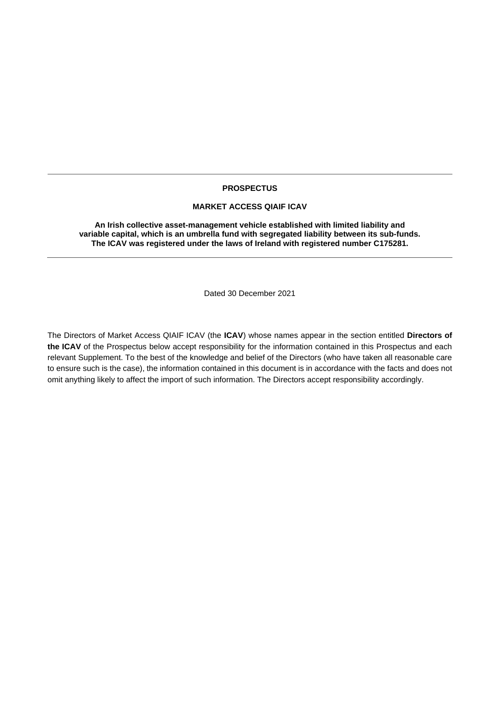## **PROSPECTUS**

### **MARKET ACCESS QIAIF ICAV**

**An Irish collective asset-management vehicle established with limited liability and variable capital, which is an umbrella fund with segregated liability between its sub-funds. The ICAV was registered under the laws of Ireland with registered number C175281.**

Dated 30 December 2021

The Directors of Market Access QIAIF ICAV (the **ICAV**) whose names appear in the section entitled **Directors of the ICAV** of the Prospectus below accept responsibility for the information contained in this Prospectus and each relevant Supplement. To the best of the knowledge and belief of the Directors (who have taken all reasonable care to ensure such is the case), the information contained in this document is in accordance with the facts and does not omit anything likely to affect the import of such information. The Directors accept responsibility accordingly.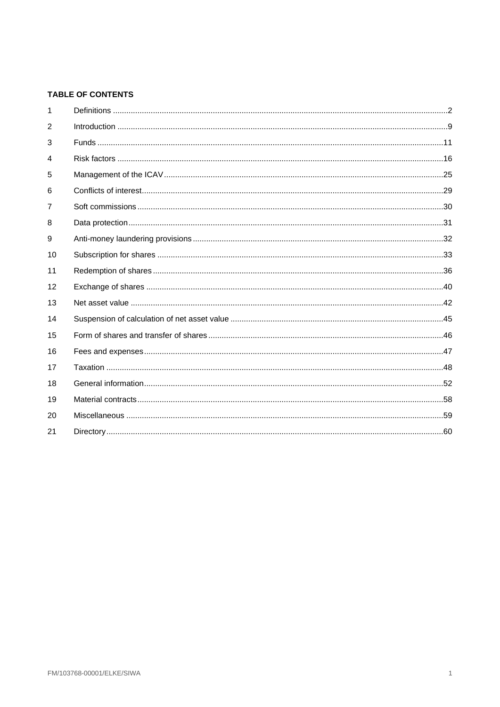# TABLE OF CONTENTS

| 1              |  |
|----------------|--|
| $\overline{2}$ |  |
| 3              |  |
| 4              |  |
| 5              |  |
| 6              |  |
| $\overline{7}$ |  |
| 8              |  |
| 9              |  |
| 10             |  |
| 11             |  |
| 12             |  |
| 13             |  |
| 14             |  |
| 15             |  |
| 16             |  |
| 17             |  |
| 18             |  |
| 19             |  |
| 20             |  |
| 21             |  |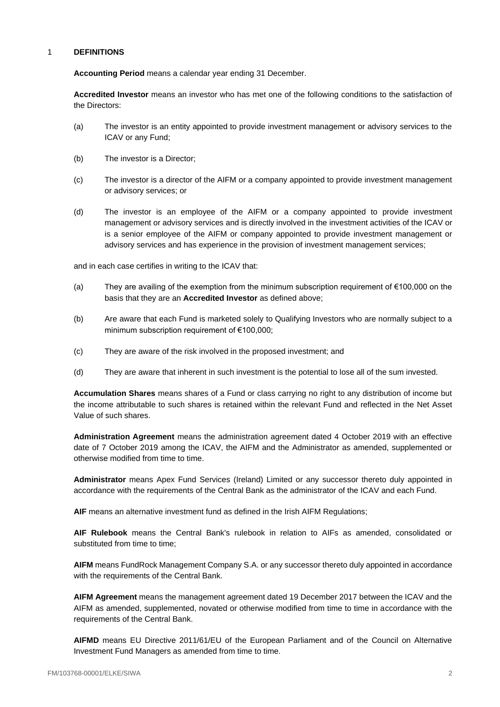## <span id="page-2-0"></span>1 **DEFINITIONS**

**Accounting Period** means a calendar year ending 31 December.

**Accredited Investor** means an investor who has met one of the following conditions to the satisfaction of the Directors:

- (a) The investor is an entity appointed to provide investment management or advisory services to the ICAV or any Fund;
- (b) The investor is a Director;
- (c) The investor is a director of the AIFM or a company appointed to provide investment management or advisory services; or
- (d) The investor is an employee of the AIFM or a company appointed to provide investment management or advisory services and is directly involved in the investment activities of the ICAV or is a senior employee of the AIFM or company appointed to provide investment management or advisory services and has experience in the provision of investment management services;

and in each case certifies in writing to the ICAV that:

- (a) They are availing of the exemption from the minimum subscription requirement of €100,000 on the basis that they are an **Accredited Investor** as defined above;
- (b) Are aware that each Fund is marketed solely to Qualifying Investors who are normally subject to a minimum subscription requirement of €100,000;
- (c) They are aware of the risk involved in the proposed investment; and
- (d) They are aware that inherent in such investment is the potential to lose all of the sum invested.

**Accumulation Shares** means shares of a Fund or class carrying no right to any distribution of income but the income attributable to such shares is retained within the relevant Fund and reflected in the Net Asset Value of such shares.

**Administration Agreement** means the administration agreement dated 4 October 2019 with an effective date of 7 October 2019 among the ICAV, the AIFM and the Administrator as amended, supplemented or otherwise modified from time to time.

**Administrator** means Apex Fund Services (Ireland) Limited or any successor thereto duly appointed in accordance with the requirements of the Central Bank as the administrator of the ICAV and each Fund.

**AIF** means an alternative investment fund as defined in the Irish AIFM Regulations;

**AIF Rulebook** means the Central Bank's rulebook in relation to AIFs as amended, consolidated or substituted from time to time;

**AIFM** means FundRock Management Company S.A. or any successor thereto duly appointed in accordance with the requirements of the Central Bank.

**AIFM Agreement** means the management agreement dated 19 December 2017 between the ICAV and the AIFM as amended, supplemented, novated or otherwise modified from time to time in accordance with the requirements of the Central Bank.

**AIFMD** means EU Directive 2011/61/EU of the European Parliament and of the Council on Alternative Investment Fund Managers as amended from time to time.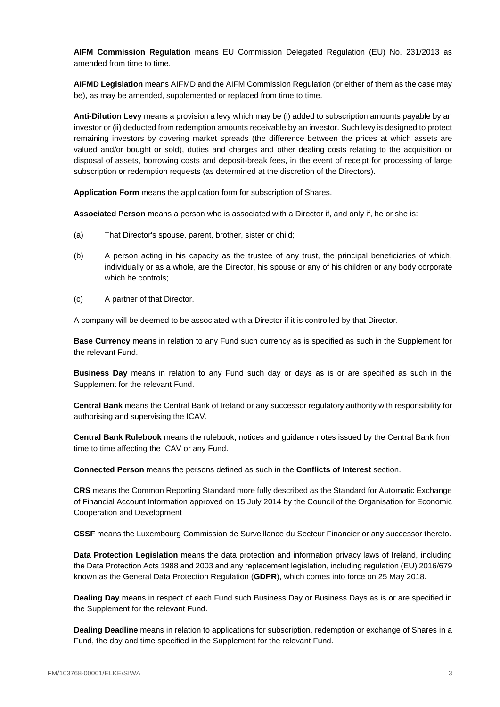**AIFM Commission Regulation** means EU Commission Delegated Regulation (EU) No. 231/2013 as amended from time to time.

**AIFMD Legislation** means AIFMD and the AIFM Commission Regulation (or either of them as the case may be), as may be amended, supplemented or replaced from time to time.

**Anti-Dilution Levy** means a provision a levy which may be (i) added to subscription amounts payable by an investor or (ii) deducted from redemption amounts receivable by an investor. Such levy is designed to protect remaining investors by covering market spreads (the difference between the prices at which assets are valued and/or bought or sold), duties and charges and other dealing costs relating to the acquisition or disposal of assets, borrowing costs and deposit-break fees, in the event of receipt for processing of large subscription or redemption requests (as determined at the discretion of the Directors).

**Application Form** means the application form for subscription of Shares.

**Associated Person** means a person who is associated with a Director if, and only if, he or she is:

- (a) That Director's spouse, parent, brother, sister or child;
- (b) A person acting in his capacity as the trustee of any trust, the principal beneficiaries of which, individually or as a whole, are the Director, his spouse or any of his children or any body corporate which he controls;
- (c) A partner of that Director.

A company will be deemed to be associated with a Director if it is controlled by that Director.

**Base Currency** means in relation to any Fund such currency as is specified as such in the Supplement for the relevant Fund.

**Business Day** means in relation to any Fund such day or days as is or are specified as such in the Supplement for the relevant Fund.

**Central Bank** means the Central Bank of Ireland or any successor regulatory authority with responsibility for authorising and supervising the ICAV.

**Central Bank Rulebook** means the rulebook, notices and guidance notes issued by the Central Bank from time to time affecting the ICAV or any Fund.

**Connected Person** means the persons defined as such in the **Conflicts of Interest** section.

**CRS** means the Common Reporting Standard more fully described as the Standard for Automatic Exchange of Financial Account Information approved on 15 July 2014 by the Council of the Organisation for Economic Cooperation and Development

**CSSF** means the Luxembourg Commission de Surveillance du Secteur Financier or any successor thereto.

**Data Protection Legislation** means the data protection and information privacy laws of Ireland, including the Data Protection Acts 1988 and 2003 and any replacement legislation, including regulation (EU) 2016/679 known as the General Data Protection Regulation (**GDPR**), which comes into force on 25 May 2018.

**Dealing Day** means in respect of each Fund such Business Day or Business Days as is or are specified in the Supplement for the relevant Fund.

**Dealing Deadline** means in relation to applications for subscription, redemption or exchange of Shares in a Fund, the day and time specified in the Supplement for the relevant Fund.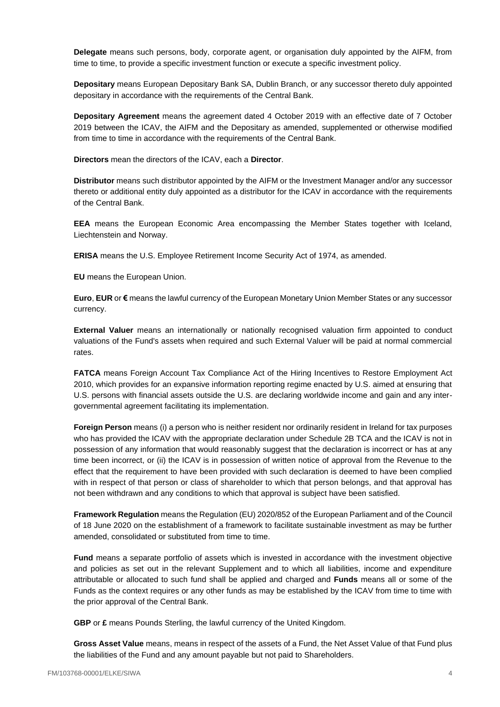**Delegate** means such persons, body, corporate agent, or organisation duly appointed by the AIFM, from time to time, to provide a specific investment function or execute a specific investment policy.

**Depositary** means European Depositary Bank SA, Dublin Branch, or any successor thereto duly appointed depositary in accordance with the requirements of the Central Bank.

**Depositary Agreement** means the agreement dated 4 October 2019 with an effective date of 7 October 2019 between the ICAV, the AIFM and the Depositary as amended, supplemented or otherwise modified from time to time in accordance with the requirements of the Central Bank.

**Directors** mean the directors of the ICAV, each a **Director**.

**Distributor** means such distributor appointed by the AIFM or the Investment Manager and/or any successor thereto or additional entity duly appointed as a distributor for the ICAV in accordance with the requirements of the Central Bank.

**EEA** means the European Economic Area encompassing the Member States together with Iceland, Liechtenstein and Norway.

**ERISA** means the U.S. Employee Retirement Income Security Act of 1974, as amended.

**EU** means the European Union.

**Euro**, **EUR** or **€** means the lawful currency of the European Monetary Union Member States or any successor currency.

**External Valuer** means an internationally or nationally recognised valuation firm appointed to conduct valuations of the Fund's assets when required and such External Valuer will be paid at normal commercial rates.

**FATCA** means Foreign Account Tax Compliance Act of the Hiring Incentives to Restore Employment Act 2010, which provides for an expansive information reporting regime enacted by U.S. aimed at ensuring that U.S. persons with financial assets outside the U.S. are declaring worldwide income and gain and any intergovernmental agreement facilitating its implementation.

**Foreign Person** means (i) a person who is neither resident nor ordinarily resident in Ireland for tax purposes who has provided the ICAV with the appropriate declaration under Schedule 2B TCA and the ICAV is not in possession of any information that would reasonably suggest that the declaration is incorrect or has at any time been incorrect, or (ii) the ICAV is in possession of written notice of approval from the Revenue to the effect that the requirement to have been provided with such declaration is deemed to have been complied with in respect of that person or class of shareholder to which that person belongs, and that approval has not been withdrawn and any conditions to which that approval is subject have been satisfied.

**Framework Regulation** means the Regulation (EU) 2020/852 of the European Parliament and of the Council of 18 June 2020 on the establishment of a framework to facilitate sustainable investment as may be further amended, consolidated or substituted from time to time.

**Fund** means a separate portfolio of assets which is invested in accordance with the investment objective and policies as set out in the relevant Supplement and to which all liabilities, income and expenditure attributable or allocated to such fund shall be applied and charged and **Funds** means all or some of the Funds as the context requires or any other funds as may be established by the ICAV from time to time with the prior approval of the Central Bank.

**GBP** or **£** means Pounds Sterling, the lawful currency of the United Kingdom.

**Gross Asset Value** means, means in respect of the assets of a Fund, the Net Asset Value of that Fund plus the liabilities of the Fund and any amount payable but not paid to Shareholders.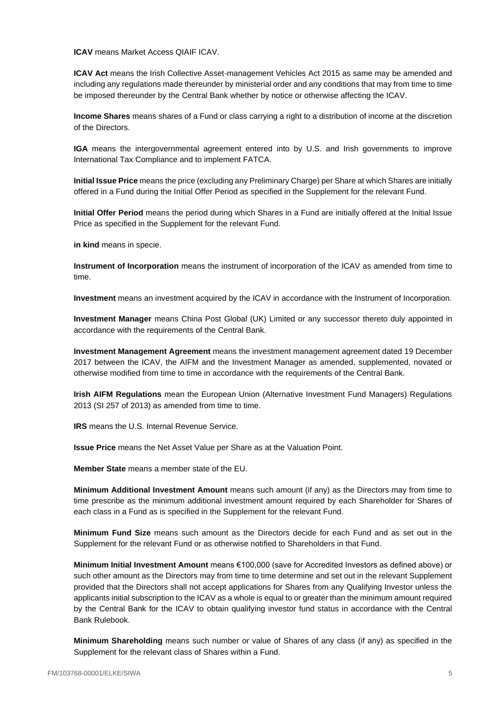**ICAV** means Market Access QIAIF ICAV.

**ICAV Act** means the Irish Collective Asset-management Vehicles Act 2015 as same may be amended and including any regulations made thereunder by ministerial order and any conditions that may from time to time be imposed thereunder by the Central Bank whether by notice or otherwise affecting the ICAV.

**Income Shares** means shares of a Fund or class carrying a right to a distribution of income at the discretion of the Directors.

**IGA** means the intergovernmental agreement entered into by U.S. and Irish governments to improve International Tax Compliance and to implement FATCA.

**Initial Issue Price** means the price (excluding any Preliminary Charge) per Share at which Shares are initially offered in a Fund during the Initial Offer Period as specified in the Supplement for the relevant Fund.

**Initial Offer Period** means the period during which Shares in a Fund are initially offered at the Initial Issue Price as specified in the Supplement for the relevant Fund.

**in kind** means in specie.

**Instrument of Incorporation** means the instrument of incorporation of the ICAV as amended from time to time.

**Investment** means an investment acquired by the ICAV in accordance with the Instrument of Incorporation.

**Investment Manager** means China Post Global (UK) Limited or any successor thereto duly appointed in accordance with the requirements of the Central Bank.

**Investment Management Agreement** means the investment management agreement dated 19 December 2017 between the ICAV, the AIFM and the Investment Manager as amended, supplemented, novated or otherwise modified from time to time in accordance with the requirements of the Central Bank.

**Irish AIFM Regulations** mean the European Union (Alternative Investment Fund Managers) Regulations 2013 (SI 257 of 2013) as amended from time to time.

**IRS** means the U.S. Internal Revenue Service.

**Issue Price** means the Net Asset Value per Share as at the Valuation Point.

**Member State** means a member state of the EU.

**Minimum Additional Investment Amount** means such amount (if any) as the Directors may from time to time prescribe as the minimum additional investment amount required by each Shareholder for Shares of each class in a Fund as is specified in the Supplement for the relevant Fund.

**Minimum Fund Size** means such amount as the Directors decide for each Fund and as set out in the Supplement for the relevant Fund or as otherwise notified to Shareholders in that Fund.

**Minimum Initial Investment Amount** means €100,000 (save for Accredited Investors as defined above) or such other amount as the Directors may from time to time determine and set out in the relevant Supplement provided that the Directors shall not accept applications for Shares from any Qualifying Investor unless the applicants initial subscription to the ICAV as a whole is equal to or greater than the minimum amount required by the Central Bank for the ICAV to obtain qualifying investor fund status in accordance with the Central Bank Rulebook.

**Minimum Shareholding** means such number or value of Shares of any class (if any) as specified in the Supplement for the relevant class of Shares within a Fund.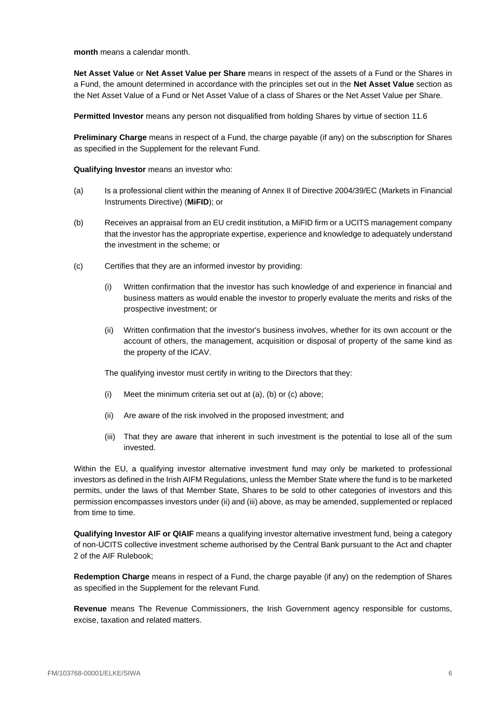**month** means a calendar month.

**Net Asset Value** or **Net Asset Value per Share** means in respect of the assets of a Fund or the Shares in a Fund, the amount determined in accordance with the principles set out in the **Net Asset Value** section as the Net Asset Value of a Fund or Net Asset Value of a class of Shares or the Net Asset Value per Share.

**Permitted Investor** means any person not disqualified from holding Shares by virtue of section [11.6](#page-38-0)

**Preliminary Charge** means in respect of a Fund, the charge payable (if any) on the subscription for Shares as specified in the Supplement for the relevant Fund.

**Qualifying Investor** means an investor who:

- (a) Is a professional client within the meaning of Annex II of Directive 2004/39/EC (Markets in Financial Instruments Directive) (**MiFID**); or
- (b) Receives an appraisal from an EU credit institution, a MiFID firm or a UCITS management company that the investor has the appropriate expertise, experience and knowledge to adequately understand the investment in the scheme; or
- (c) Certifies that they are an informed investor by providing:
	- (i) Written confirmation that the investor has such knowledge of and experience in financial and business matters as would enable the investor to properly evaluate the merits and risks of the prospective investment; or
	- (ii) Written confirmation that the investor's business involves, whether for its own account or the account of others, the management, acquisition or disposal of property of the same kind as the property of the ICAV.

The qualifying investor must certify in writing to the Directors that they:

- (i) Meet the minimum criteria set out at (a), (b) or (c) above;
- (ii) Are aware of the risk involved in the proposed investment; and
- (iii) That they are aware that inherent in such investment is the potential to lose all of the sum invested.

Within the EU, a qualifying investor alternative investment fund may only be marketed to professional investors as defined in the Irish AIFM Regulations, unless the Member State where the fund is to be marketed permits, under the laws of that Member State, Shares to be sold to other categories of investors and this permission encompasses investors under (ii) and (iii) above, as may be amended, supplemented or replaced from time to time.

**Qualifying Investor AIF or QIAIF** means a qualifying investor alternative investment fund, being a category of non-UCITS collective investment scheme authorised by the Central Bank pursuant to the Act and chapter 2 of the AIF Rulebook;

**Redemption Charge** means in respect of a Fund, the charge payable (if any) on the redemption of Shares as specified in the Supplement for the relevant Fund.

**Revenue** means The Revenue Commissioners, the Irish Government agency responsible for customs, excise, taxation and related matters.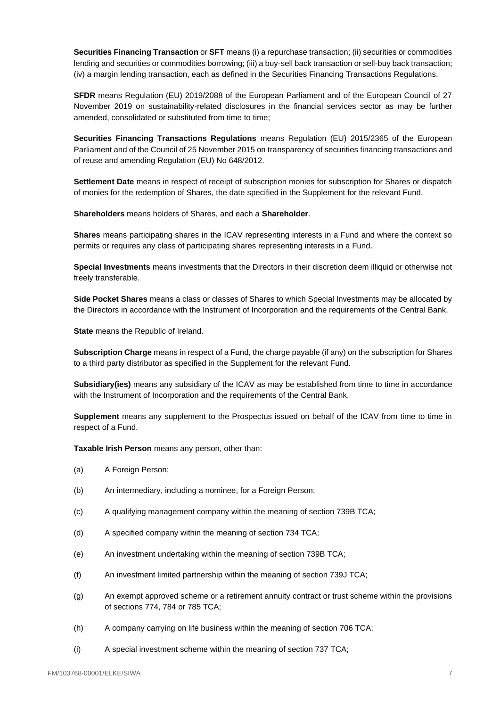**Securities Financing Transaction** or **SFT** means (i) a repurchase transaction; (ii) securities or commodities lending and securities or commodities borrowing; (iii) a buy-sell back transaction or sell-buy back transaction; (iv) a margin lending transaction, each as defined in the Securities Financing Transactions Regulations.

**SFDR** means Regulation (EU) 2019/2088 of the European Parliament and of the European Council of 27 November 2019 on sustainability-related disclosures in the financial services sector as may be further amended, consolidated or substituted from time to time;

**Securities Financing Transactions Regulations** means Regulation (EU) 2015/2365 of the European Parliament and of the Council of 25 November 2015 on transparency of securities financing transactions and of reuse and amending Regulation (EU) No 648/2012.

**Settlement Date** means in respect of receipt of subscription monies for subscription for Shares or dispatch of monies for the redemption of Shares, the date specified in the Supplement for the relevant Fund.

**Shareholders** means holders of Shares, and each a **Shareholder**.

**Shares** means participating shares in the ICAV representing interests in a Fund and where the context so permits or requires any class of participating shares representing interests in a Fund.

**Special Investments** means investments that the Directors in their discretion deem illiquid or otherwise not freely transferable.

**Side Pocket Shares** means a class or classes of Shares to which Special Investments may be allocated by the Directors in accordance with the Instrument of Incorporation and the requirements of the Central Bank.

**State** means the Republic of Ireland.

**Subscription Charge** means in respect of a Fund, the charge payable (if any) on the subscription for Shares to a third party distributor as specified in the Supplement for the relevant Fund.

**Subsidiary(ies)** means any subsidiary of the ICAV as may be established from time to time in accordance with the Instrument of Incorporation and the requirements of the Central Bank.

**Supplement** means any supplement to the Prospectus issued on behalf of the ICAV from time to time in respect of a Fund.

**Taxable Irish Person** means any person, other than:

- (a) A Foreign Person;
- (b) An intermediary, including a nominee, for a Foreign Person;
- (c) A qualifying management company within the meaning of section 739B TCA;
- (d) A specified company within the meaning of section 734 TCA;
- (e) An investment undertaking within the meaning of section 739B TCA;
- (f) An investment limited partnership within the meaning of section 739J TCA;
- (g) An exempt approved scheme or a retirement annuity contract or trust scheme within the provisions of sections 774, 784 or 785 TCA;
- (h) A company carrying on life business within the meaning of section 706 TCA;
- (i) A special investment scheme within the meaning of section 737 TCA;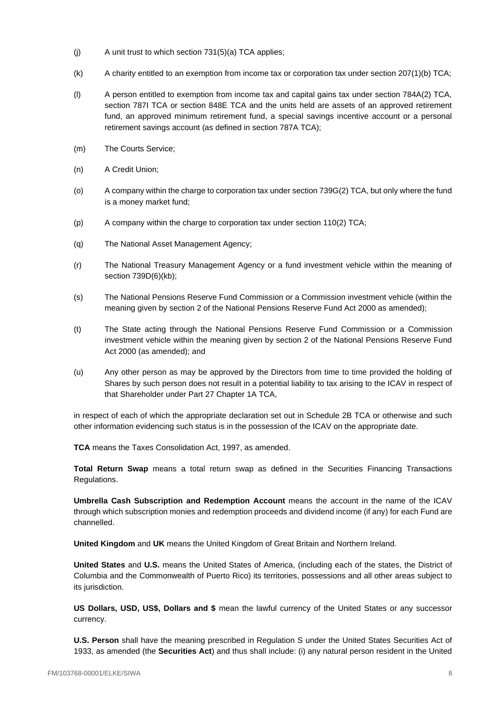- $(i)$  A unit trust to which section 731(5)(a) TCA applies:
- (k) A charity entitled to an exemption from income tax or corporation tax under section 207(1)(b) TCA;
- (l) A person entitled to exemption from income tax and capital gains tax under section 784A(2) TCA, section 787I TCA or section 848E TCA and the units held are assets of an approved retirement fund, an approved minimum retirement fund, a special savings incentive account or a personal retirement savings account (as defined in section 787A TCA);
- (m) The Courts Service;
- (n) A Credit Union;
- (o) A company within the charge to corporation tax under section 739G(2) TCA, but only where the fund is a money market fund;
- (p) A company within the charge to corporation tax under section 110(2) TCA;
- (q) The National Asset Management Agency;
- (r) The National Treasury Management Agency or a fund investment vehicle within the meaning of section 739D(6)(kb);
- (s) The National Pensions Reserve Fund Commission or a Commission investment vehicle (within the meaning given by section 2 of the National Pensions Reserve Fund Act 2000 as amended);
- (t) The State acting through the National Pensions Reserve Fund Commission or a Commission investment vehicle within the meaning given by section 2 of the National Pensions Reserve Fund Act 2000 (as amended); and
- (u) Any other person as may be approved by the Directors from time to time provided the holding of Shares by such person does not result in a potential liability to tax arising to the ICAV in respect of that Shareholder under Part 27 Chapter 1A TCA,

in respect of each of which the appropriate declaration set out in Schedule 2B TCA or otherwise and such other information evidencing such status is in the possession of the ICAV on the appropriate date.

**TCA** means the Taxes Consolidation Act, 1997, as amended.

**Total Return Swap** means a total return swap as defined in the Securities Financing Transactions Regulations.

**Umbrella Cash Subscription and Redemption Account** means the account in the name of the ICAV through which subscription monies and redemption proceeds and dividend income (if any) for each Fund are channelled.

**United Kingdom** and **UK** means the United Kingdom of Great Britain and Northern Ireland.

**United States** and **U.S.** means the United States of America, (including each of the states, the District of Columbia and the Commonwealth of Puerto Rico) its territories, possessions and all other areas subject to its jurisdiction.

**US Dollars, USD, US\$, Dollars and \$** mean the lawful currency of the United States or any successor currency.

**U.S. Person** shall have the meaning prescribed in Regulation S under the United States Securities Act of 1933, as amended (the **Securities Act**) and thus shall include: (i) any natural person resident in the United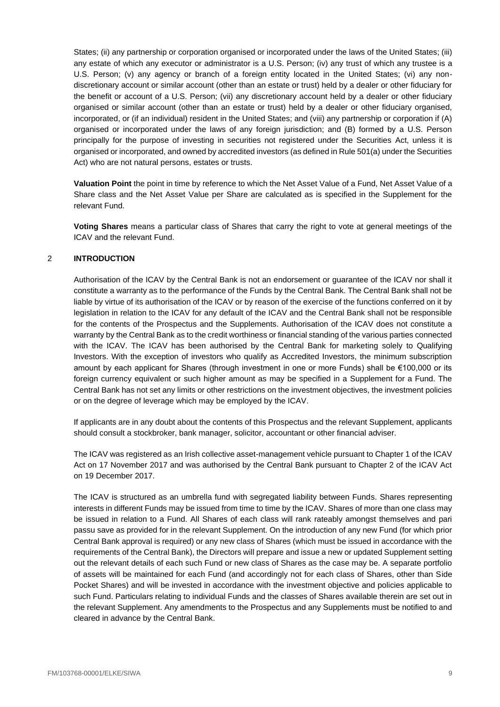States; (ii) any partnership or corporation organised or incorporated under the laws of the United States; (iii) any estate of which any executor or administrator is a U.S. Person; (iv) any trust of which any trustee is a U.S. Person; (v) any agency or branch of a foreign entity located in the United States; (vi) any nondiscretionary account or similar account (other than an estate or trust) held by a dealer or other fiduciary for the benefit or account of a U.S. Person; (vii) any discretionary account held by a dealer or other fiduciary organised or similar account (other than an estate or trust) held by a dealer or other fiduciary organised, incorporated, or (if an individual) resident in the United States; and (viii) any partnership or corporation if (A) organised or incorporated under the laws of any foreign jurisdiction; and (B) formed by a U.S. Person principally for the purpose of investing in securities not registered under the Securities Act, unless it is organised or incorporated, and owned by accredited investors (as defined in Rule 501(a) under the Securities Act) who are not natural persons, estates or trusts.

**Valuation Point** the point in time by reference to which the Net Asset Value of a Fund, Net Asset Value of a Share class and the Net Asset Value per Share are calculated as is specified in the Supplement for the relevant Fund.

**Voting Shares** means a particular class of Shares that carry the right to vote at general meetings of the ICAV and the relevant Fund.

## <span id="page-9-0"></span>2 **INTRODUCTION**

Authorisation of the ICAV by the Central Bank is not an endorsement or guarantee of the ICAV nor shall it constitute a warranty as to the performance of the Funds by the Central Bank. The Central Bank shall not be liable by virtue of its authorisation of the ICAV or by reason of the exercise of the functions conferred on it by legislation in relation to the ICAV for any default of the ICAV and the Central Bank shall not be responsible for the contents of the Prospectus and the Supplements. Authorisation of the ICAV does not constitute a warranty by the Central Bank as to the credit worthiness or financial standing of the various parties connected with the ICAV. The ICAV has been authorised by the Central Bank for marketing solely to Qualifying Investors. With the exception of investors who qualify as Accredited Investors, the minimum subscription amount by each applicant for Shares (through investment in one or more Funds) shall be €100,000 or its foreign currency equivalent or such higher amount as may be specified in a Supplement for a Fund. The Central Bank has not set any limits or other restrictions on the investment objectives, the investment policies or on the degree of leverage which may be employed by the ICAV.

If applicants are in any doubt about the contents of this Prospectus and the relevant Supplement, applicants should consult a stockbroker, bank manager, solicitor, accountant or other financial adviser.

The ICAV was registered as an Irish collective asset-management vehicle pursuant to Chapter 1 of the ICAV Act on 17 November 2017 and was authorised by the Central Bank pursuant to Chapter 2 of the ICAV Act on 19 December 2017.

The ICAV is structured as an umbrella fund with segregated liability between Funds. Shares representing interests in different Funds may be issued from time to time by the ICAV. Shares of more than one class may be issued in relation to a Fund. All Shares of each class will rank rateably amongst themselves and pari passu save as provided for in the relevant Supplement. On the introduction of any new Fund (for which prior Central Bank approval is required) or any new class of Shares (which must be issued in accordance with the requirements of the Central Bank), the Directors will prepare and issue a new or updated Supplement setting out the relevant details of each such Fund or new class of Shares as the case may be. A separate portfolio of assets will be maintained for each Fund (and accordingly not for each class of Shares, other than Side Pocket Shares) and will be invested in accordance with the investment objective and policies applicable to such Fund. Particulars relating to individual Funds and the classes of Shares available therein are set out in the relevant Supplement. Any amendments to the Prospectus and any Supplements must be notified to and cleared in advance by the Central Bank.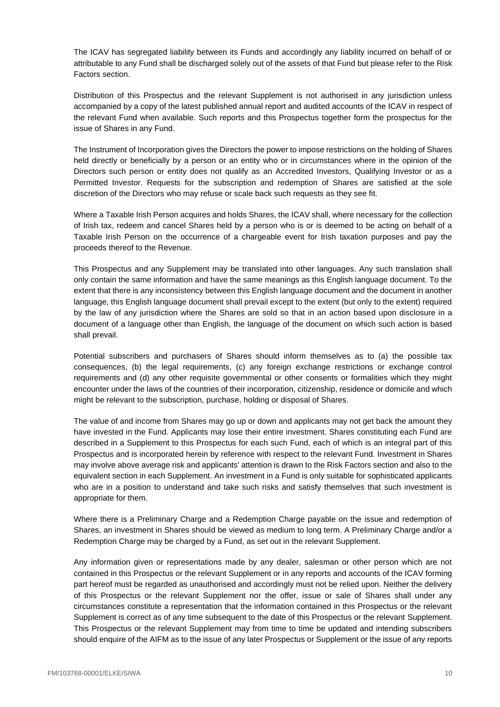The ICAV has segregated liability between its Funds and accordingly any liability incurred on behalf of or attributable to any Fund shall be discharged solely out of the assets of that Fund but please refer to the Risk Factors section.

Distribution of this Prospectus and the relevant Supplement is not authorised in any jurisdiction unless accompanied by a copy of the latest published annual report and audited accounts of the ICAV in respect of the relevant Fund when available. Such reports and this Prospectus together form the prospectus for the issue of Shares in any Fund.

The Instrument of Incorporation gives the Directors the power to impose restrictions on the holding of Shares held directly or beneficially by a person or an entity who or in circumstances where in the opinion of the Directors such person or entity does not qualify as an Accredited Investors, Qualifying Investor or as a Permitted Investor. Requests for the subscription and redemption of Shares are satisfied at the sole discretion of the Directors who may refuse or scale back such requests as they see fit.

Where a Taxable Irish Person acquires and holds Shares, the ICAV shall, where necessary for the collection of Irish tax, redeem and cancel Shares held by a person who is or is deemed to be acting on behalf of a Taxable Irish Person on the occurrence of a chargeable event for Irish taxation purposes and pay the proceeds thereof to the Revenue.

This Prospectus and any Supplement may be translated into other languages. Any such translation shall only contain the same information and have the same meanings as this English language document. To the extent that there is any inconsistency between this English language document and the document in another language, this English language document shall prevail except to the extent (but only to the extent) required by the law of any jurisdiction where the Shares are sold so that in an action based upon disclosure in a document of a language other than English, the language of the document on which such action is based shall prevail.

Potential subscribers and purchasers of Shares should inform themselves as to (a) the possible tax consequences, (b) the legal requirements, (c) any foreign exchange restrictions or exchange control requirements and (d) any other requisite governmental or other consents or formalities which they might encounter under the laws of the countries of their incorporation, citizenship, residence or domicile and which might be relevant to the subscription, purchase, holding or disposal of Shares.

The value of and income from Shares may go up or down and applicants may not get back the amount they have invested in the Fund. Applicants may lose their entire investment. Shares constituting each Fund are described in a Supplement to this Prospectus for each such Fund, each of which is an integral part of this Prospectus and is incorporated herein by reference with respect to the relevant Fund. Investment in Shares may involve above average risk and applicants' attention is drawn to the Risk Factors section and also to the equivalent section in each Supplement. An investment in a Fund is only suitable for sophisticated applicants who are in a position to understand and take such risks and satisfy themselves that such investment is appropriate for them.

Where there is a Preliminary Charge and a Redemption Charge payable on the issue and redemption of Shares, an investment in Shares should be viewed as medium to long term. A Preliminary Charge and/or a Redemption Charge may be charged by a Fund, as set out in the relevant Supplement.

Any information given or representations made by any dealer, salesman or other person which are not contained in this Prospectus or the relevant Supplement or in any reports and accounts of the ICAV forming part hereof must be regarded as unauthorised and accordingly must not be relied upon. Neither the delivery of this Prospectus or the relevant Supplement nor the offer, issue or sale of Shares shall under any circumstances constitute a representation that the information contained in this Prospectus or the relevant Supplement is correct as of any time subsequent to the date of this Prospectus or the relevant Supplement. This Prospectus or the relevant Supplement may from time to time be updated and intending subscribers should enquire of the AIFM as to the issue of any later Prospectus or Supplement or the issue of any reports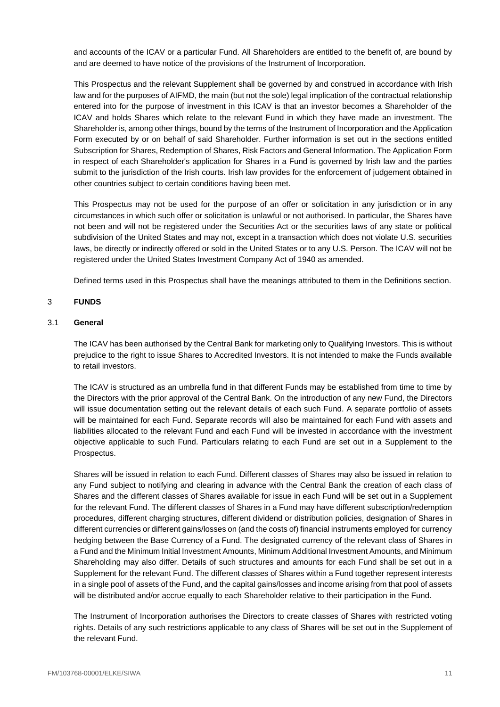and accounts of the ICAV or a particular Fund. All Shareholders are entitled to the benefit of, are bound by and are deemed to have notice of the provisions of the Instrument of Incorporation.

This Prospectus and the relevant Supplement shall be governed by and construed in accordance with Irish law and for the purposes of AIFMD, the main (but not the sole) legal implication of the contractual relationship entered into for the purpose of investment in this ICAV is that an investor becomes a Shareholder of the ICAV and holds Shares which relate to the relevant Fund in which they have made an investment. The Shareholder is, among other things, bound by the terms of the Instrument of Incorporation and the Application Form executed by or on behalf of said Shareholder. Further information is set out in the sections entitled Subscription for Shares, Redemption of Shares, Risk Factors and General Information. The Application Form in respect of each Shareholder's application for Shares in a Fund is governed by Irish law and the parties submit to the jurisdiction of the Irish courts. Irish law provides for the enforcement of judgement obtained in other countries subject to certain conditions having been met.

This Prospectus may not be used for the purpose of an offer or solicitation in any jurisdiction or in any circumstances in which such offer or solicitation is unlawful or not authorised. In particular, the Shares have not been and will not be registered under the Securities Act or the securities laws of any state or political subdivision of the United States and may not, except in a transaction which does not violate U.S. securities laws, be directly or indirectly offered or sold in the United States or to any U.S. Person. The ICAV will not be registered under the United States Investment Company Act of 1940 as amended.

Defined terms used in this Prospectus shall have the meanings attributed to them in the Definitions section.

## <span id="page-11-0"></span>3 **FUNDS**

### 3.1 **General**

The ICAV has been authorised by the Central Bank for marketing only to Qualifying Investors. This is without prejudice to the right to issue Shares to Accredited Investors. It is not intended to make the Funds available to retail investors.

The ICAV is structured as an umbrella fund in that different Funds may be established from time to time by the Directors with the prior approval of the Central Bank. On the introduction of any new Fund, the Directors will issue documentation setting out the relevant details of each such Fund. A separate portfolio of assets will be maintained for each Fund. Separate records will also be maintained for each Fund with assets and liabilities allocated to the relevant Fund and each Fund will be invested in accordance with the investment objective applicable to such Fund. Particulars relating to each Fund are set out in a Supplement to the Prospectus.

Shares will be issued in relation to each Fund. Different classes of Shares may also be issued in relation to any Fund subject to notifying and clearing in advance with the Central Bank the creation of each class of Shares and the different classes of Shares available for issue in each Fund will be set out in a Supplement for the relevant Fund. The different classes of Shares in a Fund may have different subscription/redemption procedures, different charging structures, different dividend or distribution policies, designation of Shares in different currencies or different gains/losses on (and the costs of) financial instruments employed for currency hedging between the Base Currency of a Fund. The designated currency of the relevant class of Shares in a Fund and the Minimum Initial Investment Amounts, Minimum Additional Investment Amounts, and Minimum Shareholding may also differ. Details of such structures and amounts for each Fund shall be set out in a Supplement for the relevant Fund. The different classes of Shares within a Fund together represent interests in a single pool of assets of the Fund, and the capital gains/losses and income arising from that pool of assets will be distributed and/or accrue equally to each Shareholder relative to their participation in the Fund.

The Instrument of Incorporation authorises the Directors to create classes of Shares with restricted voting rights. Details of any such restrictions applicable to any class of Shares will be set out in the Supplement of the relevant Fund.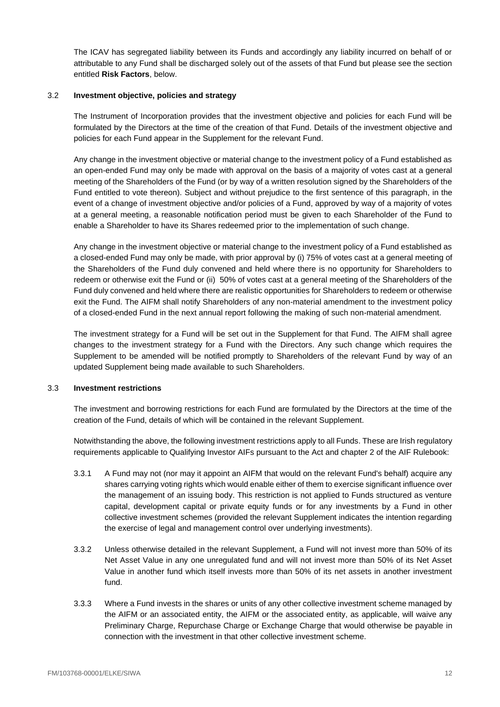The ICAV has segregated liability between its Funds and accordingly any liability incurred on behalf of or attributable to any Fund shall be discharged solely out of the assets of that Fund but please see the section entitled **Risk Factors**, below.

## 3.2 **Investment objective, policies and strategy**

The Instrument of Incorporation provides that the investment objective and policies for each Fund will be formulated by the Directors at the time of the creation of that Fund. Details of the investment objective and policies for each Fund appear in the Supplement for the relevant Fund.

Any change in the investment objective or material change to the investment policy of a Fund established as an open-ended Fund may only be made with approval on the basis of a majority of votes cast at a general meeting of the Shareholders of the Fund (or by way of a written resolution signed by the Shareholders of the Fund entitled to vote thereon). Subject and without prejudice to the first sentence of this paragraph, in the event of a change of investment objective and/or policies of a Fund, approved by way of a majority of votes at a general meeting, a reasonable notification period must be given to each Shareholder of the Fund to enable a Shareholder to have its Shares redeemed prior to the implementation of such change.

Any change in the investment objective or material change to the investment policy of a Fund established as a closed-ended Fund may only be made, with prior approval by (i) 75% of votes cast at a general meeting of the Shareholders of the Fund duly convened and held where there is no opportunity for Shareholders to redeem or otherwise exit the Fund or (ii) 50% of votes cast at a general meeting of the Shareholders of the Fund duly convened and held where there are realistic opportunities for Shareholders to redeem or otherwise exit the Fund. The AIFM shall notify Shareholders of any non-material amendment to the investment policy of a closed-ended Fund in the next annual report following the making of such non-material amendment.

The investment strategy for a Fund will be set out in the Supplement for that Fund. The AIFM shall agree changes to the investment strategy for a Fund with the Directors. Any such change which requires the Supplement to be amended will be notified promptly to Shareholders of the relevant Fund by way of an updated Supplement being made available to such Shareholders.

## <span id="page-12-0"></span>3.3 **Investment restrictions**

The investment and borrowing restrictions for each Fund are formulated by the Directors at the time of the creation of the Fund, details of which will be contained in the relevant Supplement.

Notwithstanding the above, the following investment restrictions apply to all Funds. These are Irish regulatory requirements applicable to Qualifying Investor AIFs pursuant to the Act and chapter 2 of the AIF Rulebook:

- 3.3.1 A Fund may not (nor may it appoint an AIFM that would on the relevant Fund's behalf) acquire any shares carrying voting rights which would enable either of them to exercise significant influence over the management of an issuing body. This restriction is not applied to Funds structured as venture capital, development capital or private equity funds or for any investments by a Fund in other collective investment schemes (provided the relevant Supplement indicates the intention regarding the exercise of legal and management control over underlying investments).
- 3.3.2 Unless otherwise detailed in the relevant Supplement, a Fund will not invest more than 50% of its Net Asset Value in any one unregulated fund and will not invest more than 50% of its Net Asset Value in another fund which itself invests more than 50% of its net assets in another investment fund.
- 3.3.3 Where a Fund invests in the shares or units of any other collective investment scheme managed by the AIFM or an associated entity, the AIFM or the associated entity, as applicable, will waive any Preliminary Charge, Repurchase Charge or Exchange Charge that would otherwise be payable in connection with the investment in that other collective investment scheme.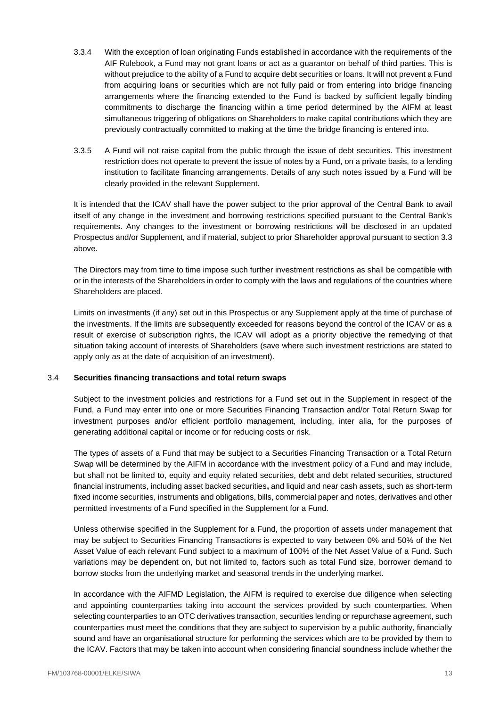- 3.3.4 With the exception of loan originating Funds established in accordance with the requirements of the AIF Rulebook, a Fund may not grant loans or act as a guarantor on behalf of third parties. This is without prejudice to the ability of a Fund to acquire debt securities or loans. It will not prevent a Fund from acquiring loans or securities which are not fully paid or from entering into bridge financing arrangements where the financing extended to the Fund is backed by sufficient legally binding commitments to discharge the financing within a time period determined by the AIFM at least simultaneous triggering of obligations on Shareholders to make capital contributions which they are previously contractually committed to making at the time the bridge financing is entered into.
- 3.3.5 A Fund will not raise capital from the public through the issue of debt securities. This investment restriction does not operate to prevent the issue of notes by a Fund, on a private basis, to a lending institution to facilitate financing arrangements. Details of any such notes issued by a Fund will be clearly provided in the relevant Supplement.

It is intended that the ICAV shall have the power subject to the prior approval of the Central Bank to avail itself of any change in the investment and borrowing restrictions specified pursuant to the Central Bank's requirements. Any changes to the investment or borrowing restrictions will be disclosed in an updated Prospectus and/or Supplement, and if material, subject to prior Shareholder approval pursuant to section [3.3](#page-12-0) above.

The Directors may from time to time impose such further investment restrictions as shall be compatible with or in the interests of the Shareholders in order to comply with the laws and regulations of the countries where Shareholders are placed.

Limits on investments (if any) set out in this Prospectus or any Supplement apply at the time of purchase of the investments. If the limits are subsequently exceeded for reasons beyond the control of the ICAV or as a result of exercise of subscription rights, the ICAV will adopt as a priority objective the remedying of that situation taking account of interests of Shareholders (save where such investment restrictions are stated to apply only as at the date of acquisition of an investment).

## 3.4 **Securities financing transactions and total return swaps**

Subject to the investment policies and restrictions for a Fund set out in the Supplement in respect of the Fund, a Fund may enter into one or more Securities Financing Transaction and/or Total Return Swap for investment purposes and/or efficient portfolio management, including, inter alia, for the purposes of generating additional capital or income or for reducing costs or risk.

The types of assets of a Fund that may be subject to a Securities Financing Transaction or a Total Return Swap will be determined by the AIFM in accordance with the investment policy of a Fund and may include, but shall not be limited to, equity and equity related securities, debt and debt related securities, structured financial instruments, including asset backed securities**,** and liquid and near cash assets, such as short-term fixed income securities, instruments and obligations, bills, commercial paper and notes, derivatives and other permitted investments of a Fund specified in the Supplement for a Fund.

Unless otherwise specified in the Supplement for a Fund, the proportion of assets under management that may be subject to Securities Financing Transactions is expected to vary between 0% and 50% of the Net Asset Value of each relevant Fund subject to a maximum of 100% of the Net Asset Value of a Fund. Such variations may be dependent on, but not limited to, factors such as total Fund size, borrower demand to borrow stocks from the underlying market and seasonal trends in the underlying market.

In accordance with the AIFMD Legislation, the AIFM is required to exercise due diligence when selecting and appointing counterparties taking into account the services provided by such counterparties. When selecting counterparties to an OTC derivatives transaction, securities lending or repurchase agreement, such counterparties must meet the conditions that they are subject to supervision by a public authority, financially sound and have an organisational structure for performing the services which are to be provided by them to the ICAV. Factors that may be taken into account when considering financial soundness include whether the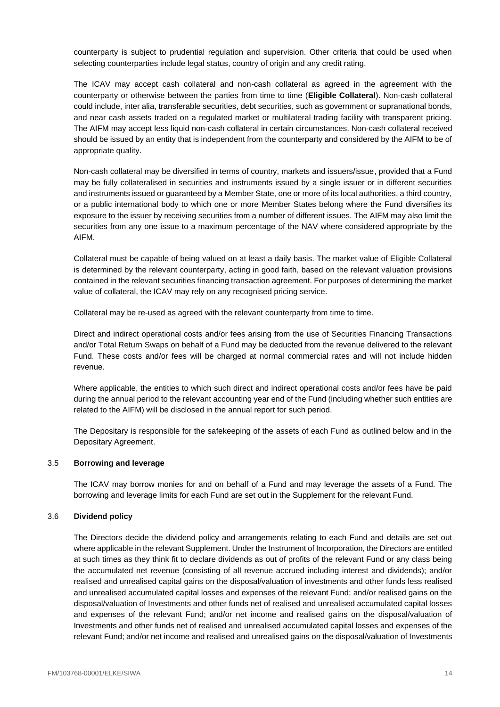counterparty is subject to prudential regulation and supervision. Other criteria that could be used when selecting counterparties include legal status, country of origin and any credit rating.

The ICAV may accept cash collateral and non-cash collateral as agreed in the agreement with the counterparty or otherwise between the parties from time to time (**Eligible Collateral**). Non-cash collateral could include, inter alia, transferable securities, debt securities, such as government or supranational bonds, and near cash assets traded on a regulated market or multilateral trading facility with transparent pricing. The AIFM may accept less liquid non-cash collateral in certain circumstances. Non-cash collateral received should be issued by an entity that is independent from the counterparty and considered by the AIFM to be of appropriate quality.

Non-cash collateral may be diversified in terms of country, markets and issuers/issue, provided that a Fund may be fully collateralised in securities and instruments issued by a single issuer or in different securities and instruments issued or guaranteed by a Member State, one or more of its local authorities, a third country, or a public international body to which one or more Member States belong where the Fund diversifies its exposure to the issuer by receiving securities from a number of different issues. The AIFM may also limit the securities from any one issue to a maximum percentage of the NAV where considered appropriate by the AIFM.

Collateral must be capable of being valued on at least a daily basis. The market value of Eligible Collateral is determined by the relevant counterparty, acting in good faith, based on the relevant valuation provisions contained in the relevant securities financing transaction agreement. For purposes of determining the market value of collateral, the ICAV may rely on any recognised pricing service.

Collateral may be re-used as agreed with the relevant counterparty from time to time.

Direct and indirect operational costs and/or fees arising from the use of Securities Financing Transactions and/or Total Return Swaps on behalf of a Fund may be deducted from the revenue delivered to the relevant Fund. These costs and/or fees will be charged at normal commercial rates and will not include hidden revenue.

Where applicable, the entities to which such direct and indirect operational costs and/or fees have be paid during the annual period to the relevant accounting year end of the Fund (including whether such entities are related to the AIFM) will be disclosed in the annual report for such period.

The Depositary is responsible for the safekeeping of the assets of each Fund as outlined below and in the Depositary Agreement.

### 3.5 **Borrowing and leverage**

The ICAV may borrow monies for and on behalf of a Fund and may leverage the assets of a Fund. The borrowing and leverage limits for each Fund are set out in the Supplement for the relevant Fund.

#### 3.6 **Dividend policy**

The Directors decide the dividend policy and arrangements relating to each Fund and details are set out where applicable in the relevant Supplement. Under the Instrument of Incorporation, the Directors are entitled at such times as they think fit to declare dividends as out of profits of the relevant Fund or any class being the accumulated net revenue (consisting of all revenue accrued including interest and dividends); and/or realised and unrealised capital gains on the disposal/valuation of investments and other funds less realised and unrealised accumulated capital losses and expenses of the relevant Fund; and/or realised gains on the disposal/valuation of Investments and other funds net of realised and unrealised accumulated capital losses and expenses of the relevant Fund; and/or net income and realised gains on the disposal/valuation of Investments and other funds net of realised and unrealised accumulated capital losses and expenses of the relevant Fund; and/or net income and realised and unrealised gains on the disposal/valuation of Investments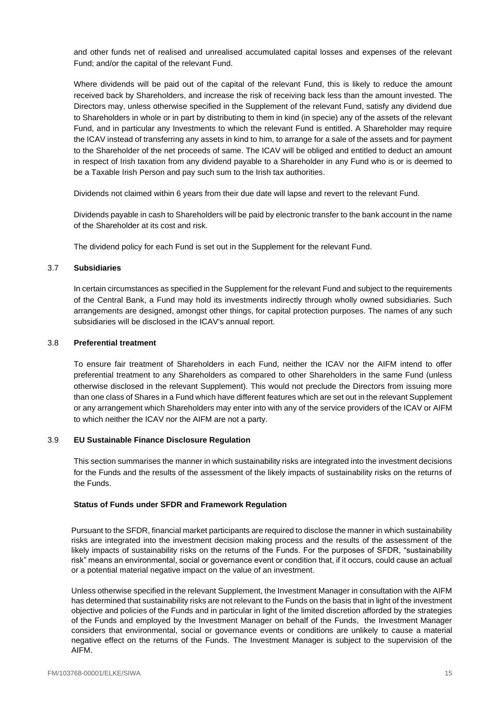and other funds net of realised and unrealised accumulated capital losses and expenses of the relevant Fund; and/or the capital of the relevant Fund.

Where dividends will be paid out of the capital of the relevant Fund, this is likely to reduce the amount received back by Shareholders, and increase the risk of receiving back less than the amount invested. The Directors may, unless otherwise specified in the Supplement of the relevant Fund, satisfy any dividend due to Shareholders in whole or in part by distributing to them in kind (in specie) any of the assets of the relevant Fund, and in particular any Investments to which the relevant Fund is entitled. A Shareholder may require the ICAV instead of transferring any assets in kind to him, to arrange for a sale of the assets and for payment to the Shareholder of the net proceeds of same. The ICAV will be obliged and entitled to deduct an amount in respect of Irish taxation from any dividend payable to a Shareholder in any Fund who is or is deemed to be a Taxable Irish Person and pay such sum to the Irish tax authorities.

Dividends not claimed within 6 years from their due date will lapse and revert to the relevant Fund.

Dividends payable in cash to Shareholders will be paid by electronic transfer to the bank account in the name of the Shareholder at its cost and risk.

The dividend policy for each Fund is set out in the Supplement for the relevant Fund.

### 3.7 **Subsidiaries**

In certain circumstances as specified in the Supplement for the relevant Fund and subject to the requirements of the Central Bank, a Fund may hold its investments indirectly through wholly owned subsidiaries. Such arrangements are designed, amongst other things, for capital protection purposes. The names of any such subsidiaries will be disclosed in the ICAV's annual report.

### 3.8 **Preferential treatment**

To ensure fair treatment of Shareholders in each Fund, neither the ICAV nor the AIFM intend to offer preferential treatment to any Shareholders as compared to other Shareholders in the same Fund (unless otherwise disclosed in the relevant Supplement). This would not preclude the Directors from issuing more than one class of Shares in a Fund which have different features which are set out in the relevant Supplement or any arrangement which Shareholders may enter into with any of the service providers of the ICAV or AIFM to which neither the ICAV nor the AIFM are not a party.

## 3.9 **EU Sustainable Finance Disclosure Regulation**

This section summarises the manner in which sustainability risks are integrated into the investment decisions for the Funds and the results of the assessment of the likely impacts of sustainability risks on the returns of the Funds.

## **Status of Funds under SFDR and Framework Regulation**

Pursuant to the SFDR, financial market participants are required to disclose the manner in which sustainability risks are integrated into the investment decision making process and the results of the assessment of the likely impacts of sustainability risks on the returns of the Funds. For the purposes of SFDR, "sustainability risk" means an environmental, social or governance event or condition that, if it occurs, could cause an actual or a potential material negative impact on the value of an investment.

Unless otherwise specified in the relevant Supplement, the Investment Manager in consultation with the AIFM has determined that sustainability risks are not relevant to the Funds on the basis that in light of the investment objective and policies of the Funds and in particular in light of the limited discretion afforded by the strategies of the Funds and employed by the Investment Manager on behalf of the Funds, the Investment Manager considers that environmental, social or governance events or conditions are unlikely to cause a material negative effect on the returns of the Funds. The Investment Manager is subject to the supervision of the AIFM.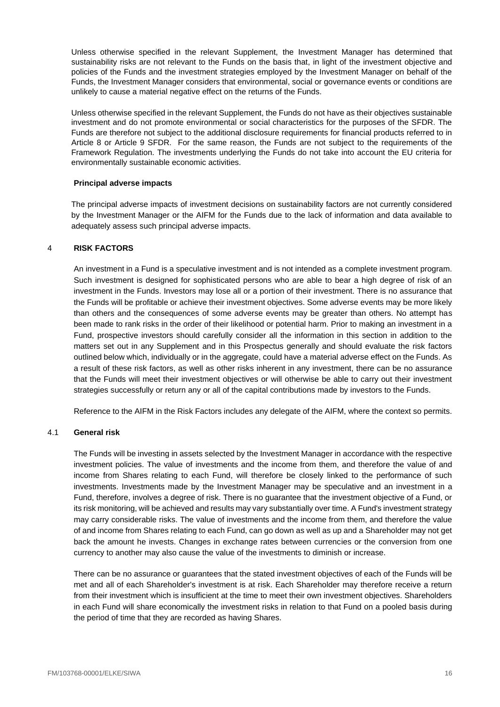Unless otherwise specified in the relevant Supplement, the Investment Manager has determined that sustainability risks are not relevant to the Funds on the basis that, in light of the investment objective and policies of the Funds and the investment strategies employed by the Investment Manager on behalf of the Funds, the Investment Manager considers that environmental, social or governance events or conditions are unlikely to cause a material negative effect on the returns of the Funds.

Unless otherwise specified in the relevant Supplement, the Funds do not have as their objectives sustainable investment and do not promote environmental or social characteristics for the purposes of the SFDR. The Funds are therefore not subject to the additional disclosure requirements for financial products referred to in Article 8 or Article 9 SFDR. For the same reason, the Funds are not subject to the requirements of the Framework Regulation. The investments underlying the Funds do not take into account the EU criteria for environmentally sustainable economic activities.

## **Principal adverse impacts**

The principal adverse impacts of investment decisions on sustainability factors are not currently considered by the Investment Manager or the AIFM for the Funds due to the lack of information and data available to adequately assess such principal adverse impacts.

# <span id="page-16-0"></span>4 **RISK FACTORS**

An investment in a Fund is a speculative investment and is not intended as a complete investment program. Such investment is designed for sophisticated persons who are able to bear a high degree of risk of an investment in the Funds. Investors may lose all or a portion of their investment. There is no assurance that the Funds will be profitable or achieve their investment objectives. Some adverse events may be more likely than others and the consequences of some adverse events may be greater than others. No attempt has been made to rank risks in the order of their likelihood or potential harm. Prior to making an investment in a Fund, prospective investors should carefully consider all the information in this section in addition to the matters set out in any Supplement and in this Prospectus generally and should evaluate the risk factors outlined below which, individually or in the aggregate, could have a material adverse effect on the Funds. As a result of these risk factors, as well as other risks inherent in any investment, there can be no assurance that the Funds will meet their investment objectives or will otherwise be able to carry out their investment strategies successfully or return any or all of the capital contributions made by investors to the Funds.

Reference to the AIFM in the Risk Factors includes any delegate of the AIFM, where the context so permits.

## <span id="page-16-1"></span>4.1 **General risk**

The Funds will be investing in assets selected by the Investment Manager in accordance with the respective investment policies. The value of investments and the income from them, and therefore the value of and income from Shares relating to each Fund, will therefore be closely linked to the performance of such investments. Investments made by the Investment Manager may be speculative and an investment in a Fund, therefore, involves a degree of risk. There is no guarantee that the investment objective of a Fund, or its risk monitoring, will be achieved and results may vary substantially over time. A Fund's investment strategy may carry considerable risks. The value of investments and the income from them, and therefore the value of and income from Shares relating to each Fund, can go down as well as up and a Shareholder may not get back the amount he invests. Changes in exchange rates between currencies or the conversion from one currency to another may also cause the value of the investments to diminish or increase.

There can be no assurance or guarantees that the stated investment objectives of each of the Funds will be met and all of each Shareholder's investment is at risk. Each Shareholder may therefore receive a return from their investment which is insufficient at the time to meet their own investment objectives. Shareholders in each Fund will share economically the investment risks in relation to that Fund on a pooled basis during the period of time that they are recorded as having Shares.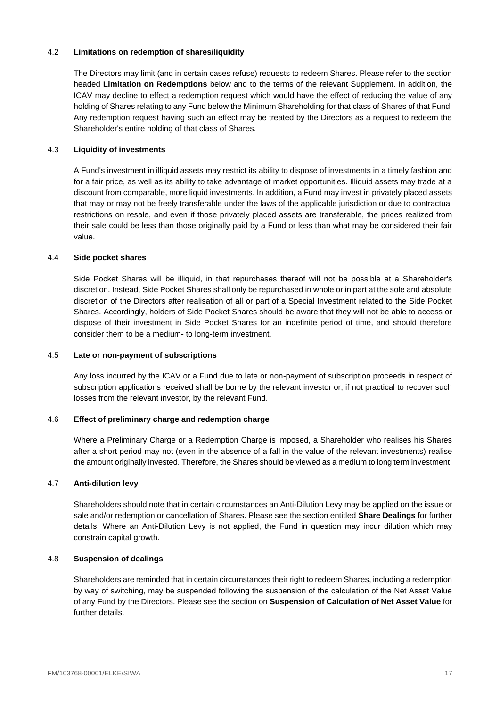## 4.2 **Limitations on redemption of shares/liquidity**

The Directors may limit (and in certain cases refuse) requests to redeem Shares. Please refer to the section headed **Limitation on Redemptions** below and to the terms of the relevant Supplement. In addition, the ICAV may decline to effect a redemption request which would have the effect of reducing the value of any holding of Shares relating to any Fund below the Minimum Shareholding for that class of Shares of that Fund. Any redemption request having such an effect may be treated by the Directors as a request to redeem the Shareholder's entire holding of that class of Shares.

# 4.3 **Liquidity of investments**

A Fund's investment in illiquid assets may restrict its ability to dispose of investments in a timely fashion and for a fair price, as well as its ability to take advantage of market opportunities. Illiquid assets may trade at a discount from comparable, more liquid investments. In addition, a Fund may invest in privately placed assets that may or may not be freely transferable under the laws of the applicable jurisdiction or due to contractual restrictions on resale, and even if those privately placed assets are transferable, the prices realized from their sale could be less than those originally paid by a Fund or less than what may be considered their fair value.

## 4.4 **Side pocket shares**

Side Pocket Shares will be illiquid, in that repurchases thereof will not be possible at a Shareholder's discretion. Instead, Side Pocket Shares shall only be repurchased in whole or in part at the sole and absolute discretion of the Directors after realisation of all or part of a Special Investment related to the Side Pocket Shares. Accordingly, holders of Side Pocket Shares should be aware that they will not be able to access or dispose of their investment in Side Pocket Shares for an indefinite period of time, and should therefore consider them to be a medium- to long-term investment.

# 4.5 **Late or non-payment of subscriptions**

Any loss incurred by the ICAV or a Fund due to late or non-payment of subscription proceeds in respect of subscription applications received shall be borne by the relevant investor or, if not practical to recover such losses from the relevant investor, by the relevant Fund.

## 4.6 **Effect of preliminary charge and redemption charge**

Where a Preliminary Charge or a Redemption Charge is imposed, a Shareholder who realises his Shares after a short period may not (even in the absence of a fall in the value of the relevant investments) realise the amount originally invested. Therefore, the Shares should be viewed as a medium to long term investment.

## 4.7 **Anti-dilution levy**

Shareholders should note that in certain circumstances an Anti-Dilution Levy may be applied on the issue or sale and/or redemption or cancellation of Shares. Please see the section entitled **Share Dealings** for further details. Where an Anti-Dilution Levy is not applied, the Fund in question may incur dilution which may constrain capital growth.

## 4.8 **Suspension of dealings**

Shareholders are reminded that in certain circumstances their right to redeem Shares, including a redemption by way of switching, may be suspended following the suspension of the calculation of the Net Asset Value of any Fund by the Directors. Please see the section on **Suspension of Calculation of Net Asset Value** for further details.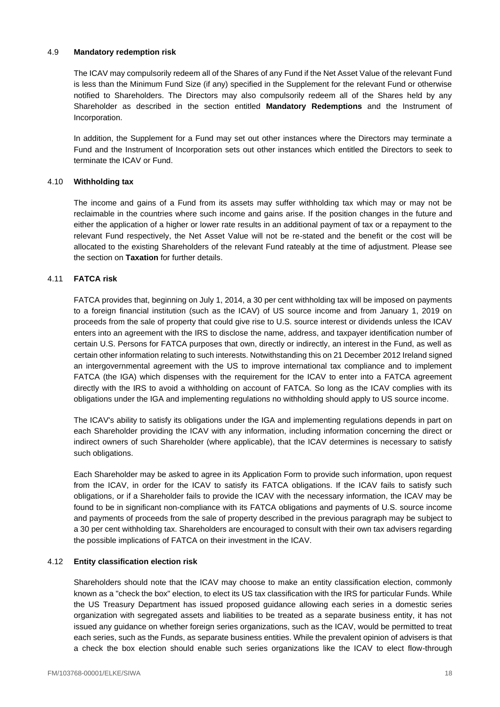### 4.9 **Mandatory redemption risk**

The ICAV may compulsorily redeem all of the Shares of any Fund if the Net Asset Value of the relevant Fund is less than the Minimum Fund Size (if any) specified in the Supplement for the relevant Fund or otherwise notified to Shareholders. The Directors may also compulsorily redeem all of the Shares held by any Shareholder as described in the section entitled **Mandatory Redemptions** and the Instrument of Incorporation.

In addition, the Supplement for a Fund may set out other instances where the Directors may terminate a Fund and the Instrument of Incorporation sets out other instances which entitled the Directors to seek to terminate the ICAV or Fund.

## 4.10 **Withholding tax**

The income and gains of a Fund from its assets may suffer withholding tax which may or may not be reclaimable in the countries where such income and gains arise. If the position changes in the future and either the application of a higher or lower rate results in an additional payment of tax or a repayment to the relevant Fund respectively, the Net Asset Value will not be re-stated and the benefit or the cost will be allocated to the existing Shareholders of the relevant Fund rateably at the time of adjustment. Please see the section on **Taxation** for further details.

# 4.11 **FATCA risk**

FATCA provides that, beginning on July 1, 2014, a 30 per cent withholding tax will be imposed on payments to a foreign financial institution (such as the ICAV) of US source income and from January 1, 2019 on proceeds from the sale of property that could give rise to U.S. source interest or dividends unless the ICAV enters into an agreement with the IRS to disclose the name, address, and taxpayer identification number of certain U.S. Persons for FATCA purposes that own, directly or indirectly, an interest in the Fund, as well as certain other information relating to such interests. Notwithstanding this on 21 December 2012 Ireland signed an intergovernmental agreement with the US to improve international tax compliance and to implement FATCA (the IGA) which dispenses with the requirement for the ICAV to enter into a FATCA agreement directly with the IRS to avoid a withholding on account of FATCA. So long as the ICAV complies with its obligations under the IGA and implementing regulations no withholding should apply to US source income.

The ICAV's ability to satisfy its obligations under the IGA and implementing regulations depends in part on each Shareholder providing the ICAV with any information, including information concerning the direct or indirect owners of such Shareholder (where applicable), that the ICAV determines is necessary to satisfy such obligations.

Each Shareholder may be asked to agree in its Application Form to provide such information, upon request from the ICAV, in order for the ICAV to satisfy its FATCA obligations. If the ICAV fails to satisfy such obligations, or if a Shareholder fails to provide the ICAV with the necessary information, the ICAV may be found to be in significant non-compliance with its FATCA obligations and payments of U.S. source income and payments of proceeds from the sale of property described in the previous paragraph may be subject to a 30 per cent withholding tax. Shareholders are encouraged to consult with their own tax advisers regarding the possible implications of FATCA on their investment in the ICAV.

## 4.12 **Entity classification election risk**

Shareholders should note that the ICAV may choose to make an entity classification election, commonly known as a "check the box" election, to elect its US tax classification with the IRS for particular Funds. While the US Treasury Department has issued proposed guidance allowing each series in a domestic series organization with segregated assets and liabilities to be treated as a separate business entity, it has not issued any guidance on whether foreign series organizations, such as the ICAV, would be permitted to treat each series, such as the Funds, as separate business entities. While the prevalent opinion of advisers is that a check the box election should enable such series organizations like the ICAV to elect flow-through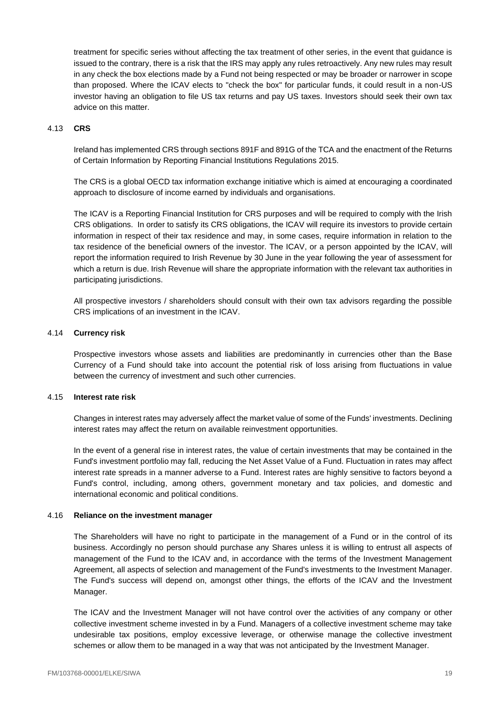treatment for specific series without affecting the tax treatment of other series, in the event that guidance is issued to the contrary, there is a risk that the IRS may apply any rules retroactively. Any new rules may result in any check the box elections made by a Fund not being respected or may be broader or narrower in scope than proposed. Where the ICAV elects to "check the box" for particular funds, it could result in a non-US investor having an obligation to file US tax returns and pay US taxes. Investors should seek their own tax advice on this matter.

# 4.13 **CRS**

Ireland has implemented CRS through sections 891F and 891G of the TCA and the enactment of the Returns of Certain Information by Reporting Financial Institutions Regulations 2015.

The CRS is a global OECD tax information exchange initiative which is aimed at encouraging a coordinated approach to disclosure of income earned by individuals and organisations.

The ICAV is a Reporting Financial Institution for CRS purposes and will be required to comply with the Irish CRS obligations. In order to satisfy its CRS obligations, the ICAV will require its investors to provide certain information in respect of their tax residence and may, in some cases, require information in relation to the tax residence of the beneficial owners of the investor. The ICAV, or a person appointed by the ICAV, will report the information required to Irish Revenue by 30 June in the year following the year of assessment for which a return is due. Irish Revenue will share the appropriate information with the relevant tax authorities in participating jurisdictions.

All prospective investors / shareholders should consult with their own tax advisors regarding the possible CRS implications of an investment in the ICAV.

## 4.14 **Currency risk**

Prospective investors whose assets and liabilities are predominantly in currencies other than the Base Currency of a Fund should take into account the potential risk of loss arising from fluctuations in value between the currency of investment and such other currencies.

## 4.15 **Interest rate risk**

Changes in interest rates may adversely affect the market value of some of the Funds' investments. Declining interest rates may affect the return on available reinvestment opportunities.

In the event of a general rise in interest rates, the value of certain investments that may be contained in the Fund's investment portfolio may fall, reducing the Net Asset Value of a Fund. Fluctuation in rates may affect interest rate spreads in a manner adverse to a Fund. Interest rates are highly sensitive to factors beyond a Fund's control, including, among others, government monetary and tax policies, and domestic and international economic and political conditions.

## 4.16 **Reliance on the investment manager**

The Shareholders will have no right to participate in the management of a Fund or in the control of its business. Accordingly no person should purchase any Shares unless it is willing to entrust all aspects of management of the Fund to the ICAV and, in accordance with the terms of the Investment Management Agreement, all aspects of selection and management of the Fund's investments to the Investment Manager. The Fund's success will depend on, amongst other things, the efforts of the ICAV and the Investment Manager.

The ICAV and the Investment Manager will not have control over the activities of any company or other collective investment scheme invested in by a Fund. Managers of a collective investment scheme may take undesirable tax positions, employ excessive leverage, or otherwise manage the collective investment schemes or allow them to be managed in a way that was not anticipated by the Investment Manager.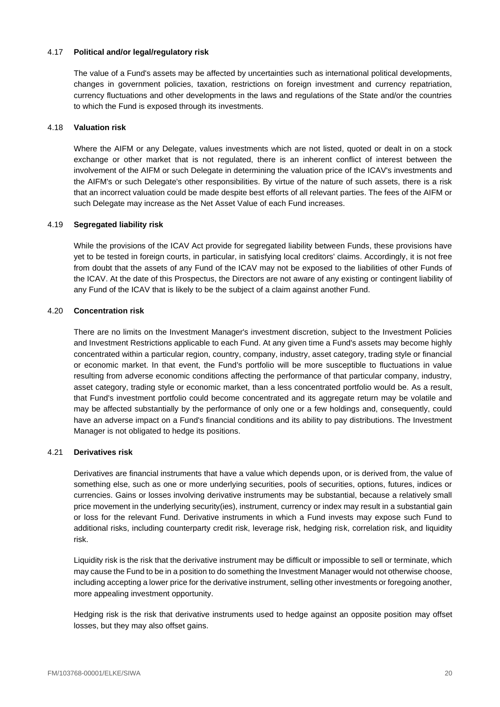## 4.17 **Political and/or legal/regulatory risk**

The value of a Fund's assets may be affected by uncertainties such as international political developments, changes in government policies, taxation, restrictions on foreign investment and currency repatriation, currency fluctuations and other developments in the laws and regulations of the State and/or the countries to which the Fund is exposed through its investments.

## 4.18 **Valuation risk**

Where the AIFM or any Delegate, values investments which are not listed, quoted or dealt in on a stock exchange or other market that is not regulated, there is an inherent conflict of interest between the involvement of the AIFM or such Delegate in determining the valuation price of the ICAV's investments and the AIFM's or such Delegate's other responsibilities. By virtue of the nature of such assets, there is a risk that an incorrect valuation could be made despite best efforts of all relevant parties. The fees of the AIFM or such Delegate may increase as the Net Asset Value of each Fund increases.

# 4.19 **Segregated liability risk**

While the provisions of the ICAV Act provide for segregated liability between Funds, these provisions have yet to be tested in foreign courts, in particular, in satisfying local creditors' claims. Accordingly, it is not free from doubt that the assets of any Fund of the ICAV may not be exposed to the liabilities of other Funds of the ICAV. At the date of this Prospectus, the Directors are not aware of any existing or contingent liability of any Fund of the ICAV that is likely to be the subject of a claim against another Fund.

# 4.20 **Concentration risk**

There are no limits on the Investment Manager's investment discretion, subject to the Investment Policies and Investment Restrictions applicable to each Fund. At any given time a Fund's assets may become highly concentrated within a particular region, country, company, industry, asset category, trading style or financial or economic market. In that event, the Fund's portfolio will be more susceptible to fluctuations in value resulting from adverse economic conditions affecting the performance of that particular company, industry, asset category, trading style or economic market, than a less concentrated portfolio would be. As a result, that Fund's investment portfolio could become concentrated and its aggregate return may be volatile and may be affected substantially by the performance of only one or a few holdings and, consequently, could have an adverse impact on a Fund's financial conditions and its ability to pay distributions. The Investment Manager is not obligated to hedge its positions.

## 4.21 **Derivatives risk**

Derivatives are financial instruments that have a value which depends upon, or is derived from, the value of something else, such as one or more underlying securities, pools of securities, options, futures, indices or currencies. Gains or losses involving derivative instruments may be substantial, because a relatively small price movement in the underlying security(ies), instrument, currency or index may result in a substantial gain or loss for the relevant Fund. Derivative instruments in which a Fund invests may expose such Fund to additional risks, including counterparty credit risk, leverage risk, hedging risk, correlation risk, and liquidity risk.

Liquidity risk is the risk that the derivative instrument may be difficult or impossible to sell or terminate, which may cause the Fund to be in a position to do something the Investment Manager would not otherwise choose, including accepting a lower price for the derivative instrument, selling other investments or foregoing another, more appealing investment opportunity.

Hedging risk is the risk that derivative instruments used to hedge against an opposite position may offset losses, but they may also offset gains.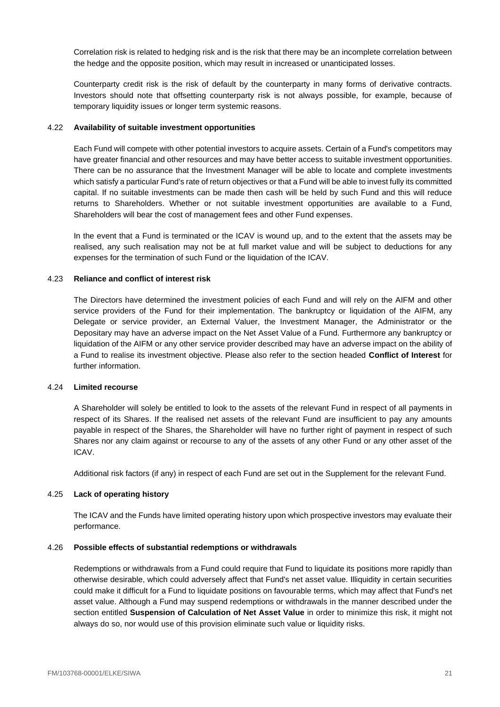Correlation risk is related to hedging risk and is the risk that there may be an incomplete correlation between the hedge and the opposite position, which may result in increased or unanticipated losses.

Counterparty credit risk is the risk of default by the counterparty in many forms of derivative contracts. Investors should note that offsetting counterparty risk is not always possible, for example, because of temporary liquidity issues or longer term systemic reasons.

### 4.22 **Availability of suitable investment opportunities**

Each Fund will compete with other potential investors to acquire assets. Certain of a Fund's competitors may have greater financial and other resources and may have better access to suitable investment opportunities. There can be no assurance that the Investment Manager will be able to locate and complete investments which satisfy a particular Fund's rate of return objectives or that a Fund will be able to invest fully its committed capital. If no suitable investments can be made then cash will be held by such Fund and this will reduce returns to Shareholders. Whether or not suitable investment opportunities are available to a Fund, Shareholders will bear the cost of management fees and other Fund expenses.

In the event that a Fund is terminated or the ICAV is wound up, and to the extent that the assets may be realised, any such realisation may not be at full market value and will be subject to deductions for any expenses for the termination of such Fund or the liquidation of the ICAV.

### 4.23 **Reliance and conflict of interest risk**

The Directors have determined the investment policies of each Fund and will rely on the AIFM and other service providers of the Fund for their implementation. The bankruptcy or liquidation of the AIFM, any Delegate or service provider, an External Valuer, the Investment Manager, the Administrator or the Depositary may have an adverse impact on the Net Asset Value of a Fund. Furthermore any bankruptcy or liquidation of the AIFM or any other service provider described may have an adverse impact on the ability of a Fund to realise its investment objective. Please also refer to the section headed **Conflict of Interest** for further information.

### 4.24 **Limited recourse**

A Shareholder will solely be entitled to look to the assets of the relevant Fund in respect of all payments in respect of its Shares. If the realised net assets of the relevant Fund are insufficient to pay any amounts payable in respect of the Shares, the Shareholder will have no further right of payment in respect of such Shares nor any claim against or recourse to any of the assets of any other Fund or any other asset of the ICAV.

Additional risk factors (if any) in respect of each Fund are set out in the Supplement for the relevant Fund.

## 4.25 **Lack of operating history**

The ICAV and the Funds have limited operating history upon which prospective investors may evaluate their performance.

## 4.26 **Possible effects of substantial redemptions or withdrawals**

Redemptions or withdrawals from a Fund could require that Fund to liquidate its positions more rapidly than otherwise desirable, which could adversely affect that Fund's net asset value. Illiquidity in certain securities could make it difficult for a Fund to liquidate positions on favourable terms, which may affect that Fund's net asset value. Although a Fund may suspend redemptions or withdrawals in the manner described under the section entitled **Suspension of Calculation of Net Asset Value** in order to minimize this risk, it might not always do so, nor would use of this provision eliminate such value or liquidity risks.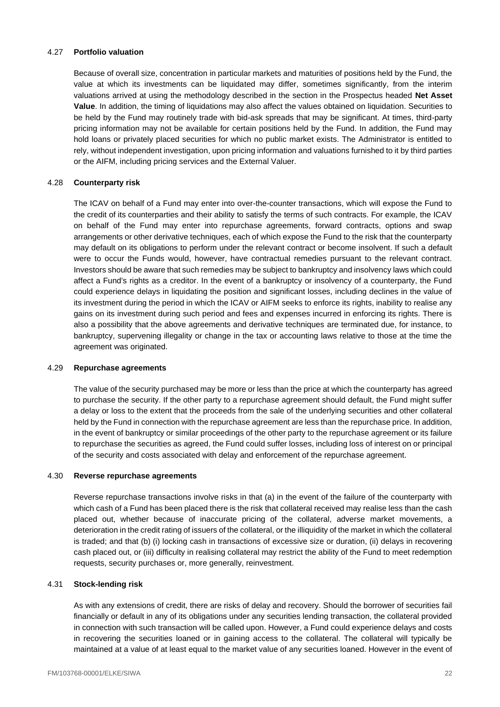# 4.27 **Portfolio valuation**

Because of overall size, concentration in particular markets and maturities of positions held by the Fund, the value at which its investments can be liquidated may differ, sometimes significantly, from the interim valuations arrived at using the methodology described in the section in the Prospectus headed **Net Asset Value**. In addition, the timing of liquidations may also affect the values obtained on liquidation. Securities to be held by the Fund may routinely trade with bid-ask spreads that may be significant. At times, third-party pricing information may not be available for certain positions held by the Fund. In addition, the Fund may hold loans or privately placed securities for which no public market exists. The Administrator is entitled to rely, without independent investigation, upon pricing information and valuations furnished to it by third parties or the AIFM, including pricing services and the External Valuer.

## 4.28 **Counterparty risk**

The ICAV on behalf of a Fund may enter into over-the-counter transactions, which will expose the Fund to the credit of its counterparties and their ability to satisfy the terms of such contracts. For example, the ICAV on behalf of the Fund may enter into repurchase agreements, forward contracts, options and swap arrangements or other derivative techniques, each of which expose the Fund to the risk that the counterparty may default on its obligations to perform under the relevant contract or become insolvent. If such a default were to occur the Funds would, however, have contractual remedies pursuant to the relevant contract. Investors should be aware that such remedies may be subject to bankruptcy and insolvency laws which could affect a Fund's rights as a creditor. In the event of a bankruptcy or insolvency of a counterparty, the Fund could experience delays in liquidating the position and significant losses, including declines in the value of its investment during the period in which the ICAV or AIFM seeks to enforce its rights, inability to realise any gains on its investment during such period and fees and expenses incurred in enforcing its rights. There is also a possibility that the above agreements and derivative techniques are terminated due, for instance, to bankruptcy, supervening illegality or change in the tax or accounting laws relative to those at the time the agreement was originated.

## 4.29 **Repurchase agreements**

The value of the security purchased may be more or less than the price at which the counterparty has agreed to purchase the security. If the other party to a repurchase agreement should default, the Fund might suffer a delay or loss to the extent that the proceeds from the sale of the underlying securities and other collateral held by the Fund in connection with the repurchase agreement are less than the repurchase price. In addition, in the event of bankruptcy or similar proceedings of the other party to the repurchase agreement or its failure to repurchase the securities as agreed, the Fund could suffer losses, including loss of interest on or principal of the security and costs associated with delay and enforcement of the repurchase agreement.

## 4.30 **Reverse repurchase agreements**

Reverse repurchase transactions involve risks in that (a) in the event of the failure of the counterparty with which cash of a Fund has been placed there is the risk that collateral received may realise less than the cash placed out, whether because of inaccurate pricing of the collateral, adverse market movements, a deterioration in the credit rating of issuers of the collateral, or the illiquidity of the market in which the collateral is traded; and that (b) (i) locking cash in transactions of excessive size or duration, (ii) delays in recovering cash placed out, or (iii) difficulty in realising collateral may restrict the ability of the Fund to meet redemption requests, security purchases or, more generally, reinvestment.

## 4.31 **Stock-lending risk**

As with any extensions of credit, there are risks of delay and recovery. Should the borrower of securities fail financially or default in any of its obligations under any securities lending transaction, the collateral provided in connection with such transaction will be called upon. However, a Fund could experience delays and costs in recovering the securities loaned or in gaining access to the collateral. The collateral will typically be maintained at a value of at least equal to the market value of any securities loaned. However in the event of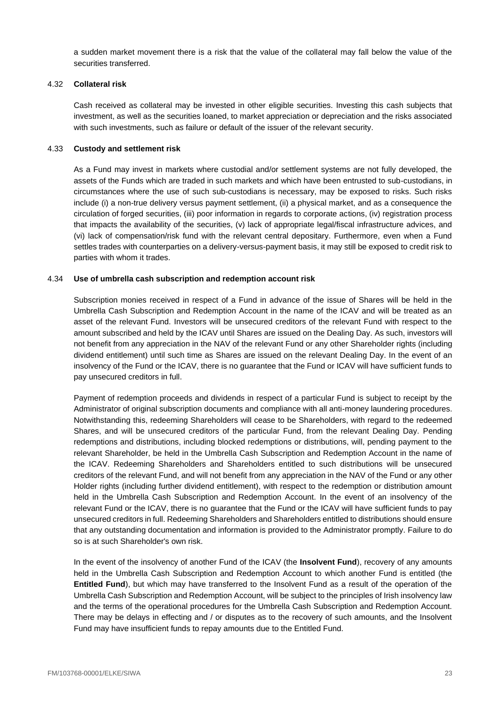a sudden market movement there is a risk that the value of the collateral may fall below the value of the securities transferred.

## 4.32 **Collateral risk**

Cash received as collateral may be invested in other eligible securities. Investing this cash subjects that investment, as well as the securities loaned, to market appreciation or depreciation and the risks associated with such investments, such as failure or default of the issuer of the relevant security.

## 4.33 **Custody and settlement risk**

As a Fund may invest in markets where custodial and/or settlement systems are not fully developed, the assets of the Funds which are traded in such markets and which have been entrusted to sub-custodians, in circumstances where the use of such sub-custodians is necessary, may be exposed to risks. Such risks include (i) a non-true delivery versus payment settlement, (ii) a physical market, and as a consequence the circulation of forged securities, (iii) poor information in regards to corporate actions, (iv) registration process that impacts the availability of the securities, (v) lack of appropriate legal/fiscal infrastructure advices, and (vi) lack of compensation/risk fund with the relevant central depositary. Furthermore, even when a Fund settles trades with counterparties on a delivery-versus-payment basis, it may still be exposed to credit risk to parties with whom it trades.

# 4.34 **Use of umbrella cash subscription and redemption account risk**

Subscription monies received in respect of a Fund in advance of the issue of Shares will be held in the Umbrella Cash Subscription and Redemption Account in the name of the ICAV and will be treated as an asset of the relevant Fund. Investors will be unsecured creditors of the relevant Fund with respect to the amount subscribed and held by the ICAV until Shares are issued on the Dealing Day. As such, investors will not benefit from any appreciation in the NAV of the relevant Fund or any other Shareholder rights (including dividend entitlement) until such time as Shares are issued on the relevant Dealing Day. In the event of an insolvency of the Fund or the ICAV, there is no guarantee that the Fund or ICAV will have sufficient funds to pay unsecured creditors in full.

Payment of redemption proceeds and dividends in respect of a particular Fund is subject to receipt by the Administrator of original subscription documents and compliance with all anti-money laundering procedures. Notwithstanding this, redeeming Shareholders will cease to be Shareholders, with regard to the redeemed Shares, and will be unsecured creditors of the particular Fund, from the relevant Dealing Day. Pending redemptions and distributions, including blocked redemptions or distributions, will, pending payment to the relevant Shareholder, be held in the Umbrella Cash Subscription and Redemption Account in the name of the ICAV. Redeeming Shareholders and Shareholders entitled to such distributions will be unsecured creditors of the relevant Fund, and will not benefit from any appreciation in the NAV of the Fund or any other Holder rights (including further dividend entitlement), with respect to the redemption or distribution amount held in the Umbrella Cash Subscription and Redemption Account. In the event of an insolvency of the relevant Fund or the ICAV, there is no guarantee that the Fund or the ICAV will have sufficient funds to pay unsecured creditors in full. Redeeming Shareholders and Shareholders entitled to distributions should ensure that any outstanding documentation and information is provided to the Administrator promptly. Failure to do so is at such Shareholder's own risk.

In the event of the insolvency of another Fund of the ICAV (the **Insolvent Fund**), recovery of any amounts held in the Umbrella Cash Subscription and Redemption Account to which another Fund is entitled (the **Entitled Fund**), but which may have transferred to the Insolvent Fund as a result of the operation of the Umbrella Cash Subscription and Redemption Account, will be subject to the principles of Irish insolvency law and the terms of the operational procedures for the Umbrella Cash Subscription and Redemption Account. There may be delays in effecting and / or disputes as to the recovery of such amounts, and the Insolvent Fund may have insufficient funds to repay amounts due to the Entitled Fund.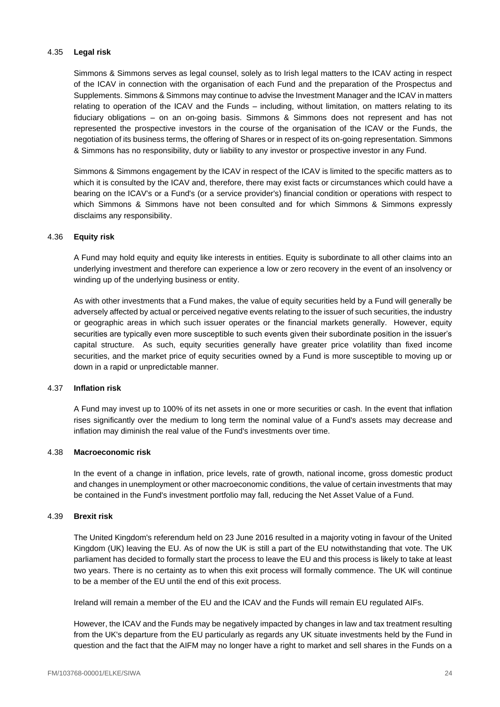## 4.35 **Legal risk**

Simmons & Simmons serves as legal counsel, solely as to Irish legal matters to the ICAV acting in respect of the ICAV in connection with the organisation of each Fund and the preparation of the Prospectus and Supplements. Simmons & Simmons may continue to advise the Investment Manager and the ICAV in matters relating to operation of the ICAV and the Funds – including, without limitation, on matters relating to its fiduciary obligations – on an on-going basis. Simmons & Simmons does not represent and has not represented the prospective investors in the course of the organisation of the ICAV or the Funds, the negotiation of its business terms, the offering of Shares or in respect of its on-going representation. Simmons & Simmons has no responsibility, duty or liability to any investor or prospective investor in any Fund.

Simmons & Simmons engagement by the ICAV in respect of the ICAV is limited to the specific matters as to which it is consulted by the ICAV and, therefore, there may exist facts or circumstances which could have a bearing on the ICAV's or a Fund's (or a service provider's) financial condition or operations with respect to which Simmons & Simmons have not been consulted and for which Simmons & Simmons expressly disclaims any responsibility.

## 4.36 **Equity risk**

A Fund may hold equity and equity like interests in entities. Equity is subordinate to all other claims into an underlying investment and therefore can experience a low or zero recovery in the event of an insolvency or winding up of the underlying business or entity.

As with other investments that a Fund makes, the value of equity securities held by a Fund will generally be adversely affected by actual or perceived negative events relating to the issuer of such securities, the industry or geographic areas in which such issuer operates or the financial markets generally. However, equity securities are typically even more susceptible to such events given their subordinate position in the issuer's capital structure. As such, equity securities generally have greater price volatility than fixed income securities, and the market price of equity securities owned by a Fund is more susceptible to moving up or down in a rapid or unpredictable manner.

## 4.37 **Inflation risk**

A Fund may invest up to 100% of its net assets in one or more securities or cash. In the event that inflation rises significantly over the medium to long term the nominal value of a Fund's assets may decrease and inflation may diminish the real value of the Fund's investments over time.

## 4.38 **Macroeconomic risk**

In the event of a change in inflation, price levels, rate of growth, national income, gross domestic product and changes in unemployment or other macroeconomic conditions, the value of certain investments that may be contained in the Fund's investment portfolio may fall, reducing the Net Asset Value of a Fund.

## 4.39 **Brexit risk**

The United Kingdom's referendum held on 23 June 2016 resulted in a majority voting in favour of the United Kingdom (UK) leaving the EU. As of now the UK is still a part of the EU notwithstanding that vote. The UK parliament has decided to formally start the process to leave the EU and this process is likely to take at least two years. There is no certainty as to when this exit process will formally commence. The UK will continue to be a member of the EU until the end of this exit process.

Ireland will remain a member of the EU and the ICAV and the Funds will remain EU regulated AIFs.

However, the ICAV and the Funds may be negatively impacted by changes in law and tax treatment resulting from the UK's departure from the EU particularly as regards any UK situate investments held by the Fund in question and the fact that the AIFM may no longer have a right to market and sell shares in the Funds on a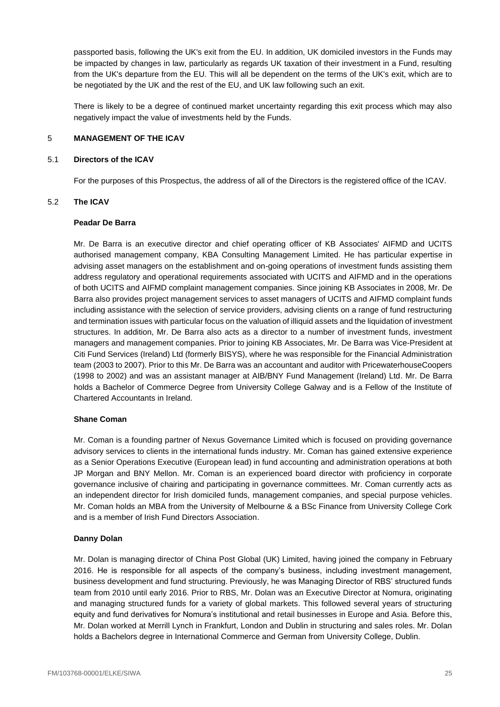passported basis, following the UK's exit from the EU. In addition, UK domiciled investors in the Funds may be impacted by changes in law, particularly as regards UK taxation of their investment in a Fund, resulting from the UK's departure from the EU. This will all be dependent on the terms of the UK's exit, which are to be negotiated by the UK and the rest of the EU, and UK law following such an exit.

There is likely to be a degree of continued market uncertainty regarding this exit process which may also negatively impact the value of investments held by the Funds.

### <span id="page-25-0"></span>5 **MANAGEMENT OF THE ICAV**

### 5.1 **Directors of the ICAV**

For the purposes of this Prospectus, the address of all of the Directors is the registered office of the ICAV.

## 5.2 **The ICAV**

### **Peadar De Barra**

Mr. De Barra is an executive director and chief operating officer of KB Associates' AIFMD and UCITS authorised management company, KBA Consulting Management Limited. He has particular expertise in advising asset managers on the establishment and on-going operations of investment funds assisting them address regulatory and operational requirements associated with UCITS and AIFMD and in the operations of both UCITS and AIFMD complaint management companies. Since joining KB Associates in 2008, Mr. De Barra also provides project management services to asset managers of UCITS and AIFMD complaint funds including assistance with the selection of service providers, advising clients on a range of fund restructuring and termination issues with particular focus on the valuation of illiquid assets and the liquidation of investment structures. In addition, Mr. De Barra also acts as a director to a number of investment funds, investment managers and management companies. Prior to joining KB Associates, Mr. De Barra was Vice-President at Citi Fund Services (Ireland) Ltd (formerly BISYS), where he was responsible for the Financial Administration team (2003 to 2007). Prior to this Mr. De Barra was an accountant and auditor with PricewaterhouseCoopers (1998 to 2002) and was an assistant manager at AIB/BNY Fund Management (Ireland) Ltd. Mr. De Barra holds a Bachelor of Commerce Degree from University College Galway and is a Fellow of the Institute of Chartered Accountants in Ireland.

## **Shane Coman**

Mr. Coman is a founding partner of Nexus Governance Limited which is focused on providing governance advisory services to clients in the international funds industry. Mr. Coman has gained extensive experience as a Senior Operations Executive (European lead) in fund accounting and administration operations at both JP Morgan and BNY Mellon. Mr. Coman is an experienced board director with proficiency in corporate governance inclusive of chairing and participating in governance committees. Mr. Coman currently acts as an independent director for Irish domiciled funds, management companies, and special purpose vehicles. Mr. Coman holds an MBA from the University of Melbourne & a BSc Finance from University College Cork and is a member of Irish Fund Directors Association.

## **Danny Dolan**

Mr. Dolan is managing director of China Post Global (UK) Limited, having joined the company in February 2016. He is responsible for all aspects of the company's business, including investment management, business development and fund structuring. Previously, he was Managing Director of RBS' structured funds team from 2010 until early 2016. Prior to RBS, Mr. Dolan was an Executive Director at Nomura, originating and managing structured funds for a variety of global markets. This followed several years of structuring equity and fund derivatives for Nomura's institutional and retail businesses in Europe and Asia. Before this, Mr. Dolan worked at Merrill Lynch in Frankfurt, London and Dublin in structuring and sales roles. Mr. Dolan holds a Bachelors degree in International Commerce and German from University College, Dublin.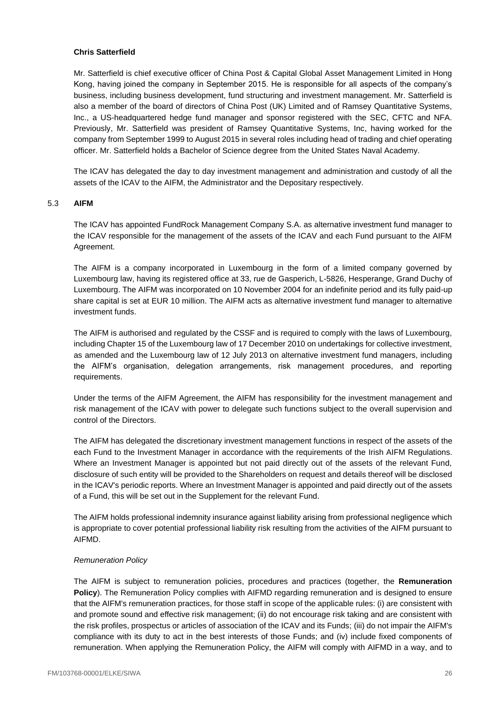## **Chris Satterfield**

Mr. Satterfield is chief executive officer of China Post & Capital Global Asset Management Limited in Hong Kong, having joined the company in September 2015. He is responsible for all aspects of the company's business, including business development, fund structuring and investment management. Mr. Satterfield is also a member of the board of directors of China Post (UK) Limited and of Ramsey Quantitative Systems, Inc., a US-headquartered hedge fund manager and sponsor registered with the SEC, CFTC and NFA. Previously, Mr. Satterfield was president of Ramsey Quantitative Systems, Inc, having worked for the company from September 1999 to August 2015 in several roles including head of trading and chief operating officer. Mr. Satterfield holds a Bachelor of Science degree from the United States Naval Academy.

The ICAV has delegated the day to day investment management and administration and custody of all the assets of the ICAV to the AIFM, the Administrator and the Depositary respectively.

### 5.3 **AIFM**

The ICAV has appointed FundRock Management Company S.A. as alternative investment fund manager to the ICAV responsible for the management of the assets of the ICAV and each Fund pursuant to the AIFM Agreement.

The AIFM is a company incorporated in Luxembourg in the form of a limited company governed by Luxembourg law, having its registered office at 33, rue de Gasperich, L-5826, Hesperange, Grand Duchy of Luxembourg. The AIFM was incorporated on 10 November 2004 for an indefinite period and its fully paid-up share capital is set at EUR 10 million. The AIFM acts as alternative investment fund manager to alternative investment funds.

The AIFM is authorised and regulated by the CSSF and is required to comply with the laws of Luxembourg, including Chapter 15 of the Luxembourg law of 17 December 2010 on undertakings for collective investment, as amended and the Luxembourg law of 12 July 2013 on alternative investment fund managers, including the AIFM's organisation, delegation arrangements, risk management procedures, and reporting requirements.

Under the terms of the AIFM Agreement, the AIFM has responsibility for the investment management and risk management of the ICAV with power to delegate such functions subject to the overall supervision and control of the Directors.

The AIFM has delegated the discretionary investment management functions in respect of the assets of the each Fund to the Investment Manager in accordance with the requirements of the Irish AIFM Regulations. Where an Investment Manager is appointed but not paid directly out of the assets of the relevant Fund, disclosure of such entity will be provided to the Shareholders on request and details thereof will be disclosed in the ICAV's periodic reports. Where an Investment Manager is appointed and paid directly out of the assets of a Fund, this will be set out in the Supplement for the relevant Fund.

The AIFM holds professional indemnity insurance against liability arising from professional negligence which is appropriate to cover potential professional liability risk resulting from the activities of the AIFM pursuant to AIFMD.

## *Remuneration Policy*

The AIFM is subject to remuneration policies, procedures and practices (together, the **Remuneration Policy**). The Remuneration Policy complies with AIFMD regarding remuneration and is designed to ensure that the AIFM's remuneration practices, for those staff in scope of the applicable rules: (i) are consistent with and promote sound and effective risk management; (ii) do not encourage risk taking and are consistent with the risk profiles, prospectus or articles of association of the ICAV and its Funds; (iii) do not impair the AIFM's compliance with its duty to act in the best interests of those Funds; and (iv) include fixed components of remuneration. When applying the Remuneration Policy, the AIFM will comply with AIFMD in a way, and to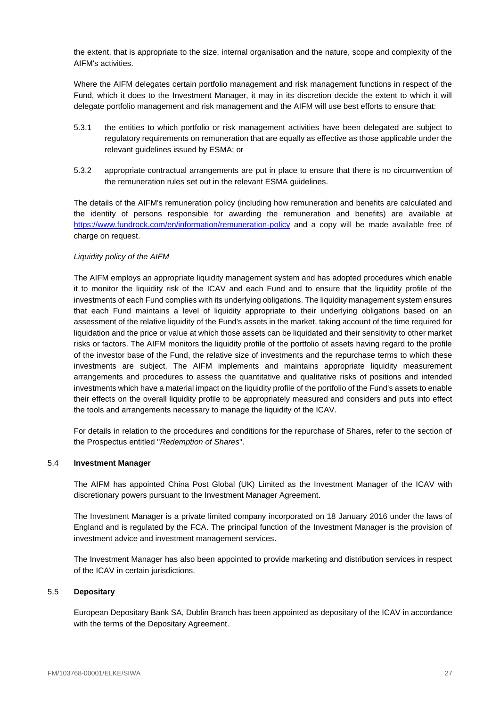the extent, that is appropriate to the size, internal organisation and the nature, scope and complexity of the AIFM's activities.

Where the AIFM delegates certain portfolio management and risk management functions in respect of the Fund, which it does to the Investment Manager, it may in its discretion decide the extent to which it will delegate portfolio management and risk management and the AIFM will use best efforts to ensure that:

- 5.3.1 the entities to which portfolio or risk management activities have been delegated are subject to regulatory requirements on remuneration that are equally as effective as those applicable under the relevant guidelines issued by ESMA; or
- 5.3.2 appropriate contractual arrangements are put in place to ensure that there is no circumvention of the remuneration rules set out in the relevant ESMA guidelines.

The details of the AIFM's remuneration policy (including how remuneration and benefits are calculated and the identity of persons responsible for awarding the remuneration and benefits) are available at <https://www.fundrock.com/en/information/remuneration-policy> and a copy will be made available free of charge on request.

# *Liquidity policy of the AIFM*

The AIFM employs an appropriate liquidity management system and has adopted procedures which enable it to monitor the liquidity risk of the ICAV and each Fund and to ensure that the liquidity profile of the investments of each Fund complies with its underlying obligations. The liquidity management system ensures that each Fund maintains a level of liquidity appropriate to their underlying obligations based on an assessment of the relative liquidity of the Fund's assets in the market, taking account of the time required for liquidation and the price or value at which those assets can be liquidated and their sensitivity to other market risks or factors. The AIFM monitors the liquidity profile of the portfolio of assets having regard to the profile of the investor base of the Fund, the relative size of investments and the repurchase terms to which these investments are subject. The AIFM implements and maintains appropriate liquidity measurement arrangements and procedures to assess the quantitative and qualitative risks of positions and intended investments which have a material impact on the liquidity profile of the portfolio of the Fund's assets to enable their effects on the overall liquidity profile to be appropriately measured and considers and puts into effect the tools and arrangements necessary to manage the liquidity of the ICAV.

For details in relation to the procedures and conditions for the repurchase of Shares, refer to the section of the Prospectus entitled "*Redemption of Shares*".

## 5.4 **Investment Manager**

The AIFM has appointed China Post Global (UK) Limited as the Investment Manager of the ICAV with discretionary powers pursuant to the Investment Manager Agreement.

The Investment Manager is a private limited company incorporated on 18 January 2016 under the laws of England and is regulated by the FCA. The principal function of the Investment Manager is the provision of investment advice and investment management services.

The Investment Manager has also been appointed to provide marketing and distribution services in respect of the ICAV in certain jurisdictions.

## 5.5 **Depositary**

European Depositary Bank SA, Dublin Branch has been appointed as depositary of the ICAV in accordance with the terms of the Depositary Agreement.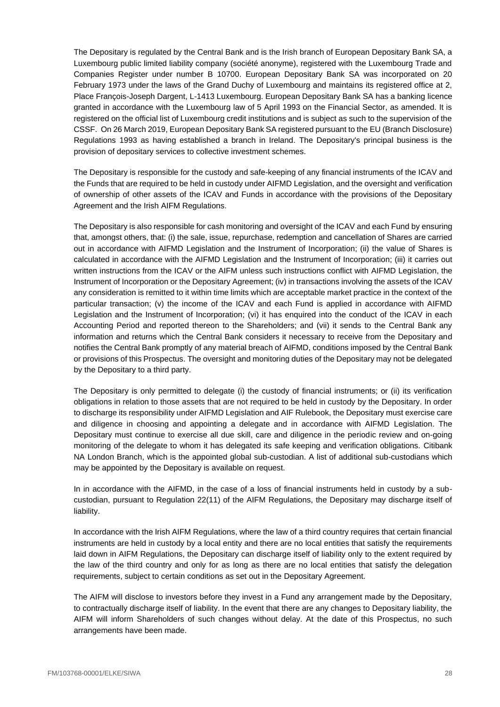The Depositary is regulated by the Central Bank and is the Irish branch of European Depositary Bank SA, a Luxembourg public limited liability company (société anonyme), registered with the Luxembourg Trade and Companies Register under number B 10700. European Depositary Bank SA was incorporated on 20 February 1973 under the laws of the Grand Duchy of Luxembourg and maintains its registered office at 2, Place François-Joseph Dargent, L-1413 Luxembourg. European Depositary Bank SA has a banking licence granted in accordance with the Luxembourg law of 5 April 1993 on the Financial Sector, as amended. It is registered on the official list of Luxembourg credit institutions and is subject as such to the supervision of the CSSF. On 26 March 2019, European Depositary Bank SA registered pursuant to the EU (Branch Disclosure) Regulations 1993 as having established a branch in Ireland. The Depositary's principal business is the provision of depositary services to collective investment schemes.

The Depositary is responsible for the custody and safe-keeping of any financial instruments of the ICAV and the Funds that are required to be held in custody under AIFMD Legislation, and the oversight and verification of ownership of other assets of the ICAV and Funds in accordance with the provisions of the Depositary Agreement and the Irish AIFM Regulations.

The Depositary is also responsible for cash monitoring and oversight of the ICAV and each Fund by ensuring that, amongst others, that: (i) the sale, issue, repurchase, redemption and cancellation of Shares are carried out in accordance with AIFMD Legislation and the Instrument of Incorporation; (ii) the value of Shares is calculated in accordance with the AIFMD Legislation and the Instrument of Incorporation; (iii) it carries out written instructions from the ICAV or the AIFM unless such instructions conflict with AIFMD Legislation, the Instrument of Incorporation or the Depositary Agreement; (iv) in transactions involving the assets of the ICAV any consideration is remitted to it within time limits which are acceptable market practice in the context of the particular transaction; (v) the income of the ICAV and each Fund is applied in accordance with AIFMD Legislation and the Instrument of Incorporation; (vi) it has enquired into the conduct of the ICAV in each Accounting Period and reported thereon to the Shareholders; and (vii) it sends to the Central Bank any information and returns which the Central Bank considers it necessary to receive from the Depositary and notifies the Central Bank promptly of any material breach of AIFMD, conditions imposed by the Central Bank or provisions of this Prospectus. The oversight and monitoring duties of the Depositary may not be delegated by the Depositary to a third party.

The Depositary is only permitted to delegate (i) the custody of financial instruments; or (ii) its verification obligations in relation to those assets that are not required to be held in custody by the Depositary. In order to discharge its responsibility under AIFMD Legislation and AIF Rulebook, the Depositary must exercise care and diligence in choosing and appointing a delegate and in accordance with AIFMD Legislation. The Depositary must continue to exercise all due skill, care and diligence in the periodic review and on-going monitoring of the delegate to whom it has delegated its safe keeping and verification obligations. Citibank NA London Branch, which is the appointed global sub-custodian. A list of additional sub-custodians which may be appointed by the Depositary is available on request.

In in accordance with the AIFMD, in the case of a loss of financial instruments held in custody by a subcustodian, pursuant to Regulation 22(11) of the AIFM Regulations, the Depositary may discharge itself of liability.

In accordance with the Irish AIFM Regulations, where the law of a third country requires that certain financial instruments are held in custody by a local entity and there are no local entities that satisfy the requirements laid down in AIFM Regulations, the Depositary can discharge itself of liability only to the extent required by the law of the third country and only for as long as there are no local entities that satisfy the delegation requirements, subject to certain conditions as set out in the Depositary Agreement.

The AIFM will disclose to investors before they invest in a Fund any arrangement made by the Depositary, to contractually discharge itself of liability. In the event that there are any changes to Depositary liability, the AIFM will inform Shareholders of such changes without delay. At the date of this Prospectus, no such arrangements have been made.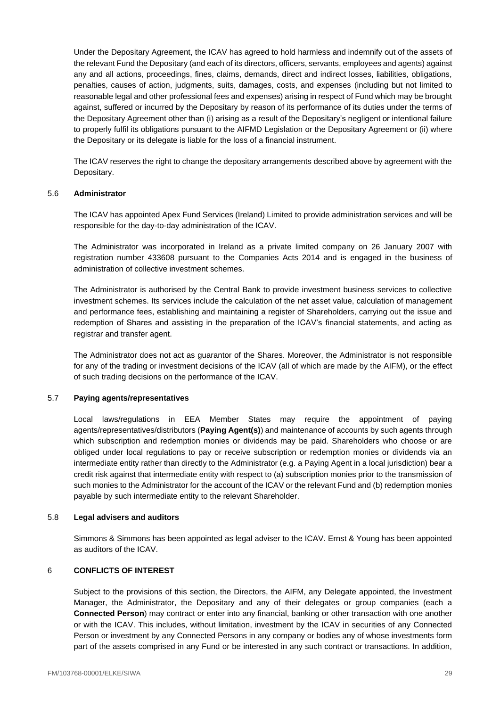Under the Depositary Agreement, the ICAV has agreed to hold harmless and indemnify out of the assets of the relevant Fund the Depositary (and each of its directors, officers, servants, employees and agents) against any and all actions, proceedings, fines, claims, demands, direct and indirect losses, liabilities, obligations, penalties, causes of action, judgments, suits, damages, costs, and expenses (including but not limited to reasonable legal and other professional fees and expenses) arising in respect of Fund which may be brought against, suffered or incurred by the Depositary by reason of its performance of its duties under the terms of the Depositary Agreement other than (i) arising as a result of the Depositary's negligent or intentional failure to properly fulfil its obligations pursuant to the AIFMD Legislation or the Depositary Agreement or (ii) where the Depositary or its delegate is liable for the loss of a financial instrument.

The ICAV reserves the right to change the depositary arrangements described above by agreement with the Depositary.

## 5.6 **Administrator**

The ICAV has appointed Apex Fund Services (Ireland) Limited to provide administration services and will be responsible for the day-to-day administration of the ICAV.

The Administrator was incorporated in Ireland as a private limited company on 26 January 2007 with registration number 433608 pursuant to the Companies Acts 2014 and is engaged in the business of administration of collective investment schemes.

The Administrator is authorised by the Central Bank to provide investment business services to collective investment schemes. Its services include the calculation of the net asset value, calculation of management and performance fees, establishing and maintaining a register of Shareholders, carrying out the issue and redemption of Shares and assisting in the preparation of the ICAV's financial statements, and acting as registrar and transfer agent.

The Administrator does not act as guarantor of the Shares. Moreover, the Administrator is not responsible for any of the trading or investment decisions of the ICAV (all of which are made by the AIFM), or the effect of such trading decisions on the performance of the ICAV.

## 5.7 **Paying agents/representatives**

Local laws/regulations in EEA Member States may require the appointment of paying agents/representatives/distributors (**Paying Agent(s)**) and maintenance of accounts by such agents through which subscription and redemption monies or dividends may be paid. Shareholders who choose or are obliged under local regulations to pay or receive subscription or redemption monies or dividends via an intermediate entity rather than directly to the Administrator (e.g. a Paying Agent in a local jurisdiction) bear a credit risk against that intermediate entity with respect to (a) subscription monies prior to the transmission of such monies to the Administrator for the account of the ICAV or the relevant Fund and (b) redemption monies payable by such intermediate entity to the relevant Shareholder.

## 5.8 **Legal advisers and auditors**

Simmons & Simmons has been appointed as legal adviser to the ICAV. Ernst & Young has been appointed as auditors of the ICAV.

## <span id="page-29-0"></span>6 **CONFLICTS OF INTEREST**

Subject to the provisions of this section, the Directors, the AIFM, any Delegate appointed, the Investment Manager, the Administrator, the Depositary and any of their delegates or group companies (each a **Connected Person**) may contract or enter into any financial, banking or other transaction with one another or with the ICAV. This includes, without limitation, investment by the ICAV in securities of any Connected Person or investment by any Connected Persons in any company or bodies any of whose investments form part of the assets comprised in any Fund or be interested in any such contract or transactions. In addition,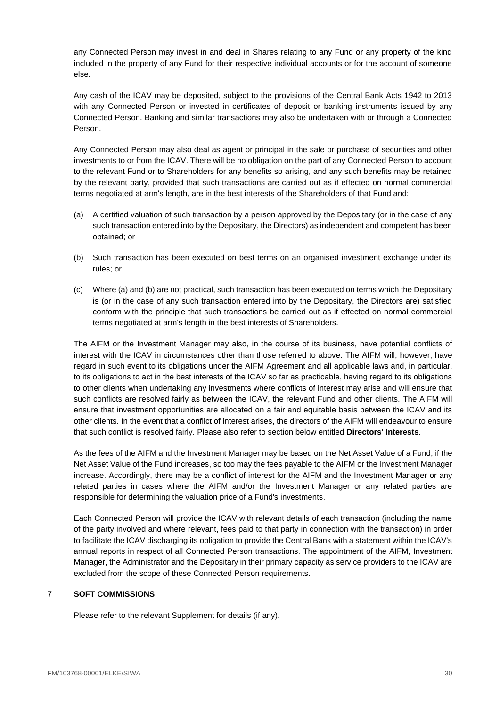any Connected Person may invest in and deal in Shares relating to any Fund or any property of the kind included in the property of any Fund for their respective individual accounts or for the account of someone else.

Any cash of the ICAV may be deposited, subject to the provisions of the Central Bank Acts 1942 to 2013 with any Connected Person or invested in certificates of deposit or banking instruments issued by any Connected Person. Banking and similar transactions may also be undertaken with or through a Connected Person.

Any Connected Person may also deal as agent or principal in the sale or purchase of securities and other investments to or from the ICAV. There will be no obligation on the part of any Connected Person to account to the relevant Fund or to Shareholders for any benefits so arising, and any such benefits may be retained by the relevant party, provided that such transactions are carried out as if effected on normal commercial terms negotiated at arm's length, are in the best interests of the Shareholders of that Fund and:

- (a) A certified valuation of such transaction by a person approved by the Depositary (or in the case of any such transaction entered into by the Depositary, the Directors) as independent and competent has been obtained; or
- (b) Such transaction has been executed on best terms on an organised investment exchange under its rules; or
- (c) Where (a) and (b) are not practical, such transaction has been executed on terms which the Depositary is (or in the case of any such transaction entered into by the Depositary, the Directors are) satisfied conform with the principle that such transactions be carried out as if effected on normal commercial terms negotiated at arm's length in the best interests of Shareholders.

The AIFM or the Investment Manager may also, in the course of its business, have potential conflicts of interest with the ICAV in circumstances other than those referred to above. The AIFM will, however, have regard in such event to its obligations under the AIFM Agreement and all applicable laws and, in particular, to its obligations to act in the best interests of the ICAV so far as practicable, having regard to its obligations to other clients when undertaking any investments where conflicts of interest may arise and will ensure that such conflicts are resolved fairly as between the ICAV, the relevant Fund and other clients. The AIFM will ensure that investment opportunities are allocated on a fair and equitable basis between the ICAV and its other clients. In the event that a conflict of interest arises, the directors of the AIFM will endeavour to ensure that such conflict is resolved fairly. Please also refer to section below entitled **Directors' Interests**.

As the fees of the AIFM and the Investment Manager may be based on the Net Asset Value of a Fund, if the Net Asset Value of the Fund increases, so too may the fees payable to the AIFM or the Investment Manager increase. Accordingly, there may be a conflict of interest for the AIFM and the Investment Manager or any related parties in cases where the AIFM and/or the Investment Manager or any related parties are responsible for determining the valuation price of a Fund's investments.

Each Connected Person will provide the ICAV with relevant details of each transaction (including the name of the party involved and where relevant, fees paid to that party in connection with the transaction) in order to facilitate the ICAV discharging its obligation to provide the Central Bank with a statement within the ICAV's annual reports in respect of all Connected Person transactions. The appointment of the AIFM, Investment Manager, the Administrator and the Depositary in their primary capacity as service providers to the ICAV are excluded from the scope of these Connected Person requirements.

## <span id="page-30-0"></span>7 **SOFT COMMISSIONS**

Please refer to the relevant Supplement for details (if any).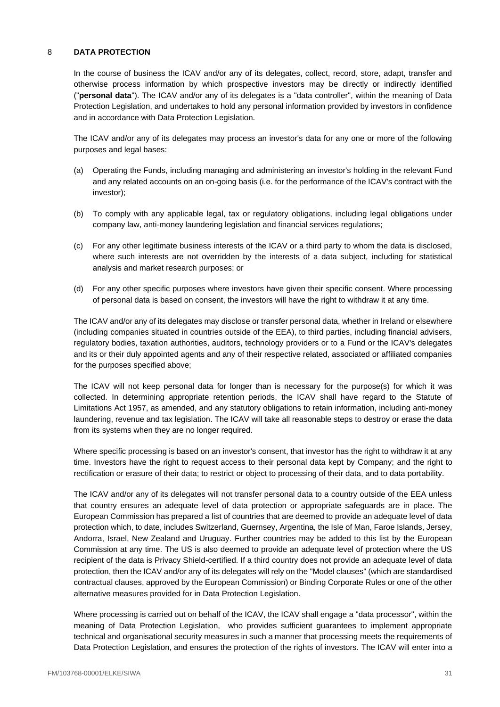# <span id="page-31-0"></span>8 **DATA PROTECTION**

In the course of business the ICAV and/or any of its delegates, collect, record, store, adapt, transfer and otherwise process information by which prospective investors may be directly or indirectly identified ("**personal data**"). The ICAV and/or any of its delegates is a "data controller", within the meaning of Data Protection Legislation, and undertakes to hold any personal information provided by investors in confidence and in accordance with Data Protection Legislation.

The ICAV and/or any of its delegates may process an investor's data for any one or more of the following purposes and legal bases:

- (a) Operating the Funds, including managing and administering an investor's holding in the relevant Fund and any related accounts on an on-going basis (i.e. for the performance of the ICAV's contract with the investor);
- (b) To comply with any applicable legal, tax or regulatory obligations, including legal obligations under company law, anti-money laundering legislation and financial services regulations;
- (c) For any other legitimate business interests of the ICAV or a third party to whom the data is disclosed, where such interests are not overridden by the interests of a data subject, including for statistical analysis and market research purposes; or
- (d) For any other specific purposes where investors have given their specific consent. Where processing of personal data is based on consent, the investors will have the right to withdraw it at any time.

The ICAV and/or any of its delegates may disclose or transfer personal data, whether in Ireland or elsewhere (including companies situated in countries outside of the EEA), to third parties, including financial advisers, regulatory bodies, taxation authorities, auditors, technology providers or to a Fund or the ICAV's delegates and its or their duly appointed agents and any of their respective related, associated or affiliated companies for the purposes specified above;

The ICAV will not keep personal data for longer than is necessary for the purpose(s) for which it was collected. In determining appropriate retention periods, the ICAV shall have regard to the Statute of Limitations Act 1957, as amended, and any statutory obligations to retain information, including anti-money laundering, revenue and tax legislation. The ICAV will take all reasonable steps to destroy or erase the data from its systems when they are no longer required.

Where specific processing is based on an investor's consent, that investor has the right to withdraw it at any time. Investors have the right to request access to their personal data kept by Company; and the right to rectification or erasure of their data; to restrict or object to processing of their data, and to data portability.

The ICAV and/or any of its delegates will not transfer personal data to a country outside of the EEA unless that country ensures an adequate level of data protection or appropriate safeguards are in place. The European Commission has prepared a list of countries that are deemed to provide an adequate level of data protection which, to date, includes Switzerland, Guernsey, Argentina, the Isle of Man, Faroe Islands, Jersey, Andorra, Israel, New Zealand and Uruguay. Further countries may be added to this list by the European Commission at any time. The US is also deemed to provide an adequate level of protection where the US recipient of the data is Privacy Shield-certified. If a third country does not provide an adequate level of data protection, then the ICAV and/or any of its delegates will rely on the "Model clauses" (which are standardised contractual clauses, approved by the European Commission) or Binding Corporate Rules or one of the other alternative measures provided for in Data Protection Legislation.

Where processing is carried out on behalf of the ICAV, the ICAV shall engage a "data processor", within the meaning of Data Protection Legislation, who provides sufficient guarantees to implement appropriate technical and organisational security measures in such a manner that processing meets the requirements of Data Protection Legislation, and ensures the protection of the rights of investors. The ICAV will enter into a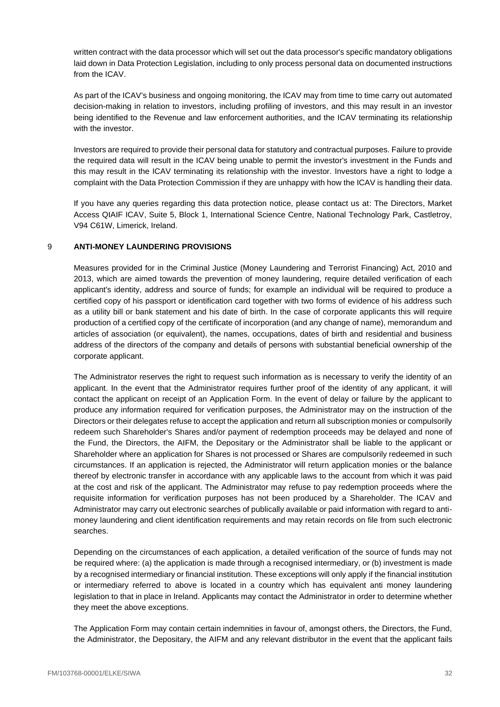written contract with the data processor which will set out the data processor's specific mandatory obligations laid down in Data Protection Legislation, including to only process personal data on documented instructions from the ICAV

As part of the ICAV's business and ongoing monitoring, the ICAV may from time to time carry out automated decision-making in relation to investors, including profiling of investors, and this may result in an investor being identified to the Revenue and law enforcement authorities, and the ICAV terminating its relationship with the investor

Investors are required to provide their personal data for statutory and contractual purposes. Failure to provide the required data will result in the ICAV being unable to permit the investor's investment in the Funds and this may result in the ICAV terminating its relationship with the investor. Investors have a right to lodge a complaint with the Data Protection Commission if they are unhappy with how the ICAV is handling their data.

If you have any queries regarding this data protection notice, please contact us at: The Directors, Market Access QIAIF ICAV, Suite 5, Block 1, International Science Centre, National Technology Park, Castletroy, V94 C61W, Limerick, Ireland.

# <span id="page-32-0"></span>9 **ANTI-MONEY LAUNDERING PROVISIONS**

Measures provided for in the Criminal Justice (Money Laundering and Terrorist Financing) Act, 2010 and 2013, which are aimed towards the prevention of money laundering, require detailed verification of each applicant's identity, address and source of funds; for example an individual will be required to produce a certified copy of his passport or identification card together with two forms of evidence of his address such as a utility bill or bank statement and his date of birth. In the case of corporate applicants this will require production of a certified copy of the certificate of incorporation (and any change of name), memorandum and articles of association (or equivalent), the names, occupations, dates of birth and residential and business address of the directors of the company and details of persons with substantial beneficial ownership of the corporate applicant.

The Administrator reserves the right to request such information as is necessary to verify the identity of an applicant. In the event that the Administrator requires further proof of the identity of any applicant, it will contact the applicant on receipt of an Application Form. In the event of delay or failure by the applicant to produce any information required for verification purposes, the Administrator may on the instruction of the Directors or their delegates refuse to accept the application and return all subscription monies or compulsorily redeem such Shareholder's Shares and/or payment of redemption proceeds may be delayed and none of the Fund, the Directors, the AIFM, the Depositary or the Administrator shall be liable to the applicant or Shareholder where an application for Shares is not processed or Shares are compulsorily redeemed in such circumstances. If an application is rejected, the Administrator will return application monies or the balance thereof by electronic transfer in accordance with any applicable laws to the account from which it was paid at the cost and risk of the applicant. The Administrator may refuse to pay redemption proceeds where the requisite information for verification purposes has not been produced by a Shareholder. The ICAV and Administrator may carry out electronic searches of publically available or paid information with regard to antimoney laundering and client identification requirements and may retain records on file from such electronic searches.

Depending on the circumstances of each application, a detailed verification of the source of funds may not be required where: (a) the application is made through a recognised intermediary, or (b) investment is made by a recognised intermediary or financial institution. These exceptions will only apply if the financial institution or intermediary referred to above is located in a country which has equivalent anti money laundering legislation to that in place in Ireland. Applicants may contact the Administrator in order to determine whether they meet the above exceptions.

The Application Form may contain certain indemnities in favour of, amongst others, the Directors, the Fund, the Administrator, the Depositary, the AIFM and any relevant distributor in the event that the applicant fails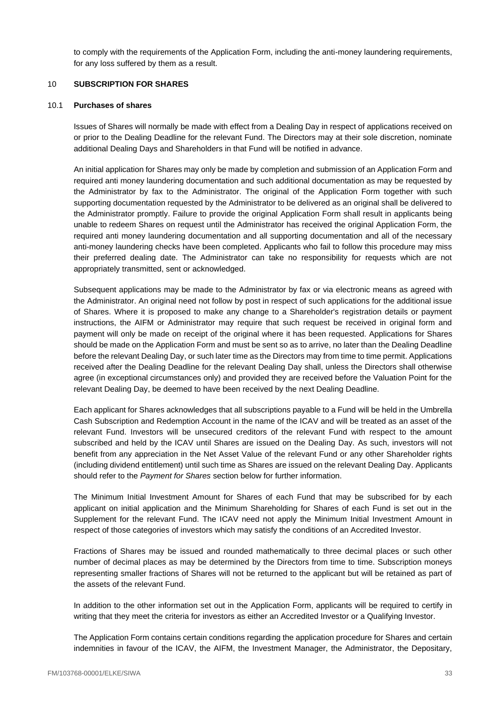to comply with the requirements of the Application Form, including the anti-money laundering requirements, for any loss suffered by them as a result.

## <span id="page-33-0"></span>10 **SUBSCRIPTION FOR SHARES**

## 10.1 **Purchases of shares**

Issues of Shares will normally be made with effect from a Dealing Day in respect of applications received on or prior to the Dealing Deadline for the relevant Fund. The Directors may at their sole discretion, nominate additional Dealing Days and Shareholders in that Fund will be notified in advance.

An initial application for Shares may only be made by completion and submission of an Application Form and required anti money laundering documentation and such additional documentation as may be requested by the Administrator by fax to the Administrator. The original of the Application Form together with such supporting documentation requested by the Administrator to be delivered as an original shall be delivered to the Administrator promptly. Failure to provide the original Application Form shall result in applicants being unable to redeem Shares on request until the Administrator has received the original Application Form, the required anti money laundering documentation and all supporting documentation and all of the necessary anti-money laundering checks have been completed. Applicants who fail to follow this procedure may miss their preferred dealing date. The Administrator can take no responsibility for requests which are not appropriately transmitted, sent or acknowledged.

Subsequent applications may be made to the Administrator by fax or via electronic means as agreed with the Administrator. An original need not follow by post in respect of such applications for the additional issue of Shares. Where it is proposed to make any change to a Shareholder's registration details or payment instructions, the AIFM or Administrator may require that such request be received in original form and payment will only be made on receipt of the original where it has been requested. Applications for Shares should be made on the Application Form and must be sent so as to arrive, no later than the Dealing Deadline before the relevant Dealing Day, or such later time as the Directors may from time to time permit. Applications received after the Dealing Deadline for the relevant Dealing Day shall, unless the Directors shall otherwise agree (in exceptional circumstances only) and provided they are received before the Valuation Point for the relevant Dealing Day, be deemed to have been received by the next Dealing Deadline.

Each applicant for Shares acknowledges that all subscriptions payable to a Fund will be held in the Umbrella Cash Subscription and Redemption Account in the name of the ICAV and will be treated as an asset of the relevant Fund. Investors will be unsecured creditors of the relevant Fund with respect to the amount subscribed and held by the ICAV until Shares are issued on the Dealing Day. As such, investors will not benefit from any appreciation in the Net Asset Value of the relevant Fund or any other Shareholder rights (including dividend entitlement) until such time as Shares are issued on the relevant Dealing Day. Applicants should refer to the *Payment for Shares* section below for further information.

The Minimum Initial Investment Amount for Shares of each Fund that may be subscribed for by each applicant on initial application and the Minimum Shareholding for Shares of each Fund is set out in the Supplement for the relevant Fund. The ICAV need not apply the Minimum Initial Investment Amount in respect of those categories of investors which may satisfy the conditions of an Accredited Investor.

Fractions of Shares may be issued and rounded mathematically to three decimal places or such other number of decimal places as may be determined by the Directors from time to time. Subscription moneys representing smaller fractions of Shares will not be returned to the applicant but will be retained as part of the assets of the relevant Fund.

In addition to the other information set out in the Application Form, applicants will be required to certify in writing that they meet the criteria for investors as either an Accredited Investor or a Qualifying Investor.

The Application Form contains certain conditions regarding the application procedure for Shares and certain indemnities in favour of the ICAV, the AIFM, the Investment Manager, the Administrator, the Depositary,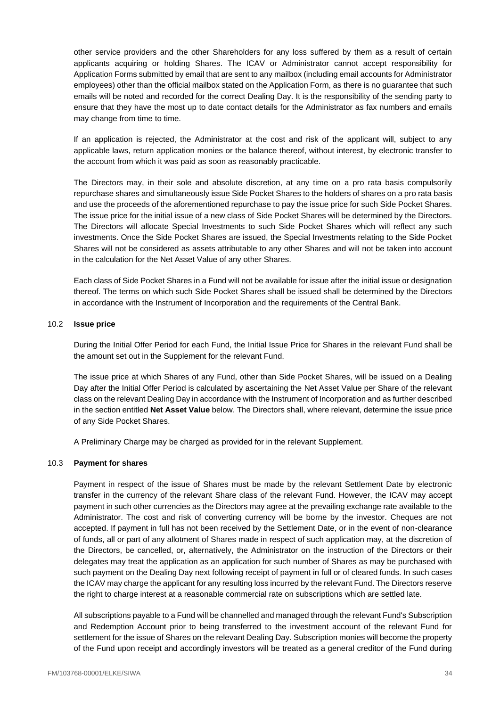other service providers and the other Shareholders for any loss suffered by them as a result of certain applicants acquiring or holding Shares. The ICAV or Administrator cannot accept responsibility for Application Forms submitted by email that are sent to any mailbox (including email accounts for Administrator employees) other than the official mailbox stated on the Application Form, as there is no guarantee that such emails will be noted and recorded for the correct Dealing Day. It is the responsibility of the sending party to ensure that they have the most up to date contact details for the Administrator as fax numbers and emails may change from time to time.

If an application is rejected, the Administrator at the cost and risk of the applicant will, subject to any applicable laws, return application monies or the balance thereof, without interest, by electronic transfer to the account from which it was paid as soon as reasonably practicable.

The Directors may, in their sole and absolute discretion, at any time on a pro rata basis compulsorily repurchase shares and simultaneously issue Side Pocket Shares to the holders of shares on a pro rata basis and use the proceeds of the aforementioned repurchase to pay the issue price for such Side Pocket Shares. The issue price for the initial issue of a new class of Side Pocket Shares will be determined by the Directors. The Directors will allocate Special Investments to such Side Pocket Shares which will reflect any such investments. Once the Side Pocket Shares are issued, the Special Investments relating to the Side Pocket Shares will not be considered as assets attributable to any other Shares and will not be taken into account in the calculation for the Net Asset Value of any other Shares.

Each class of Side Pocket Shares in a Fund will not be available for issue after the initial issue or designation thereof. The terms on which such Side Pocket Shares shall be issued shall be determined by the Directors in accordance with the Instrument of Incorporation and the requirements of the Central Bank.

## 10.2 **Issue price**

During the Initial Offer Period for each Fund, the Initial Issue Price for Shares in the relevant Fund shall be the amount set out in the Supplement for the relevant Fund.

The issue price at which Shares of any Fund, other than Side Pocket Shares, will be issued on a Dealing Day after the Initial Offer Period is calculated by ascertaining the Net Asset Value per Share of the relevant class on the relevant Dealing Day in accordance with the Instrument of Incorporation and as further described in the section entitled **Net Asset Value** below. The Directors shall, where relevant, determine the issue price of any Side Pocket Shares.

A Preliminary Charge may be charged as provided for in the relevant Supplement.

## 10.3 **Payment for shares**

Payment in respect of the issue of Shares must be made by the relevant Settlement Date by electronic transfer in the currency of the relevant Share class of the relevant Fund. However, the ICAV may accept payment in such other currencies as the Directors may agree at the prevailing exchange rate available to the Administrator. The cost and risk of converting currency will be borne by the investor. Cheques are not accepted. If payment in full has not been received by the Settlement Date, or in the event of non-clearance of funds, all or part of any allotment of Shares made in respect of such application may, at the discretion of the Directors, be cancelled, or, alternatively, the Administrator on the instruction of the Directors or their delegates may treat the application as an application for such number of Shares as may be purchased with such payment on the Dealing Day next following receipt of payment in full or of cleared funds. In such cases the ICAV may charge the applicant for any resulting loss incurred by the relevant Fund. The Directors reserve the right to charge interest at a reasonable commercial rate on subscriptions which are settled late.

All subscriptions payable to a Fund will be channelled and managed through the relevant Fund's Subscription and Redemption Account prior to being transferred to the investment account of the relevant Fund for settlement for the issue of Shares on the relevant Dealing Day. Subscription monies will become the property of the Fund upon receipt and accordingly investors will be treated as a general creditor of the Fund during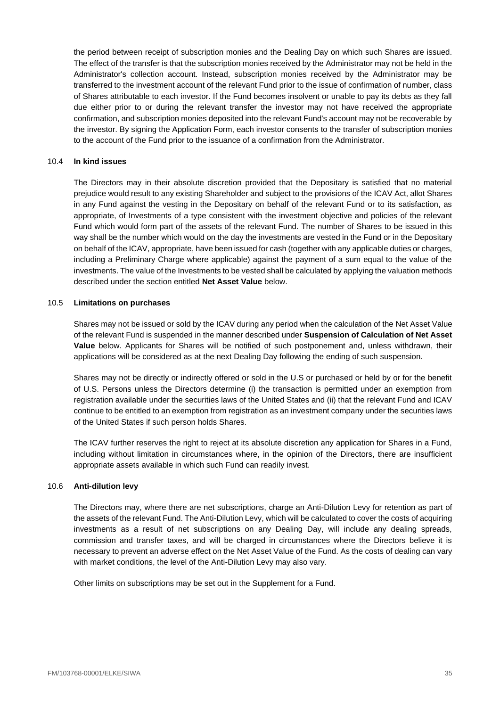the period between receipt of subscription monies and the Dealing Day on which such Shares are issued. The effect of the transfer is that the subscription monies received by the Administrator may not be held in the Administrator's collection account. Instead, subscription monies received by the Administrator may be transferred to the investment account of the relevant Fund prior to the issue of confirmation of number, class of Shares attributable to each investor. If the Fund becomes insolvent or unable to pay its debts as they fall due either prior to or during the relevant transfer the investor may not have received the appropriate confirmation, and subscription monies deposited into the relevant Fund's account may not be recoverable by the investor. By signing the Application Form, each investor consents to the transfer of subscription monies to the account of the Fund prior to the issuance of a confirmation from the Administrator.

# 10.4 **In kind issues**

The Directors may in their absolute discretion provided that the Depositary is satisfied that no material prejudice would result to any existing Shareholder and subject to the provisions of the ICAV Act, allot Shares in any Fund against the vesting in the Depositary on behalf of the relevant Fund or to its satisfaction, as appropriate, of Investments of a type consistent with the investment objective and policies of the relevant Fund which would form part of the assets of the relevant Fund. The number of Shares to be issued in this way shall be the number which would on the day the investments are vested in the Fund or in the Depositary on behalf of the ICAV, appropriate, have been issued for cash (together with any applicable duties or charges, including a Preliminary Charge where applicable) against the payment of a sum equal to the value of the investments. The value of the Investments to be vested shall be calculated by applying the valuation methods described under the section entitled **Net Asset Value** below.

## 10.5 **Limitations on purchases**

Shares may not be issued or sold by the ICAV during any period when the calculation of the Net Asset Value of the relevant Fund is suspended in the manner described under **Suspension of Calculation of Net Asset Value** below. Applicants for Shares will be notified of such postponement and, unless withdrawn, their applications will be considered as at the next Dealing Day following the ending of such suspension.

Shares may not be directly or indirectly offered or sold in the U.S or purchased or held by or for the benefit of U.S. Persons unless the Directors determine (i) the transaction is permitted under an exemption from registration available under the securities laws of the United States and (ii) that the relevant Fund and ICAV continue to be entitled to an exemption from registration as an investment company under the securities laws of the United States if such person holds Shares.

The ICAV further reserves the right to reject at its absolute discretion any application for Shares in a Fund, including without limitation in circumstances where, in the opinion of the Directors, there are insufficient appropriate assets available in which such Fund can readily invest.

## 10.6 **Anti-dilution levy**

The Directors may, where there are net subscriptions, charge an Anti-Dilution Levy for retention as part of the assets of the relevant Fund. The Anti-Dilution Levy, which will be calculated to cover the costs of acquiring investments as a result of net subscriptions on any Dealing Day, will include any dealing spreads, commission and transfer taxes, and will be charged in circumstances where the Directors believe it is necessary to prevent an adverse effect on the Net Asset Value of the Fund. As the costs of dealing can vary with market conditions, the level of the Anti-Dilution Levy may also vary.

Other limits on subscriptions may be set out in the Supplement for a Fund.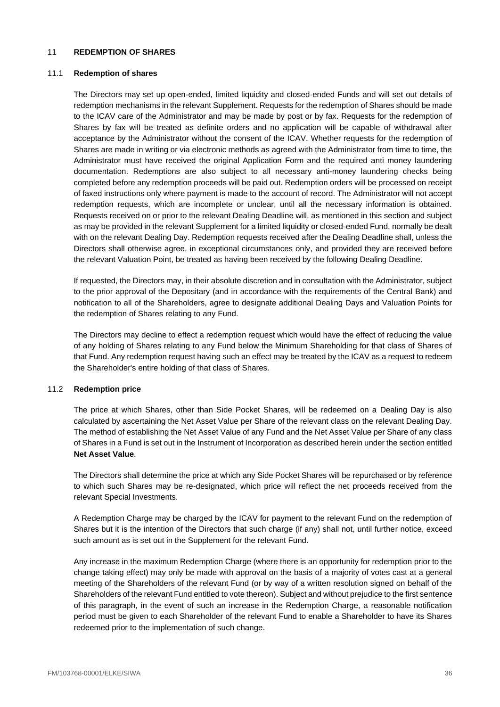### <span id="page-36-0"></span>11 **REDEMPTION OF SHARES**

#### 11.1 **Redemption of shares**

The Directors may set up open-ended, limited liquidity and closed-ended Funds and will set out details of redemption mechanisms in the relevant Supplement. Requests for the redemption of Shares should be made to the ICAV care of the Administrator and may be made by post or by fax. Requests for the redemption of Shares by fax will be treated as definite orders and no application will be capable of withdrawal after acceptance by the Administrator without the consent of the ICAV. Whether requests for the redemption of Shares are made in writing or via electronic methods as agreed with the Administrator from time to time, the Administrator must have received the original Application Form and the required anti money laundering documentation. Redemptions are also subject to all necessary anti-money laundering checks being completed before any redemption proceeds will be paid out. Redemption orders will be processed on receipt of faxed instructions only where payment is made to the account of record. The Administrator will not accept redemption requests, which are incomplete or unclear, until all the necessary information is obtained. Requests received on or prior to the relevant Dealing Deadline will, as mentioned in this section and subject as may be provided in the relevant Supplement for a limited liquidity or closed-ended Fund, normally be dealt with on the relevant Dealing Day. Redemption requests received after the Dealing Deadline shall, unless the Directors shall otherwise agree, in exceptional circumstances only, and provided they are received before the relevant Valuation Point, be treated as having been received by the following Dealing Deadline.

If requested, the Directors may, in their absolute discretion and in consultation with the Administrator, subject to the prior approval of the Depositary (and in accordance with the requirements of the Central Bank) and notification to all of the Shareholders, agree to designate additional Dealing Days and Valuation Points for the redemption of Shares relating to any Fund.

The Directors may decline to effect a redemption request which would have the effect of reducing the value of any holding of Shares relating to any Fund below the Minimum Shareholding for that class of Shares of that Fund. Any redemption request having such an effect may be treated by the ICAV as a request to redeem the Shareholder's entire holding of that class of Shares.

#### 11.2 **Redemption price**

The price at which Shares, other than Side Pocket Shares, will be redeemed on a Dealing Day is also calculated by ascertaining the Net Asset Value per Share of the relevant class on the relevant Dealing Day. The method of establishing the Net Asset Value of any Fund and the Net Asset Value per Share of any class of Shares in a Fund is set out in the Instrument of Incorporation as described herein under the section entitled **Net Asset Value**.

The Directors shall determine the price at which any Side Pocket Shares will be repurchased or by reference to which such Shares may be re-designated, which price will reflect the net proceeds received from the relevant Special Investments.

A Redemption Charge may be charged by the ICAV for payment to the relevant Fund on the redemption of Shares but it is the intention of the Directors that such charge (if any) shall not, until further notice, exceed such amount as is set out in the Supplement for the relevant Fund.

Any increase in the maximum Redemption Charge (where there is an opportunity for redemption prior to the change taking effect) may only be made with approval on the basis of a majority of votes cast at a general meeting of the Shareholders of the relevant Fund (or by way of a written resolution signed on behalf of the Shareholders of the relevant Fund entitled to vote thereon). Subject and without prejudice to the first sentence of this paragraph, in the event of such an increase in the Redemption Charge, a reasonable notification period must be given to each Shareholder of the relevant Fund to enable a Shareholder to have its Shares redeemed prior to the implementation of such change.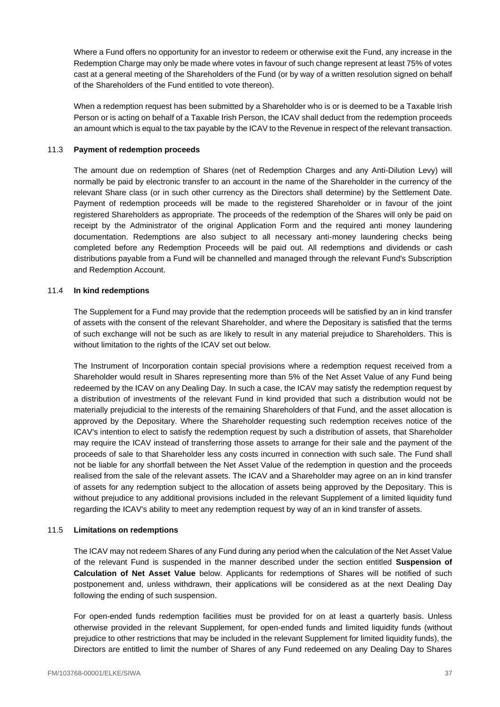Where a Fund offers no opportunity for an investor to redeem or otherwise exit the Fund, any increase in the Redemption Charge may only be made where votes in favour of such change represent at least 75% of votes cast at a general meeting of the Shareholders of the Fund (or by way of a written resolution signed on behalf of the Shareholders of the Fund entitled to vote thereon).

When a redemption request has been submitted by a Shareholder who is or is deemed to be a Taxable Irish Person or is acting on behalf of a Taxable Irish Person, the ICAV shall deduct from the redemption proceeds an amount which is equal to the tax payable by the ICAV to the Revenue in respect of the relevant transaction.

# 11.3 **Payment of redemption proceeds**

The amount due on redemption of Shares (net of Redemption Charges and any Anti-Dilution Levy) will normally be paid by electronic transfer to an account in the name of the Shareholder in the currency of the relevant Share class (or in such other currency as the Directors shall determine) by the Settlement Date. Payment of redemption proceeds will be made to the registered Shareholder or in favour of the joint registered Shareholders as appropriate. The proceeds of the redemption of the Shares will only be paid on receipt by the Administrator of the original Application Form and the required anti money laundering documentation. Redemptions are also subject to all necessary anti-money laundering checks being completed before any Redemption Proceeds will be paid out. All redemptions and dividends or cash distributions payable from a Fund will be channelled and managed through the relevant Fund's Subscription and Redemption Account.

## 11.4 **In kind redemptions**

The Supplement for a Fund may provide that the redemption proceeds will be satisfied by an in kind transfer of assets with the consent of the relevant Shareholder, and where the Depositary is satisfied that the terms of such exchange will not be such as are likely to result in any material prejudice to Shareholders. This is without limitation to the rights of the ICAV set out below.

The Instrument of Incorporation contain special provisions where a redemption request received from a Shareholder would result in Shares representing more than 5% of the Net Asset Value of any Fund being redeemed by the ICAV on any Dealing Day. In such a case, the ICAV may satisfy the redemption request by a distribution of investments of the relevant Fund in kind provided that such a distribution would not be materially prejudicial to the interests of the remaining Shareholders of that Fund, and the asset allocation is approved by the Depositary. Where the Shareholder requesting such redemption receives notice of the ICAV's intention to elect to satisfy the redemption request by such a distribution of assets, that Shareholder may require the ICAV instead of transferring those assets to arrange for their sale and the payment of the proceeds of sale to that Shareholder less any costs incurred in connection with such sale. The Fund shall not be liable for any shortfall between the Net Asset Value of the redemption in question and the proceeds realised from the sale of the relevant assets. The ICAV and a Shareholder may agree on an in kind transfer of assets for any redemption subject to the allocation of assets being approved by the Depositary. This is without prejudice to any additional provisions included in the relevant Supplement of a limited liquidity fund regarding the ICAV's ability to meet any redemption request by way of an in kind transfer of assets.

## 11.5 **Limitations on redemptions**

The ICAV may not redeem Shares of any Fund during any period when the calculation of the Net Asset Value of the relevant Fund is suspended in the manner described under the section entitled **Suspension of Calculation of Net Asset Value** below. Applicants for redemptions of Shares will be notified of such postponement and, unless withdrawn, their applications will be considered as at the next Dealing Day following the ending of such suspension.

For open-ended funds redemption facilities must be provided for on at least a quarterly basis. Unless otherwise provided in the relevant Supplement, for open-ended funds and limited liquidity funds (without prejudice to other restrictions that may be included in the relevant Supplement for limited liquidity funds), the Directors are entitled to limit the number of Shares of any Fund redeemed on any Dealing Day to Shares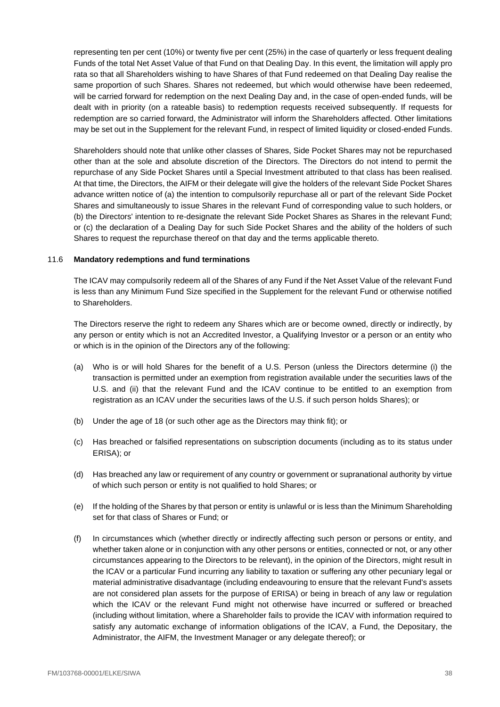representing ten per cent (10%) or twenty five per cent (25%) in the case of quarterly or less frequent dealing Funds of the total Net Asset Value of that Fund on that Dealing Day. In this event, the limitation will apply pro rata so that all Shareholders wishing to have Shares of that Fund redeemed on that Dealing Day realise the same proportion of such Shares. Shares not redeemed, but which would otherwise have been redeemed, will be carried forward for redemption on the next Dealing Day and, in the case of open-ended funds, will be dealt with in priority (on a rateable basis) to redemption requests received subsequently. If requests for redemption are so carried forward, the Administrator will inform the Shareholders affected. Other limitations may be set out in the Supplement for the relevant Fund, in respect of limited liquidity or closed-ended Funds.

Shareholders should note that unlike other classes of Shares, Side Pocket Shares may not be repurchased other than at the sole and absolute discretion of the Directors. The Directors do not intend to permit the repurchase of any Side Pocket Shares until a Special Investment attributed to that class has been realised. At that time, the Directors, the AIFM or their delegate will give the holders of the relevant Side Pocket Shares advance written notice of (a) the intention to compulsorily repurchase all or part of the relevant Side Pocket Shares and simultaneously to issue Shares in the relevant Fund of corresponding value to such holders, or (b) the Directors' intention to re-designate the relevant Side Pocket Shares as Shares in the relevant Fund; or (c) the declaration of a Dealing Day for such Side Pocket Shares and the ability of the holders of such Shares to request the repurchase thereof on that day and the terms applicable thereto.

### <span id="page-38-0"></span>11.6 **Mandatory redemptions and fund terminations**

The ICAV may compulsorily redeem all of the Shares of any Fund if the Net Asset Value of the relevant Fund is less than any Minimum Fund Size specified in the Supplement for the relevant Fund or otherwise notified to Shareholders.

The Directors reserve the right to redeem any Shares which are or become owned, directly or indirectly, by any person or entity which is not an Accredited Investor, a Qualifying Investor or a person or an entity who or which is in the opinion of the Directors any of the following:

- (a) Who is or will hold Shares for the benefit of a U.S. Person (unless the Directors determine (i) the transaction is permitted under an exemption from registration available under the securities laws of the U.S. and (ii) that the relevant Fund and the ICAV continue to be entitled to an exemption from registration as an ICAV under the securities laws of the U.S. if such person holds Shares); or
- (b) Under the age of 18 (or such other age as the Directors may think fit); or
- (c) Has breached or falsified representations on subscription documents (including as to its status under ERISA); or
- (d) Has breached any law or requirement of any country or government or supranational authority by virtue of which such person or entity is not qualified to hold Shares; or
- (e) If the holding of the Shares by that person or entity is unlawful or is less than the Minimum Shareholding set for that class of Shares or Fund; or
- (f) In circumstances which (whether directly or indirectly affecting such person or persons or entity, and whether taken alone or in conjunction with any other persons or entities, connected or not, or any other circumstances appearing to the Directors to be relevant), in the opinion of the Directors, might result in the ICAV or a particular Fund incurring any liability to taxation or suffering any other pecuniary legal or material administrative disadvantage (including endeavouring to ensure that the relevant Fund's assets are not considered plan assets for the purpose of ERISA) or being in breach of any law or regulation which the ICAV or the relevant Fund might not otherwise have incurred or suffered or breached (including without limitation, where a Shareholder fails to provide the ICAV with information required to satisfy any automatic exchange of information obligations of the ICAV, a Fund, the Depositary, the Administrator, the AIFM, the Investment Manager or any delegate thereof); or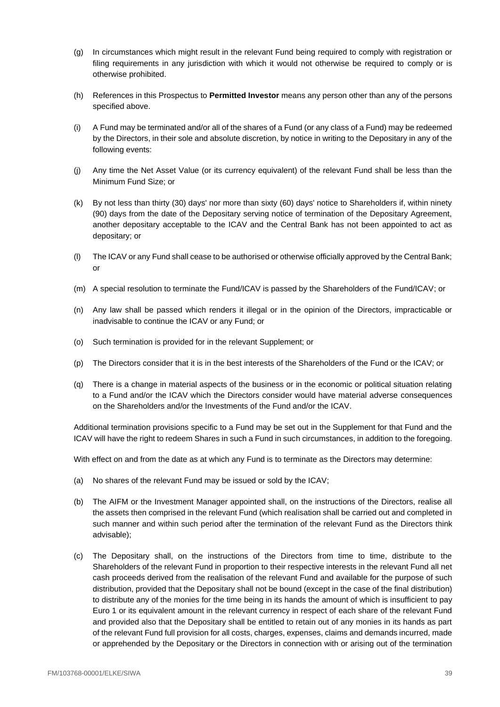- (g) In circumstances which might result in the relevant Fund being required to comply with registration or filing requirements in any jurisdiction with which it would not otherwise be required to comply or is otherwise prohibited.
- (h) References in this Prospectus to **Permitted Investor** means any person other than any of the persons specified above.
- (i) A Fund may be terminated and/or all of the shares of a Fund (or any class of a Fund) may be redeemed by the Directors, in their sole and absolute discretion, by notice in writing to the Depositary in any of the following events:
- (j) Any time the Net Asset Value (or its currency equivalent) of the relevant Fund shall be less than the Minimum Fund Size; or
- (k) By not less than thirty (30) days' nor more than sixty (60) days' notice to Shareholders if, within ninety (90) days from the date of the Depositary serving notice of termination of the Depositary Agreement, another depositary acceptable to the ICAV and the Central Bank has not been appointed to act as depositary; or
- (l) The ICAV or any Fund shall cease to be authorised or otherwise officially approved by the Central Bank; or
- (m) A special resolution to terminate the Fund/ICAV is passed by the Shareholders of the Fund/ICAV; or
- (n) Any law shall be passed which renders it illegal or in the opinion of the Directors, impracticable or inadvisable to continue the ICAV or any Fund; or
- (o) Such termination is provided for in the relevant Supplement; or
- (p) The Directors consider that it is in the best interests of the Shareholders of the Fund or the ICAV; or
- (q) There is a change in material aspects of the business or in the economic or political situation relating to a Fund and/or the ICAV which the Directors consider would have material adverse consequences on the Shareholders and/or the Investments of the Fund and/or the ICAV.

Additional termination provisions specific to a Fund may be set out in the Supplement for that Fund and the ICAV will have the right to redeem Shares in such a Fund in such circumstances, in addition to the foregoing.

With effect on and from the date as at which any Fund is to terminate as the Directors may determine:

- (a) No shares of the relevant Fund may be issued or sold by the ICAV;
- (b) The AIFM or the Investment Manager appointed shall, on the instructions of the Directors, realise all the assets then comprised in the relevant Fund (which realisation shall be carried out and completed in such manner and within such period after the termination of the relevant Fund as the Directors think advisable);
- (c) The Depositary shall, on the instructions of the Directors from time to time, distribute to the Shareholders of the relevant Fund in proportion to their respective interests in the relevant Fund all net cash proceeds derived from the realisation of the relevant Fund and available for the purpose of such distribution, provided that the Depositary shall not be bound (except in the case of the final distribution) to distribute any of the monies for the time being in its hands the amount of which is insufficient to pay Euro 1 or its equivalent amount in the relevant currency in respect of each share of the relevant Fund and provided also that the Depositary shall be entitled to retain out of any monies in its hands as part of the relevant Fund full provision for all costs, charges, expenses, claims and demands incurred, made or apprehended by the Depositary or the Directors in connection with or arising out of the termination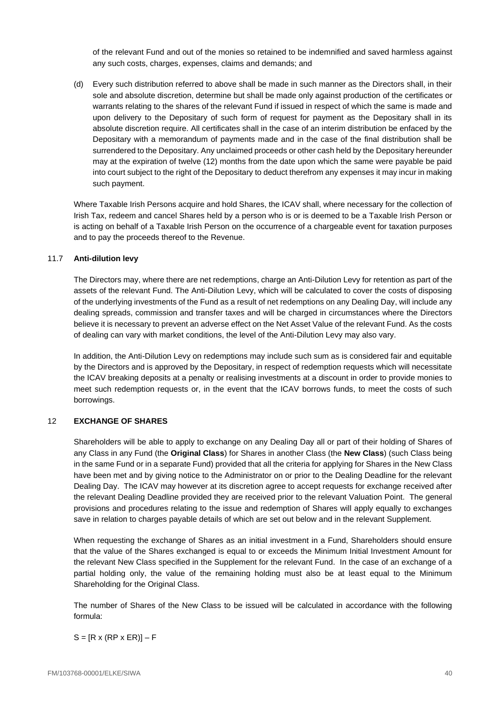of the relevant Fund and out of the monies so retained to be indemnified and saved harmless against any such costs, charges, expenses, claims and demands; and

(d) Every such distribution referred to above shall be made in such manner as the Directors shall, in their sole and absolute discretion, determine but shall be made only against production of the certificates or warrants relating to the shares of the relevant Fund if issued in respect of which the same is made and upon delivery to the Depositary of such form of request for payment as the Depositary shall in its absolute discretion require. All certificates shall in the case of an interim distribution be enfaced by the Depositary with a memorandum of payments made and in the case of the final distribution shall be surrendered to the Depositary. Any unclaimed proceeds or other cash held by the Depositary hereunder may at the expiration of twelve (12) months from the date upon which the same were payable be paid into court subject to the right of the Depositary to deduct therefrom any expenses it may incur in making such payment.

Where Taxable Irish Persons acquire and hold Shares, the ICAV shall, where necessary for the collection of Irish Tax, redeem and cancel Shares held by a person who is or is deemed to be a Taxable Irish Person or is acting on behalf of a Taxable Irish Person on the occurrence of a chargeable event for taxation purposes and to pay the proceeds thereof to the Revenue.

# 11.7 **Anti-dilution levy**

The Directors may, where there are net redemptions, charge an Anti-Dilution Levy for retention as part of the assets of the relevant Fund. The Anti-Dilution Levy, which will be calculated to cover the costs of disposing of the underlying investments of the Fund as a result of net redemptions on any Dealing Day, will include any dealing spreads, commission and transfer taxes and will be charged in circumstances where the Directors believe it is necessary to prevent an adverse effect on the Net Asset Value of the relevant Fund. As the costs of dealing can vary with market conditions, the level of the Anti-Dilution Levy may also vary.

In addition, the Anti-Dilution Levy on redemptions may include such sum as is considered fair and equitable by the Directors and is approved by the Depositary, in respect of redemption requests which will necessitate the ICAV breaking deposits at a penalty or realising investments at a discount in order to provide monies to meet such redemption requests or, in the event that the ICAV borrows funds, to meet the costs of such borrowings.

# <span id="page-40-0"></span>12 **EXCHANGE OF SHARES**

Shareholders will be able to apply to exchange on any Dealing Day all or part of their holding of Shares of any Class in any Fund (the **Original Class**) for Shares in another Class (the **New Class**) (such Class being in the same Fund or in a separate Fund) provided that all the criteria for applying for Shares in the New Class have been met and by giving notice to the Administrator on or prior to the Dealing Deadline for the relevant Dealing Day. The ICAV may however at its discretion agree to accept requests for exchange received after the relevant Dealing Deadline provided they are received prior to the relevant Valuation Point. The general provisions and procedures relating to the issue and redemption of Shares will apply equally to exchanges save in relation to charges payable details of which are set out below and in the relevant Supplement.

When requesting the exchange of Shares as an initial investment in a Fund, Shareholders should ensure that the value of the Shares exchanged is equal to or exceeds the Minimum Initial Investment Amount for the relevant New Class specified in the Supplement for the relevant Fund. In the case of an exchange of a partial holding only, the value of the remaining holding must also be at least equal to the Minimum Shareholding for the Original Class.

The number of Shares of the New Class to be issued will be calculated in accordance with the following formula:

 $S = [R \times (RP \times ER)] - F$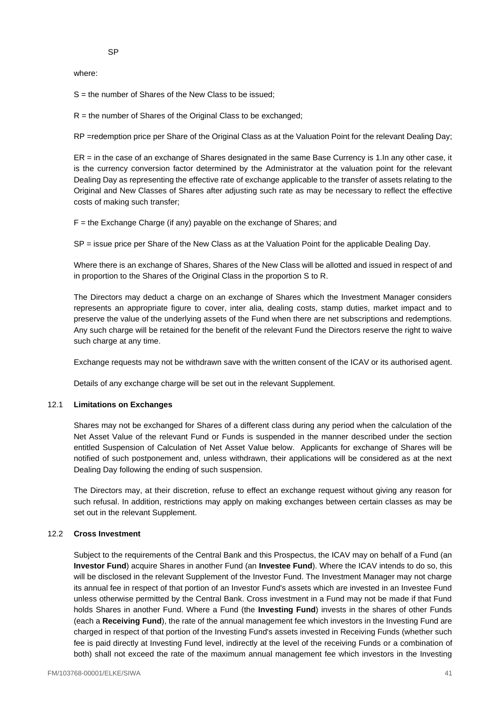where:

S = the number of Shares of the New Class to be issued;

 $R =$  the number of Shares of the Original Class to be exchanged;

RP =redemption price per Share of the Original Class as at the Valuation Point for the relevant Dealing Day:

ER = in the case of an exchange of Shares designated in the same Base Currency is 1.In any other case, it is the currency conversion factor determined by the Administrator at the valuation point for the relevant Dealing Day as representing the effective rate of exchange applicable to the transfer of assets relating to the Original and New Classes of Shares after adjusting such rate as may be necessary to reflect the effective costs of making such transfer;

F = the Exchange Charge (if any) payable on the exchange of Shares; and

SP = issue price per Share of the New Class as at the Valuation Point for the applicable Dealing Day.

Where there is an exchange of Shares, Shares of the New Class will be allotted and issued in respect of and in proportion to the Shares of the Original Class in the proportion S to R.

The Directors may deduct a charge on an exchange of Shares which the Investment Manager considers represents an appropriate figure to cover, inter alia, dealing costs, stamp duties, market impact and to preserve the value of the underlying assets of the Fund when there are net subscriptions and redemptions. Any such charge will be retained for the benefit of the relevant Fund the Directors reserve the right to waive such charge at any time.

Exchange requests may not be withdrawn save with the written consent of the ICAV or its authorised agent.

Details of any exchange charge will be set out in the relevant Supplement.

## 12.1 **Limitations on Exchanges**

Shares may not be exchanged for Shares of a different class during any period when the calculation of the Net Asset Value of the relevant Fund or Funds is suspended in the manner described under the section entitled Suspension of Calculation of Net Asset Value below. Applicants for exchange of Shares will be notified of such postponement and, unless withdrawn, their applications will be considered as at the next Dealing Day following the ending of such suspension.

The Directors may, at their discretion, refuse to effect an exchange request without giving any reason for such refusal. In addition, restrictions may apply on making exchanges between certain classes as may be set out in the relevant Supplement.

### 12.2 **Cross Investment**

Subject to the requirements of the Central Bank and this Prospectus, the ICAV may on behalf of a Fund (an **Investor Fund**) acquire Shares in another Fund (an **Investee Fund**). Where the ICAV intends to do so, this will be disclosed in the relevant Supplement of the Investor Fund. The Investment Manager may not charge its annual fee in respect of that portion of an Investor Fund's assets which are invested in an Investee Fund unless otherwise permitted by the Central Bank. Cross investment in a Fund may not be made if that Fund holds Shares in another Fund. Where a Fund (the **Investing Fund**) invests in the shares of other Funds (each a **Receiving Fund**), the rate of the annual management fee which investors in the Investing Fund are charged in respect of that portion of the Investing Fund's assets invested in Receiving Funds (whether such fee is paid directly at Investing Fund level, indirectly at the level of the receiving Funds or a combination of both) shall not exceed the rate of the maximum annual management fee which investors in the Investing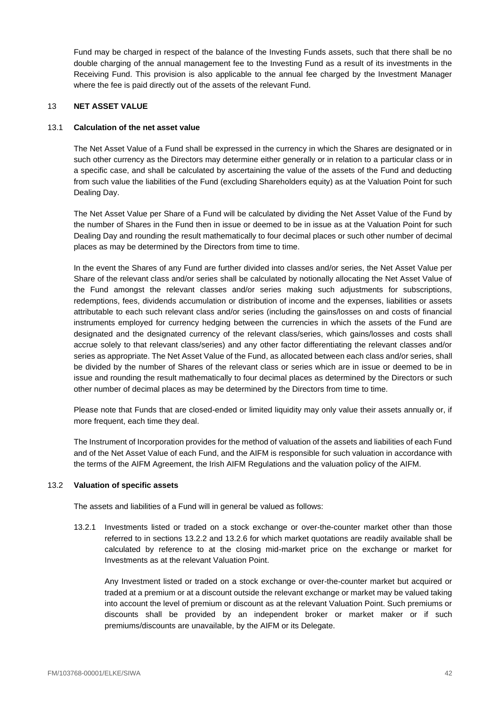Fund may be charged in respect of the balance of the Investing Funds assets, such that there shall be no double charging of the annual management fee to the Investing Fund as a result of its investments in the Receiving Fund. This provision is also applicable to the annual fee charged by the Investment Manager where the fee is paid directly out of the assets of the relevant Fund.

## <span id="page-42-0"></span>13 **NET ASSET VALUE**

## 13.1 **Calculation of the net asset value**

The Net Asset Value of a Fund shall be expressed in the currency in which the Shares are designated or in such other currency as the Directors may determine either generally or in relation to a particular class or in a specific case, and shall be calculated by ascertaining the value of the assets of the Fund and deducting from such value the liabilities of the Fund (excluding Shareholders equity) as at the Valuation Point for such Dealing Day.

The Net Asset Value per Share of a Fund will be calculated by dividing the Net Asset Value of the Fund by the number of Shares in the Fund then in issue or deemed to be in issue as at the Valuation Point for such Dealing Day and rounding the result mathematically to four decimal places or such other number of decimal places as may be determined by the Directors from time to time.

In the event the Shares of any Fund are further divided into classes and/or series, the Net Asset Value per Share of the relevant class and/or series shall be calculated by notionally allocating the Net Asset Value of the Fund amongst the relevant classes and/or series making such adjustments for subscriptions, redemptions, fees, dividends accumulation or distribution of income and the expenses, liabilities or assets attributable to each such relevant class and/or series (including the gains/losses on and costs of financial instruments employed for currency hedging between the currencies in which the assets of the Fund are designated and the designated currency of the relevant class/series, which gains/losses and costs shall accrue solely to that relevant class/series) and any other factor differentiating the relevant classes and/or series as appropriate. The Net Asset Value of the Fund, as allocated between each class and/or series, shall be divided by the number of Shares of the relevant class or series which are in issue or deemed to be in issue and rounding the result mathematically to four decimal places as determined by the Directors or such other number of decimal places as may be determined by the Directors from time to time.

Please note that Funds that are closed-ended or limited liquidity may only value their assets annually or, if more frequent, each time they deal.

The Instrument of Incorporation provides for the method of valuation of the assets and liabilities of each Fund and of the Net Asset Value of each Fund, and the AIFM is responsible for such valuation in accordance with the terms of the AIFM Agreement, the Irish AIFM Regulations and the valuation policy of the AIFM.

## 13.2 **Valuation of specific assets**

The assets and liabilities of a Fund will in general be valued as follows:

13.2.1 Investments listed or traded on a stock exchange or over-the-counter market other than those referred to in sections [13.2.2](#page-43-0) and [13.2.6](#page-43-1) for which market quotations are readily available shall be calculated by reference to at the closing mid-market price on the exchange or market for Investments as at the relevant Valuation Point.

Any Investment listed or traded on a stock exchange or over-the-counter market but acquired or traded at a premium or at a discount outside the relevant exchange or market may be valued taking into account the level of premium or discount as at the relevant Valuation Point. Such premiums or discounts shall be provided by an independent broker or market maker or if such premiums/discounts are unavailable, by the AIFM or its Delegate.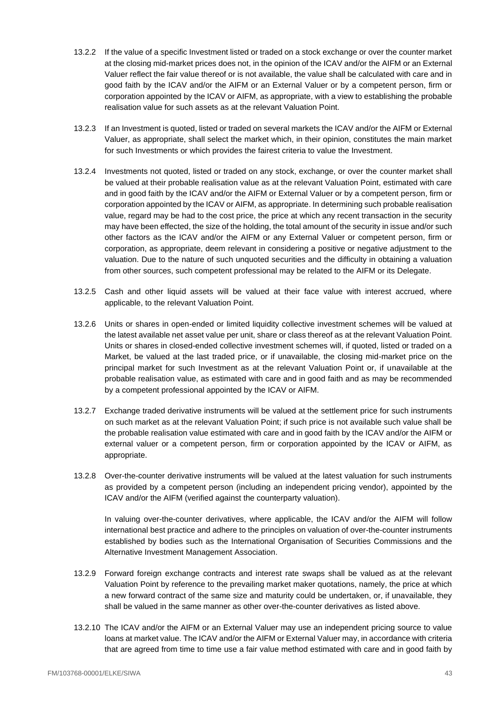- <span id="page-43-0"></span>13.2.2 If the value of a specific Investment listed or traded on a stock exchange or over the counter market at the closing mid-market prices does not, in the opinion of the ICAV and/or the AIFM or an External Valuer reflect the fair value thereof or is not available, the value shall be calculated with care and in good faith by the ICAV and/or the AIFM or an External Valuer or by a competent person, firm or corporation appointed by the ICAV or AIFM, as appropriate, with a view to establishing the probable realisation value for such assets as at the relevant Valuation Point.
- 13.2.3 If an Investment is quoted, listed or traded on several markets the ICAV and/or the AIFM or External Valuer, as appropriate, shall select the market which, in their opinion, constitutes the main market for such Investments or which provides the fairest criteria to value the Investment.
- 13.2.4 Investments not quoted, listed or traded on any stock, exchange, or over the counter market shall be valued at their probable realisation value as at the relevant Valuation Point, estimated with care and in good faith by the ICAV and/or the AIFM or External Valuer or by a competent person, firm or corporation appointed by the ICAV or AIFM, as appropriate. In determining such probable realisation value, regard may be had to the cost price, the price at which any recent transaction in the security may have been effected, the size of the holding, the total amount of the security in issue and/or such other factors as the ICAV and/or the AIFM or any External Valuer or competent person, firm or corporation, as appropriate, deem relevant in considering a positive or negative adjustment to the valuation. Due to the nature of such unquoted securities and the difficulty in obtaining a valuation from other sources, such competent professional may be related to the AIFM or its Delegate.
- 13.2.5 Cash and other liquid assets will be valued at their face value with interest accrued, where applicable, to the relevant Valuation Point.
- <span id="page-43-1"></span>13.2.6 Units or shares in open-ended or limited liquidity collective investment schemes will be valued at the latest available net asset value per unit, share or class thereof as at the relevant Valuation Point. Units or shares in closed-ended collective investment schemes will, if quoted, listed or traded on a Market, be valued at the last traded price, or if unavailable, the closing mid-market price on the principal market for such Investment as at the relevant Valuation Point or, if unavailable at the probable realisation value, as estimated with care and in good faith and as may be recommended by a competent professional appointed by the ICAV or AIFM.
- 13.2.7 Exchange traded derivative instruments will be valued at the settlement price for such instruments on such market as at the relevant Valuation Point; if such price is not available such value shall be the probable realisation value estimated with care and in good faith by the ICAV and/or the AIFM or external valuer or a competent person, firm or corporation appointed by the ICAV or AIFM, as appropriate.
- 13.2.8 Over-the-counter derivative instruments will be valued at the latest valuation for such instruments as provided by a competent person (including an independent pricing vendor), appointed by the ICAV and/or the AIFM (verified against the counterparty valuation).

In valuing over-the-counter derivatives, where applicable, the ICAV and/or the AIFM will follow international best practice and adhere to the principles on valuation of over-the-counter instruments established by bodies such as the International Organisation of Securities Commissions and the Alternative Investment Management Association.

- 13.2.9 Forward foreign exchange contracts and interest rate swaps shall be valued as at the relevant Valuation Point by reference to the prevailing market maker quotations, namely, the price at which a new forward contract of the same size and maturity could be undertaken, or, if unavailable, they shall be valued in the same manner as other over-the-counter derivatives as listed above.
- 13.2.10 The ICAV and/or the AIFM or an External Valuer may use an independent pricing source to value loans at market value. The ICAV and/or the AIFM or External Valuer may, in accordance with criteria that are agreed from time to time use a fair value method estimated with care and in good faith by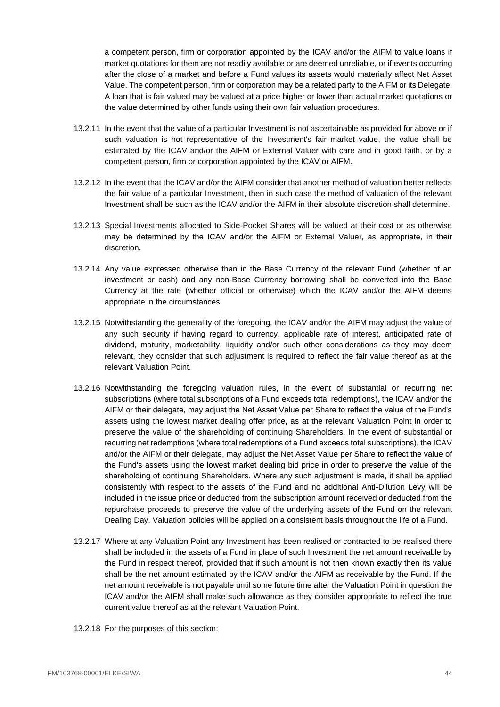a competent person, firm or corporation appointed by the ICAV and/or the AIFM to value loans if market quotations for them are not readily available or are deemed unreliable, or if events occurring after the close of a market and before a Fund values its assets would materially affect Net Asset Value. The competent person, firm or corporation may be a related party to the AIFM or its Delegate. A loan that is fair valued may be valued at a price higher or lower than actual market quotations or the value determined by other funds using their own fair valuation procedures.

- 13.2.11 In the event that the value of a particular Investment is not ascertainable as provided for above or if such valuation is not representative of the Investment's fair market value, the value shall be estimated by the ICAV and/or the AIFM or External Valuer with care and in good faith, or by a competent person, firm or corporation appointed by the ICAV or AIFM.
- 13.2.12 In the event that the ICAV and/or the AIFM consider that another method of valuation better reflects the fair value of a particular Investment, then in such case the method of valuation of the relevant Investment shall be such as the ICAV and/or the AIFM in their absolute discretion shall determine.
- 13.2.13 Special Investments allocated to Side-Pocket Shares will be valued at their cost or as otherwise may be determined by the ICAV and/or the AIFM or External Valuer, as appropriate, in their discretion.
- 13.2.14 Any value expressed otherwise than in the Base Currency of the relevant Fund (whether of an investment or cash) and any non-Base Currency borrowing shall be converted into the Base Currency at the rate (whether official or otherwise) which the ICAV and/or the AIFM deems appropriate in the circumstances.
- 13.2.15 Notwithstanding the generality of the foregoing, the ICAV and/or the AIFM may adjust the value of any such security if having regard to currency, applicable rate of interest, anticipated rate of dividend, maturity, marketability, liquidity and/or such other considerations as they may deem relevant, they consider that such adjustment is required to reflect the fair value thereof as at the relevant Valuation Point.
- 13.2.16 Notwithstanding the foregoing valuation rules, in the event of substantial or recurring net subscriptions (where total subscriptions of a Fund exceeds total redemptions), the ICAV and/or the AIFM or their delegate, may adjust the Net Asset Value per Share to reflect the value of the Fund's assets using the lowest market dealing offer price, as at the relevant Valuation Point in order to preserve the value of the shareholding of continuing Shareholders. In the event of substantial or recurring net redemptions (where total redemptions of a Fund exceeds total subscriptions), the ICAV and/or the AIFM or their delegate, may adjust the Net Asset Value per Share to reflect the value of the Fund's assets using the lowest market dealing bid price in order to preserve the value of the shareholding of continuing Shareholders. Where any such adjustment is made, it shall be applied consistently with respect to the assets of the Fund and no additional Anti-Dilution Levy will be included in the issue price or deducted from the subscription amount received or deducted from the repurchase proceeds to preserve the value of the underlying assets of the Fund on the relevant Dealing Day. Valuation policies will be applied on a consistent basis throughout the life of a Fund.
- 13.2.17 Where at any Valuation Point any Investment has been realised or contracted to be realised there shall be included in the assets of a Fund in place of such Investment the net amount receivable by the Fund in respect thereof, provided that if such amount is not then known exactly then its value shall be the net amount estimated by the ICAV and/or the AIFM as receivable by the Fund. If the net amount receivable is not payable until some future time after the Valuation Point in question the ICAV and/or the AIFM shall make such allowance as they consider appropriate to reflect the true current value thereof as at the relevant Valuation Point.
- 13.2.18 For the purposes of this section: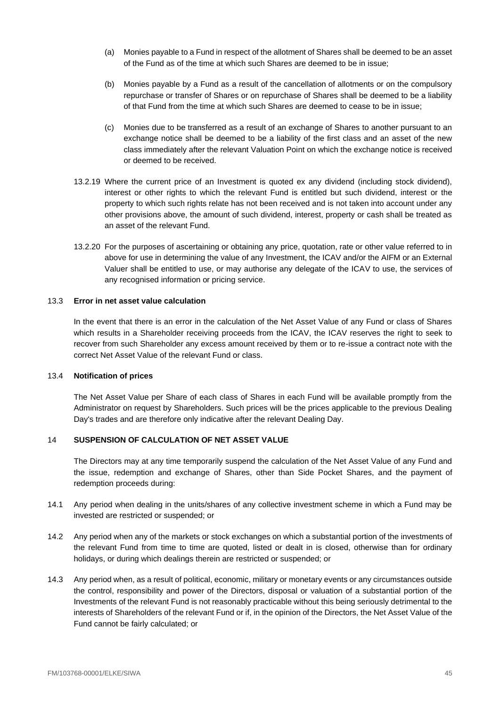- (a) Monies payable to a Fund in respect of the allotment of Shares shall be deemed to be an asset of the Fund as of the time at which such Shares are deemed to be in issue;
- (b) Monies payable by a Fund as a result of the cancellation of allotments or on the compulsory repurchase or transfer of Shares or on repurchase of Shares shall be deemed to be a liability of that Fund from the time at which such Shares are deemed to cease to be in issue;
- (c) Monies due to be transferred as a result of an exchange of Shares to another pursuant to an exchange notice shall be deemed to be a liability of the first class and an asset of the new class immediately after the relevant Valuation Point on which the exchange notice is received or deemed to be received.
- 13.2.19 Where the current price of an Investment is quoted ex any dividend (including stock dividend), interest or other rights to which the relevant Fund is entitled but such dividend, interest or the property to which such rights relate has not been received and is not taken into account under any other provisions above, the amount of such dividend, interest, property or cash shall be treated as an asset of the relevant Fund.
- 13.2.20 For the purposes of ascertaining or obtaining any price, quotation, rate or other value referred to in above for use in determining the value of any Investment, the ICAV and/or the AIFM or an External Valuer shall be entitled to use, or may authorise any delegate of the ICAV to use, the services of any recognised information or pricing service.

# 13.3 **Error in net asset value calculation**

In the event that there is an error in the calculation of the Net Asset Value of any Fund or class of Shares which results in a Shareholder receiving proceeds from the ICAV, the ICAV reserves the right to seek to recover from such Shareholder any excess amount received by them or to re-issue a contract note with the correct Net Asset Value of the relevant Fund or class.

#### 13.4 **Notification of prices**

The Net Asset Value per Share of each class of Shares in each Fund will be available promptly from the Administrator on request by Shareholders. Such prices will be the prices applicable to the previous Dealing Day's trades and are therefore only indicative after the relevant Dealing Day.

## <span id="page-45-0"></span>14 **SUSPENSION OF CALCULATION OF NET ASSET VALUE**

The Directors may at any time temporarily suspend the calculation of the Net Asset Value of any Fund and the issue, redemption and exchange of Shares, other than Side Pocket Shares, and the payment of redemption proceeds during:

- <span id="page-45-1"></span>14.1 Any period when dealing in the units/shares of any collective investment scheme in which a Fund may be invested are restricted or suspended; or
- 14.2 Any period when any of the markets or stock exchanges on which a substantial portion of the investments of the relevant Fund from time to time are quoted, listed or dealt in is closed, otherwise than for ordinary holidays, or during which dealings therein are restricted or suspended; or
- 14.3 Any period when, as a result of political, economic, military or monetary events or any circumstances outside the control, responsibility and power of the Directors, disposal or valuation of a substantial portion of the Investments of the relevant Fund is not reasonably practicable without this being seriously detrimental to the interests of Shareholders of the relevant Fund or if, in the opinion of the Directors, the Net Asset Value of the Fund cannot be fairly calculated; or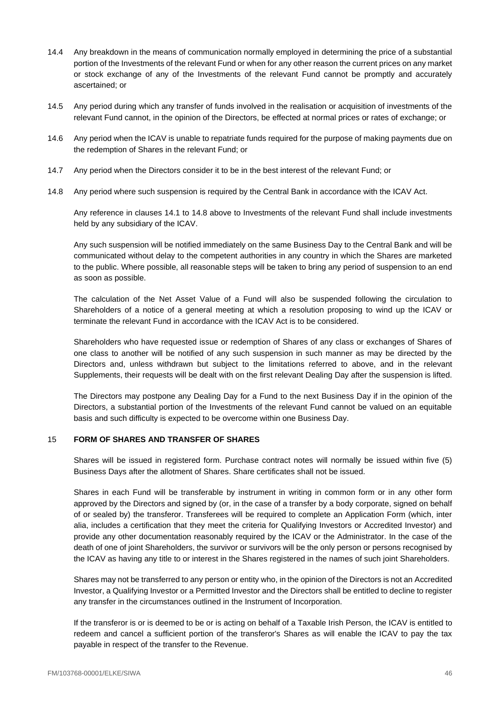- 14.4 Any breakdown in the means of communication normally employed in determining the price of a substantial portion of the Investments of the relevant Fund or when for any other reason the current prices on any market or stock exchange of any of the Investments of the relevant Fund cannot be promptly and accurately ascertained; or
- 14.5 Any period during which any transfer of funds involved in the realisation or acquisition of investments of the relevant Fund cannot, in the opinion of the Directors, be effected at normal prices or rates of exchange; or
- 14.6 Any period when the ICAV is unable to repatriate funds required for the purpose of making payments due on the redemption of Shares in the relevant Fund; or
- 14.7 Any period when the Directors consider it to be in the best interest of the relevant Fund; or
- <span id="page-46-1"></span>14.8 Any period where such suspension is required by the Central Bank in accordance with the ICAV Act.

Any reference in clauses [14.1](#page-45-1) to [14.8](#page-46-1) above to Investments of the relevant Fund shall include investments held by any subsidiary of the ICAV.

Any such suspension will be notified immediately on the same Business Day to the Central Bank and will be communicated without delay to the competent authorities in any country in which the Shares are marketed to the public. Where possible, all reasonable steps will be taken to bring any period of suspension to an end as soon as possible.

The calculation of the Net Asset Value of a Fund will also be suspended following the circulation to Shareholders of a notice of a general meeting at which a resolution proposing to wind up the ICAV or terminate the relevant Fund in accordance with the ICAV Act is to be considered.

Shareholders who have requested issue or redemption of Shares of any class or exchanges of Shares of one class to another will be notified of any such suspension in such manner as may be directed by the Directors and, unless withdrawn but subject to the limitations referred to above, and in the relevant Supplements, their requests will be dealt with on the first relevant Dealing Day after the suspension is lifted.

The Directors may postpone any Dealing Day for a Fund to the next Business Day if in the opinion of the Directors, a substantial portion of the Investments of the relevant Fund cannot be valued on an equitable basis and such difficulty is expected to be overcome within one Business Day.

## <span id="page-46-0"></span>15 **FORM OF SHARES AND TRANSFER OF SHARES**

Shares will be issued in registered form. Purchase contract notes will normally be issued within five (5) Business Days after the allotment of Shares. Share certificates shall not be issued.

Shares in each Fund will be transferable by instrument in writing in common form or in any other form approved by the Directors and signed by (or, in the case of a transfer by a body corporate, signed on behalf of or sealed by) the transferor. Transferees will be required to complete an Application Form (which, inter alia, includes a certification that they meet the criteria for Qualifying Investors or Accredited Investor) and provide any other documentation reasonably required by the ICAV or the Administrator. In the case of the death of one of joint Shareholders, the survivor or survivors will be the only person or persons recognised by the ICAV as having any title to or interest in the Shares registered in the names of such joint Shareholders.

Shares may not be transferred to any person or entity who, in the opinion of the Directors is not an Accredited Investor, a Qualifying Investor or a Permitted Investor and the Directors shall be entitled to decline to register any transfer in the circumstances outlined in the Instrument of Incorporation.

If the transferor is or is deemed to be or is acting on behalf of a Taxable Irish Person, the ICAV is entitled to redeem and cancel a sufficient portion of the transferor's Shares as will enable the ICAV to pay the tax payable in respect of the transfer to the Revenue.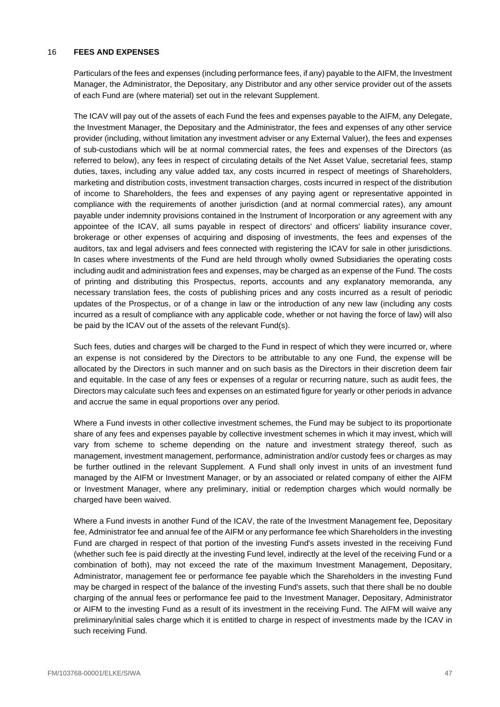### <span id="page-47-0"></span>16 **FEES AND EXPENSES**

Particulars of the fees and expenses (including performance fees, if any) payable to the AIFM, the Investment Manager, the Administrator, the Depositary, any Distributor and any other service provider out of the assets of each Fund are (where material) set out in the relevant Supplement.

The ICAV will pay out of the assets of each Fund the fees and expenses payable to the AIFM, any Delegate, the Investment Manager, the Depositary and the Administrator, the fees and expenses of any other service provider (including, without limitation any investment adviser or any External Valuer), the fees and expenses of sub-custodians which will be at normal commercial rates, the fees and expenses of the Directors (as referred to below), any fees in respect of circulating details of the Net Asset Value, secretarial fees, stamp duties, taxes, including any value added tax, any costs incurred in respect of meetings of Shareholders, marketing and distribution costs, investment transaction charges, costs incurred in respect of the distribution of income to Shareholders, the fees and expenses of any paying agent or representative appointed in compliance with the requirements of another jurisdiction (and at normal commercial rates), any amount payable under indemnity provisions contained in the Instrument of Incorporation or any agreement with any appointee of the ICAV, all sums payable in respect of directors' and officers' liability insurance cover, brokerage or other expenses of acquiring and disposing of investments, the fees and expenses of the auditors, tax and legal advisers and fees connected with registering the ICAV for sale in other jurisdictions. In cases where investments of the Fund are held through wholly owned Subsidiaries the operating costs including audit and administration fees and expenses, may be charged as an expense of the Fund. The costs of printing and distributing this Prospectus, reports, accounts and any explanatory memoranda, any necessary translation fees, the costs of publishing prices and any costs incurred as a result of periodic updates of the Prospectus, or of a change in law or the introduction of any new law (including any costs incurred as a result of compliance with any applicable code, whether or not having the force of law) will also be paid by the ICAV out of the assets of the relevant Fund(s).

Such fees, duties and charges will be charged to the Fund in respect of which they were incurred or, where an expense is not considered by the Directors to be attributable to any one Fund, the expense will be allocated by the Directors in such manner and on such basis as the Directors in their discretion deem fair and equitable. In the case of any fees or expenses of a regular or recurring nature, such as audit fees, the Directors may calculate such fees and expenses on an estimated figure for yearly or other periods in advance and accrue the same in equal proportions over any period.

Where a Fund invests in other collective investment schemes, the Fund may be subject to its proportionate share of any fees and expenses payable by collective investment schemes in which it may invest, which will vary from scheme to scheme depending on the nature and investment strategy thereof, such as management, investment management, performance, administration and/or custody fees or charges as may be further outlined in the relevant Supplement. A Fund shall only invest in units of an investment fund managed by the AIFM or Investment Manager, or by an associated or related company of either the AIFM or Investment Manager, where any preliminary, initial or redemption charges which would normally be charged have been waived.

Where a Fund invests in another Fund of the ICAV, the rate of the Investment Management fee, Depositary fee, Administrator fee and annual fee of the AIFM or any performance fee which Shareholders in the investing Fund are charged in respect of that portion of the investing Fund's assets invested in the receiving Fund (whether such fee is paid directly at the investing Fund level, indirectly at the level of the receiving Fund or a combination of both), may not exceed the rate of the maximum Investment Management, Depositary, Administrator, management fee or performance fee payable which the Shareholders in the investing Fund may be charged in respect of the balance of the investing Fund's assets, such that there shall be no double charging of the annual fees or performance fee paid to the Investment Manager, Depositary, Administrator or AIFM to the investing Fund as a result of its investment in the receiving Fund. The AIFM will waive any preliminary/initial sales charge which it is entitled to charge in respect of investments made by the ICAV in such receiving Fund.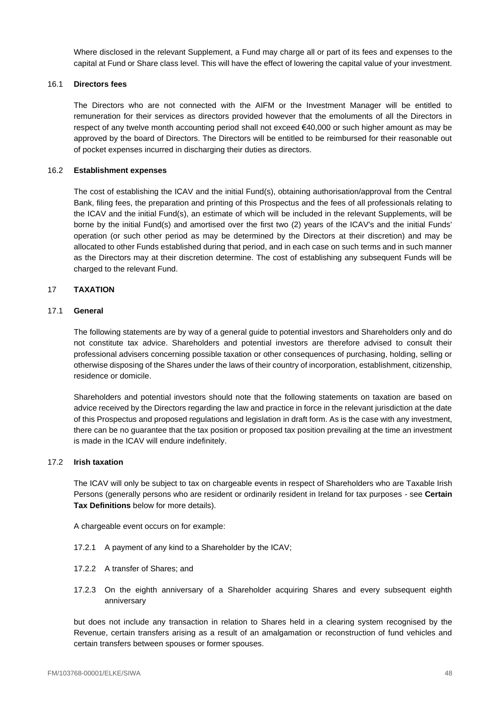Where disclosed in the relevant Supplement, a Fund may charge all or part of its fees and expenses to the capital at Fund or Share class level. This will have the effect of lowering the capital value of your investment.

### 16.1 **Directors fees**

The Directors who are not connected with the AIFM or the Investment Manager will be entitled to remuneration for their services as directors provided however that the emoluments of all the Directors in respect of any twelve month accounting period shall not exceed €40,000 or such higher amount as may be approved by the board of Directors. The Directors will be entitled to be reimbursed for their reasonable out of pocket expenses incurred in discharging their duties as directors.

### 16.2 **Establishment expenses**

The cost of establishing the ICAV and the initial Fund(s), obtaining authorisation/approval from the Central Bank, filing fees, the preparation and printing of this Prospectus and the fees of all professionals relating to the ICAV and the initial Fund(s), an estimate of which will be included in the relevant Supplements, will be borne by the initial Fund(s) and amortised over the first two (2) years of the ICAV's and the initial Funds' operation (or such other period as may be determined by the Directors at their discretion) and may be allocated to other Funds established during that period, and in each case on such terms and in such manner as the Directors may at their discretion determine. The cost of establishing any subsequent Funds will be charged to the relevant Fund.

### <span id="page-48-0"></span>17 **TAXATION**

### 17.1 **General**

The following statements are by way of a general guide to potential investors and Shareholders only and do not constitute tax advice. Shareholders and potential investors are therefore advised to consult their professional advisers concerning possible taxation or other consequences of purchasing, holding, selling or otherwise disposing of the Shares under the laws of their country of incorporation, establishment, citizenship, residence or domicile.

Shareholders and potential investors should note that the following statements on taxation are based on advice received by the Directors regarding the law and practice in force in the relevant jurisdiction at the date of this Prospectus and proposed regulations and legislation in draft form. As is the case with any investment, there can be no guarantee that the tax position or proposed tax position prevailing at the time an investment is made in the ICAV will endure indefinitely.

#### 17.2 **Irish taxation**

The ICAV will only be subject to tax on chargeable events in respect of Shareholders who are Taxable Irish Persons (generally persons who are resident or ordinarily resident in Ireland for tax purposes - see **Certain Tax Definitions** below for more details).

A chargeable event occurs on for example:

- 17.2.1 A payment of any kind to a Shareholder by the ICAV;
- 17.2.2 A transfer of Shares; and
- 17.2.3 On the eighth anniversary of a Shareholder acquiring Shares and every subsequent eighth anniversary

but does not include any transaction in relation to Shares held in a clearing system recognised by the Revenue, certain transfers arising as a result of an amalgamation or reconstruction of fund vehicles and certain transfers between spouses or former spouses.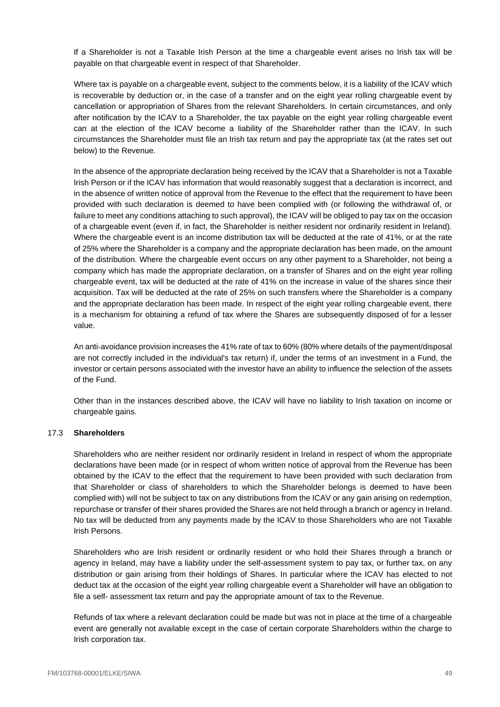If a Shareholder is not a Taxable Irish Person at the time a chargeable event arises no Irish tax will be payable on that chargeable event in respect of that Shareholder.

Where tax is payable on a chargeable event, subject to the comments below, it is a liability of the ICAV which is recoverable by deduction or, in the case of a transfer and on the eight year rolling chargeable event by cancellation or appropriation of Shares from the relevant Shareholders. In certain circumstances, and only after notification by the ICAV to a Shareholder, the tax payable on the eight year rolling chargeable event can at the election of the ICAV become a liability of the Shareholder rather than the ICAV. In such circumstances the Shareholder must file an Irish tax return and pay the appropriate tax (at the rates set out below) to the Revenue.

In the absence of the appropriate declaration being received by the ICAV that a Shareholder is not a Taxable Irish Person or if the ICAV has information that would reasonably suggest that a declaration is incorrect, and in the absence of written notice of approval from the Revenue to the effect that the requirement to have been provided with such declaration is deemed to have been complied with (or following the withdrawal of, or failure to meet any conditions attaching to such approval), the ICAV will be obliged to pay tax on the occasion of a chargeable event (even if, in fact, the Shareholder is neither resident nor ordinarily resident in Ireland). Where the chargeable event is an income distribution tax will be deducted at the rate of 41%, or at the rate of 25% where the Shareholder is a company and the appropriate declaration has been made, on the amount of the distribution. Where the chargeable event occurs on any other payment to a Shareholder, not being a company which has made the appropriate declaration, on a transfer of Shares and on the eight year rolling chargeable event, tax will be deducted at the rate of 41% on the increase in value of the shares since their acquisition. Tax will be deducted at the rate of 25% on such transfers where the Shareholder is a company and the appropriate declaration has been made. In respect of the eight year rolling chargeable event, there is a mechanism for obtaining a refund of tax where the Shares are subsequently disposed of for a lesser value.

An anti-avoidance provision increases the 41% rate of tax to 60% (80% where details of the payment/disposal are not correctly included in the individual's tax return) if, under the terms of an investment in a Fund, the investor or certain persons associated with the investor have an ability to influence the selection of the assets of the Fund.

Other than in the instances described above, the ICAV will have no liability to Irish taxation on income or chargeable gains.

## 17.3 **Shareholders**

Shareholders who are neither resident nor ordinarily resident in Ireland in respect of whom the appropriate declarations have been made (or in respect of whom written notice of approval from the Revenue has been obtained by the ICAV to the effect that the requirement to have been provided with such declaration from that Shareholder or class of shareholders to which the Shareholder belongs is deemed to have been complied with) will not be subject to tax on any distributions from the ICAV or any gain arising on redemption, repurchase or transfer of their shares provided the Shares are not held through a branch or agency in Ireland. No tax will be deducted from any payments made by the ICAV to those Shareholders who are not Taxable Irish Persons.

Shareholders who are Irish resident or ordinarily resident or who hold their Shares through a branch or agency in Ireland, may have a liability under the self-assessment system to pay tax, or further tax, on any distribution or gain arising from their holdings of Shares. In particular where the ICAV has elected to not deduct tax at the occasion of the eight year rolling chargeable event a Shareholder will have an obligation to file a self- assessment tax return and pay the appropriate amount of tax to the Revenue.

Refunds of tax where a relevant declaration could be made but was not in place at the time of a chargeable event are generally not available except in the case of certain corporate Shareholders within the charge to Irish corporation tax.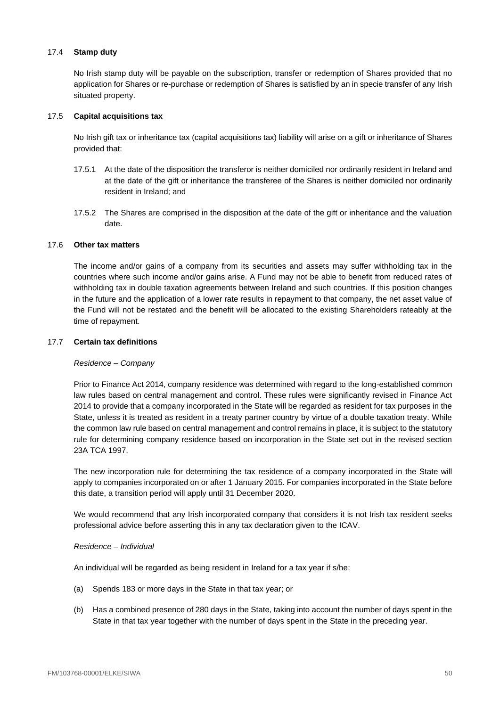## 17.4 **Stamp duty**

No Irish stamp duty will be payable on the subscription, transfer or redemption of Shares provided that no application for Shares or re-purchase or redemption of Shares is satisfied by an in specie transfer of any Irish situated property.

## 17.5 **Capital acquisitions tax**

No Irish gift tax or inheritance tax (capital acquisitions tax) liability will arise on a gift or inheritance of Shares provided that:

- 17.5.1 At the date of the disposition the transferor is neither domiciled nor ordinarily resident in Ireland and at the date of the gift or inheritance the transferee of the Shares is neither domiciled nor ordinarily resident in Ireland; and
- 17.5.2 The Shares are comprised in the disposition at the date of the gift or inheritance and the valuation date.

## 17.6 **Other tax matters**

The income and/or gains of a company from its securities and assets may suffer withholding tax in the countries where such income and/or gains arise. A Fund may not be able to benefit from reduced rates of withholding tax in double taxation agreements between Ireland and such countries. If this position changes in the future and the application of a lower rate results in repayment to that company, the net asset value of the Fund will not be restated and the benefit will be allocated to the existing Shareholders rateably at the time of repayment.

## 17.7 **Certain tax definitions**

## *Residence – Company*

Prior to Finance Act 2014, company residence was determined with regard to the long-established common law rules based on central management and control. These rules were significantly revised in Finance Act 2014 to provide that a company incorporated in the State will be regarded as resident for tax purposes in the State, unless it is treated as resident in a treaty partner country by virtue of a double taxation treaty. While the common law rule based on central management and control remains in place, it is subject to the statutory rule for determining company residence based on incorporation in the State set out in the revised section 23A TCA 1997.

The new incorporation rule for determining the tax residence of a company incorporated in the State will apply to companies incorporated on or after 1 January 2015. For companies incorporated in the State before this date, a transition period will apply until 31 December 2020.

We would recommend that any Irish incorporated company that considers it is not Irish tax resident seeks professional advice before asserting this in any tax declaration given to the ICAV.

## *Residence – Individual*

An individual will be regarded as being resident in Ireland for a tax year if s/he:

- (a) Spends 183 or more days in the State in that tax year; or
- (b) Has a combined presence of 280 days in the State, taking into account the number of days spent in the State in that tax year together with the number of days spent in the State in the preceding year.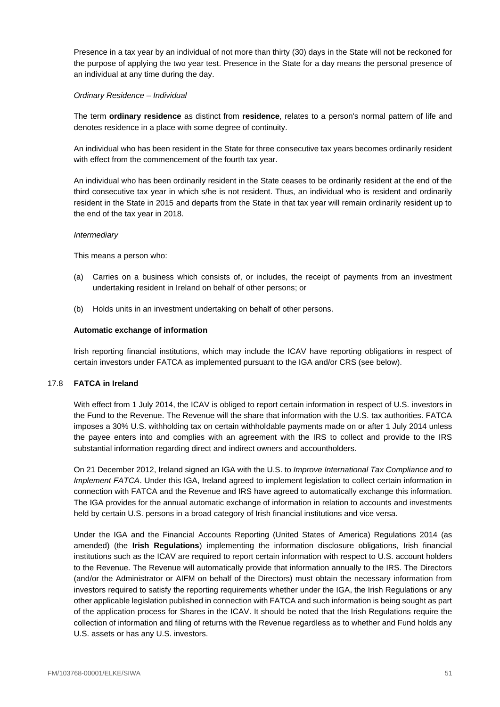Presence in a tax year by an individual of not more than thirty (30) days in the State will not be reckoned for the purpose of applying the two year test. Presence in the State for a day means the personal presence of an individual at any time during the day.

## *Ordinary Residence – Individual*

The term **ordinary residence** as distinct from **residence**, relates to a person's normal pattern of life and denotes residence in a place with some degree of continuity.

An individual who has been resident in the State for three consecutive tax years becomes ordinarily resident with effect from the commencement of the fourth tax year.

An individual who has been ordinarily resident in the State ceases to be ordinarily resident at the end of the third consecutive tax year in which s/he is not resident. Thus, an individual who is resident and ordinarily resident in the State in 2015 and departs from the State in that tax year will remain ordinarily resident up to the end of the tax year in 2018.

## *Intermediary*

This means a person who:

- (a) Carries on a business which consists of, or includes, the receipt of payments from an investment undertaking resident in Ireland on behalf of other persons; or
- (b) Holds units in an investment undertaking on behalf of other persons.

# **Automatic exchange of information**

Irish reporting financial institutions, which may include the ICAV have reporting obligations in respect of certain investors under FATCA as implemented pursuant to the IGA and/or CRS (see below).

## 17.8 **FATCA in Ireland**

With effect from 1 July 2014, the ICAV is obliged to report certain information in respect of U.S. investors in the Fund to the Revenue. The Revenue will the share that information with the U.S. tax authorities. FATCA imposes a 30% U.S. withholding tax on certain withholdable payments made on or after 1 July 2014 unless the payee enters into and complies with an agreement with the IRS to collect and provide to the IRS substantial information regarding direct and indirect owners and accountholders.

On 21 December 2012, Ireland signed an IGA with the U.S. to *Improve International Tax Compliance and to Implement FATCA*. Under this IGA, Ireland agreed to implement legislation to collect certain information in connection with FATCA and the Revenue and IRS have agreed to automatically exchange this information. The IGA provides for the annual automatic exchange of information in relation to accounts and investments held by certain U.S. persons in a broad category of Irish financial institutions and vice versa.

Under the IGA and the Financial Accounts Reporting (United States of America) Regulations 2014 (as amended) (the **Irish Regulations**) implementing the information disclosure obligations, Irish financial institutions such as the ICAV are required to report certain information with respect to U.S. account holders to the Revenue. The Revenue will automatically provide that information annually to the IRS. The Directors (and/or the Administrator or AIFM on behalf of the Directors) must obtain the necessary information from investors required to satisfy the reporting requirements whether under the IGA, the Irish Regulations or any other applicable legislation published in connection with FATCA and such information is being sought as part of the application process for Shares in the ICAV. It should be noted that the Irish Regulations require the collection of information and filing of returns with the Revenue regardless as to whether and Fund holds any U.S. assets or has any U.S. investors.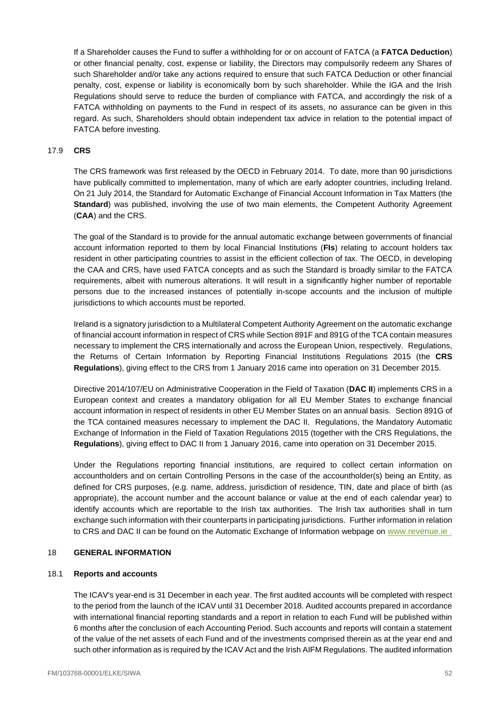If a Shareholder causes the Fund to suffer a withholding for or on account of FATCA (a **FATCA Deduction**) or other financial penalty, cost, expense or liability, the Directors may compulsorily redeem any Shares of such Shareholder and/or take any actions required to ensure that such FATCA Deduction or other financial penalty, cost, expense or liability is economically born by such shareholder. While the IGA and the Irish Regulations should serve to reduce the burden of compliance with FATCA, and accordingly the risk of a FATCA withholding on payments to the Fund in respect of its assets, no assurance can be given in this regard. As such, Shareholders should obtain independent tax advice in relation to the potential impact of FATCA before investing.

### 17.9 **CRS**

The CRS framework was first released by the OECD in February 2014. To date, more than 90 jurisdictions have publically committed to implementation, many of which are early adopter countries, including Ireland. On 21 July 2014, the Standard for Automatic Exchange of Financial Account Information in Tax Matters (the **Standard**) was published, involving the use of two main elements, the Competent Authority Agreement (**CAA**) and the CRS.

The goal of the Standard is to provide for the annual automatic exchange between governments of financial account information reported to them by local Financial Institutions (**FIs**) relating to account holders tax resident in other participating countries to assist in the efficient collection of tax. The OECD, in developing the CAA and CRS, have used FATCA concepts and as such the Standard is broadly similar to the FATCA requirements, albeit with numerous alterations. It will result in a significantly higher number of reportable persons due to the increased instances of potentially in-scope accounts and the inclusion of multiple jurisdictions to which accounts must be reported.

Ireland is a signatory jurisdiction to a Multilateral Competent Authority Agreement on the automatic exchange of financial account information in respect of CRS while Section 891F and 891G of the TCA contain measures necessary to implement the CRS internationally and across the European Union, respectively. Regulations, the Returns of Certain Information by Reporting Financial Institutions Regulations 2015 (the **CRS Regulations**), giving effect to the CRS from 1 January 2016 came into operation on 31 December 2015.

Directive 2014/107/EU on Administrative Cooperation in the Field of Taxation (**DAC II**) implements CRS in a European context and creates a mandatory obligation for all EU Member States to exchange financial account information in respect of residents in other EU Member States on an annual basis. Section 891G of the TCA contained measures necessary to implement the DAC II. Regulations, the Mandatory Automatic Exchange of Information in the Field of Taxation Regulations 2015 (together with the CRS Regulations, the **Regulations**), giving effect to DAC II from 1 January 2016, came into operation on 31 December 2015.

Under the Regulations reporting financial institutions, are required to collect certain information on accountholders and on certain Controlling Persons in the case of the accountholder(s) being an Entity, as defined for CRS purposes, (e.g. name, address, jurisdiction of residence, TIN, date and place of birth (as appropriate), the account number and the account balance or value at the end of each calendar year) to identify accounts which are reportable to the Irish tax authorities. The Irish tax authorities shall in turn exchange such information with their counterparts in participating jurisdictions. Further information in relation to CRS and DAC II can be found on the Automatic Exchange of Information webpage on [www.revenue.ie](http://www.revenue.ie/).

#### <span id="page-52-0"></span>18 **GENERAL INFORMATION**

#### 18.1 **Reports and accounts**

The ICAV's year-end is 31 December in each year. The first audited accounts will be completed with respect to the period from the launch of the ICAV until 31 December 2018. Audited accounts prepared in accordance with international financial reporting standards and a report in relation to each Fund will be published within 6 months after the conclusion of each Accounting Period. Such accounts and reports will contain a statement of the value of the net assets of each Fund and of the investments comprised therein as at the year end and such other information as is required by the ICAV Act and the Irish AIFM Regulations. The audited information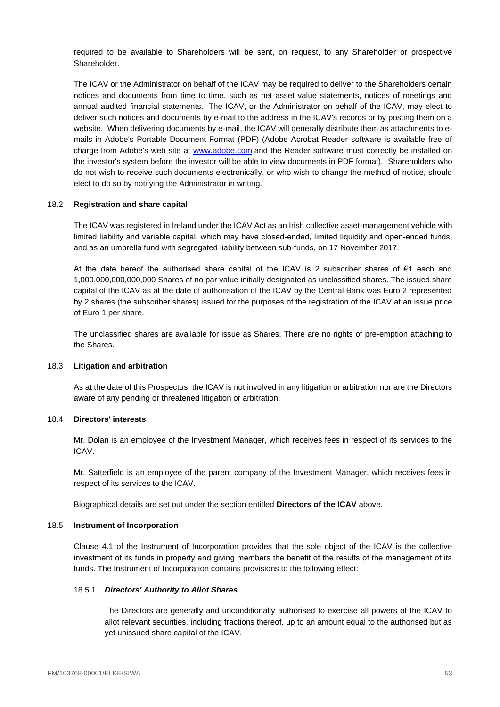required to be available to Shareholders will be sent, on request, to any Shareholder or prospective Shareholder.

The ICAV or the Administrator on behalf of the ICAV may be required to deliver to the Shareholders certain notices and documents from time to time, such as net asset value statements, notices of meetings and annual audited financial statements. The ICAV, or the Administrator on behalf of the ICAV, may elect to deliver such notices and documents by e-mail to the address in the ICAV's records or by posting them on a website. When delivering documents by e-mail, the ICAV will generally distribute them as attachments to emails in Adobe's Portable Document Format (PDF) (Adobe Acrobat Reader software is available free of charge from Adobe's web site at [www.adobe.com](http://www.adobe.com/) and the Reader software must correctly be installed on the investor's system before the investor will be able to view documents in PDF format). Shareholders who do not wish to receive such documents electronically, or who wish to change the method of notice, should elect to do so by notifying the Administrator in writing.

## 18.2 **Registration and share capital**

The ICAV was registered in Ireland under the ICAV Act as an Irish collective asset-management vehicle with limited liability and variable capital, which may have closed-ended, limited liquidity and open-ended funds, and as an umbrella fund with segregated liability between sub-funds, on 17 November 2017.

At the date hereof the authorised share capital of the ICAV is 2 subscriber shares of €1 each and 1,000,000,000,000,000 Shares of no par value initially designated as unclassified shares. The issued share capital of the ICAV as at the date of authorisation of the ICAV by the Central Bank was Euro 2 represented by 2 shares (the subscriber shares) issued for the purposes of the registration of the ICAV at an issue price of Euro 1 per share.

The unclassified shares are available for issue as Shares. There are no rights of pre-emption attaching to the Shares.

## 18.3 **Litigation and arbitration**

As at the date of this Prospectus, the ICAV is not involved in any litigation or arbitration nor are the Directors aware of any pending or threatened litigation or arbitration.

## 18.4 **Directors' interests**

Mr. Dolan is an employee of the Investment Manager, which receives fees in respect of its services to the ICAV.

Mr. Satterfield is an employee of the parent company of the Investment Manager, which receives fees in respect of its services to the ICAV.

Biographical details are set out under the section entitled **Directors of the ICAV** above.

#### 18.5 **Instrument of Incorporation**

Clause [4.1](#page-16-1) of the Instrument of Incorporation provides that the sole object of the ICAV is the collective investment of its funds in property and giving members the benefit of the results of the management of its funds. The Instrument of Incorporation contains provisions to the following effect:

## 18.5.1 *Directors' Authority to Allot Shares*

The Directors are generally and unconditionally authorised to exercise all powers of the ICAV to allot relevant securities, including fractions thereof, up to an amount equal to the authorised but as yet unissued share capital of the ICAV.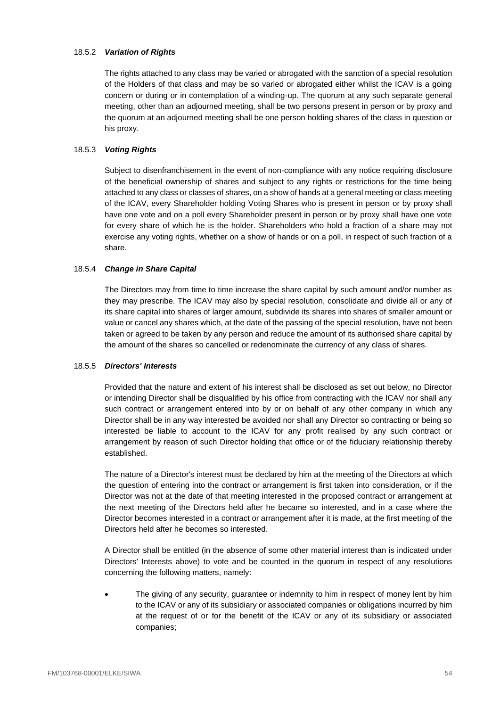## 18.5.2 *Variation of Rights*

The rights attached to any class may be varied or abrogated with the sanction of a special resolution of the Holders of that class and may be so varied or abrogated either whilst the ICAV is a going concern or during or in contemplation of a winding-up. The quorum at any such separate general meeting, other than an adjourned meeting, shall be two persons present in person or by proxy and the quorum at an adjourned meeting shall be one person holding shares of the class in question or his proxy.

# 18.5.3 *Voting Rights*

Subject to disenfranchisement in the event of non-compliance with any notice requiring disclosure of the beneficial ownership of shares and subject to any rights or restrictions for the time being attached to any class or classes of shares, on a show of hands at a general meeting or class meeting of the ICAV, every Shareholder holding Voting Shares who is present in person or by proxy shall have one vote and on a poll every Shareholder present in person or by proxy shall have one vote for every share of which he is the holder. Shareholders who hold a fraction of a share may not exercise any voting rights, whether on a show of hands or on a poll, in respect of such fraction of a share.

## 18.5.4 *Change in Share Capital*

The Directors may from time to time increase the share capital by such amount and/or number as they may prescribe. The ICAV may also by special resolution, consolidate and divide all or any of its share capital into shares of larger amount, subdivide its shares into shares of smaller amount or value or cancel any shares which, at the date of the passing of the special resolution, have not been taken or agreed to be taken by any person and reduce the amount of its authorised share capital by the amount of the shares so cancelled or redenominate the currency of any class of shares.

## 18.5.5 *Directors' Interests*

Provided that the nature and extent of his interest shall be disclosed as set out below, no Director or intending Director shall be disqualified by his office from contracting with the ICAV nor shall any such contract or arrangement entered into by or on behalf of any other company in which any Director shall be in any way interested be avoided nor shall any Director so contracting or being so interested be liable to account to the ICAV for any profit realised by any such contract or arrangement by reason of such Director holding that office or of the fiduciary relationship thereby established.

The nature of a Director's interest must be declared by him at the meeting of the Directors at which the question of entering into the contract or arrangement is first taken into consideration, or if the Director was not at the date of that meeting interested in the proposed contract or arrangement at the next meeting of the Directors held after he became so interested, and in a case where the Director becomes interested in a contract or arrangement after it is made, at the first meeting of the Directors held after he becomes so interested.

A Director shall be entitled (in the absence of some other material interest than is indicated under Directors' Interests above) to vote and be counted in the quorum in respect of any resolutions concerning the following matters, namely:

• The giving of any security, guarantee or indemnity to him in respect of money lent by him to the ICAV or any of its subsidiary or associated companies or obligations incurred by him at the request of or for the benefit of the ICAV or any of its subsidiary or associated companies;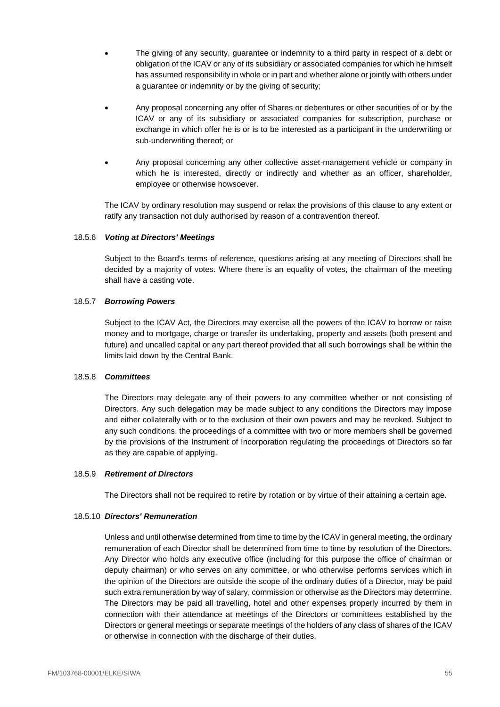- The giving of any security, guarantee or indemnity to a third party in respect of a debt or obligation of the ICAV or any of its subsidiary or associated companies for which he himself has assumed responsibility in whole or in part and whether alone or jointly with others under a guarantee or indemnity or by the giving of security;
- Any proposal concerning any offer of Shares or debentures or other securities of or by the ICAV or any of its subsidiary or associated companies for subscription, purchase or exchange in which offer he is or is to be interested as a participant in the underwriting or sub-underwriting thereof; or
- Any proposal concerning any other collective asset-management vehicle or company in which he is interested, directly or indirectly and whether as an officer, shareholder, employee or otherwise howsoever.

The ICAV by ordinary resolution may suspend or relax the provisions of this clause to any extent or ratify any transaction not duly authorised by reason of a contravention thereof.

## 18.5.6 *Voting at Directors' Meetings*

Subject to the Board's terms of reference, questions arising at any meeting of Directors shall be decided by a majority of votes. Where there is an equality of votes, the chairman of the meeting shall have a casting vote.

## 18.5.7 *Borrowing Powers*

Subject to the ICAV Act, the Directors may exercise all the powers of the ICAV to borrow or raise money and to mortgage, charge or transfer its undertaking, property and assets (both present and future) and uncalled capital or any part thereof provided that all such borrowings shall be within the limits laid down by the Central Bank.

## 18.5.8 *Committees*

The Directors may delegate any of their powers to any committee whether or not consisting of Directors. Any such delegation may be made subject to any conditions the Directors may impose and either collaterally with or to the exclusion of their own powers and may be revoked. Subject to any such conditions, the proceedings of a committee with two or more members shall be governed by the provisions of the Instrument of Incorporation regulating the proceedings of Directors so far as they are capable of applying.

## 18.5.9 *Retirement of Directors*

The Directors shall not be required to retire by rotation or by virtue of their attaining a certain age.

#### 18.5.10 *Directors' Remuneration*

Unless and until otherwise determined from time to time by the ICAV in general meeting, the ordinary remuneration of each Director shall be determined from time to time by resolution of the Directors. Any Director who holds any executive office (including for this purpose the office of chairman or deputy chairman) or who serves on any committee, or who otherwise performs services which in the opinion of the Directors are outside the scope of the ordinary duties of a Director, may be paid such extra remuneration by way of salary, commission or otherwise as the Directors may determine. The Directors may be paid all travelling, hotel and other expenses properly incurred by them in connection with their attendance at meetings of the Directors or committees established by the Directors or general meetings or separate meetings of the holders of any class of shares of the ICAV or otherwise in connection with the discharge of their duties.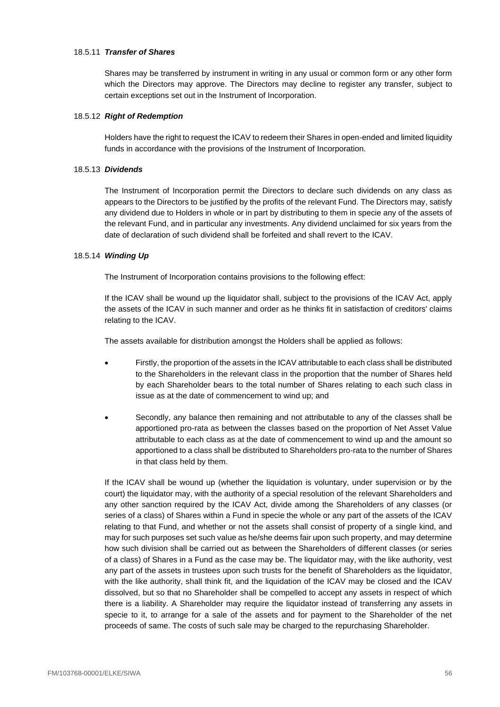### 18.5.11 *Transfer of Shares*

Shares may be transferred by instrument in writing in any usual or common form or any other form which the Directors may approve. The Directors may decline to register any transfer, subject to certain exceptions set out in the Instrument of Incorporation.

### 18.5.12 *Right of Redemption*

Holders have the right to request the ICAV to redeem their Shares in open-ended and limited liquidity funds in accordance with the provisions of the Instrument of Incorporation.

### 18.5.13 *Dividends*

The Instrument of Incorporation permit the Directors to declare such dividends on any class as appears to the Directors to be justified by the profits of the relevant Fund. The Directors may, satisfy any dividend due to Holders in whole or in part by distributing to them in specie any of the assets of the relevant Fund, and in particular any investments. Any dividend unclaimed for six years from the date of declaration of such dividend shall be forfeited and shall revert to the ICAV.

### 18.5.14 *Winding Up*

The Instrument of Incorporation contains provisions to the following effect:

If the ICAV shall be wound up the liquidator shall, subject to the provisions of the ICAV Act, apply the assets of the ICAV in such manner and order as he thinks fit in satisfaction of creditors' claims relating to the ICAV.

The assets available for distribution amongst the Holders shall be applied as follows:

- Firstly, the proportion of the assets in the ICAV attributable to each class shall be distributed to the Shareholders in the relevant class in the proportion that the number of Shares held by each Shareholder bears to the total number of Shares relating to each such class in issue as at the date of commencement to wind up; and
- Secondly, any balance then remaining and not attributable to any of the classes shall be apportioned pro-rata as between the classes based on the proportion of Net Asset Value attributable to each class as at the date of commencement to wind up and the amount so apportioned to a class shall be distributed to Shareholders pro-rata to the number of Shares in that class held by them.

If the ICAV shall be wound up (whether the liquidation is voluntary, under supervision or by the court) the liquidator may, with the authority of a special resolution of the relevant Shareholders and any other sanction required by the ICAV Act, divide among the Shareholders of any classes (or series of a class) of Shares within a Fund in specie the whole or any part of the assets of the ICAV relating to that Fund, and whether or not the assets shall consist of property of a single kind, and may for such purposes set such value as he/she deems fair upon such property, and may determine how such division shall be carried out as between the Shareholders of different classes (or series of a class) of Shares in a Fund as the case may be. The liquidator may, with the like authority, vest any part of the assets in trustees upon such trusts for the benefit of Shareholders as the liquidator, with the like authority, shall think fit, and the liquidation of the ICAV may be closed and the ICAV dissolved, but so that no Shareholder shall be compelled to accept any assets in respect of which there is a liability. A Shareholder may require the liquidator instead of transferring any assets in specie to it, to arrange for a sale of the assets and for payment to the Shareholder of the net proceeds of same. The costs of such sale may be charged to the repurchasing Shareholder.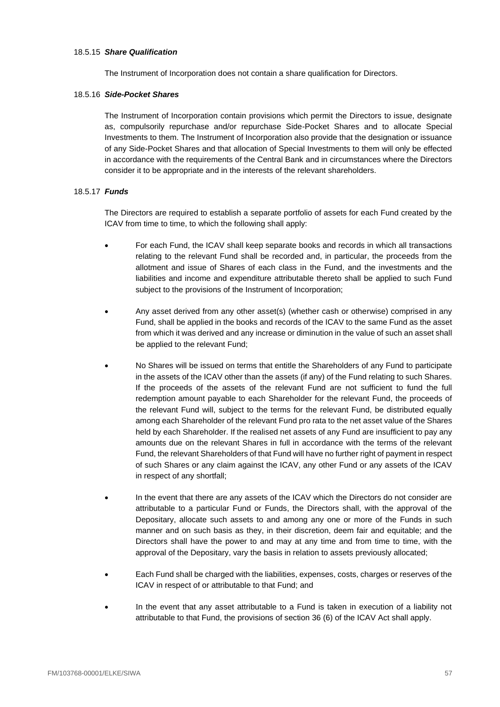### 18.5.15 *Share Qualification*

The Instrument of Incorporation does not contain a share qualification for Directors.

### 18.5.16 *Side-Pocket Shares*

The Instrument of Incorporation contain provisions which permit the Directors to issue, designate as, compulsorily repurchase and/or repurchase Side-Pocket Shares and to allocate Special Investments to them. The Instrument of Incorporation also provide that the designation or issuance of any Side-Pocket Shares and that allocation of Special Investments to them will only be effected in accordance with the requirements of the Central Bank and in circumstances where the Directors consider it to be appropriate and in the interests of the relevant shareholders.

### 18.5.17 *Funds*

The Directors are required to establish a separate portfolio of assets for each Fund created by the ICAV from time to time, to which the following shall apply:

- For each Fund, the ICAV shall keep separate books and records in which all transactions relating to the relevant Fund shall be recorded and, in particular, the proceeds from the allotment and issue of Shares of each class in the Fund, and the investments and the liabilities and income and expenditure attributable thereto shall be applied to such Fund subject to the provisions of the Instrument of Incorporation;
- Any asset derived from any other asset(s) (whether cash or otherwise) comprised in any Fund, shall be applied in the books and records of the ICAV to the same Fund as the asset from which it was derived and any increase or diminution in the value of such an asset shall be applied to the relevant Fund;
- No Shares will be issued on terms that entitle the Shareholders of any Fund to participate in the assets of the ICAV other than the assets (if any) of the Fund relating to such Shares. If the proceeds of the assets of the relevant Fund are not sufficient to fund the full redemption amount payable to each Shareholder for the relevant Fund, the proceeds of the relevant Fund will, subject to the terms for the relevant Fund, be distributed equally among each Shareholder of the relevant Fund pro rata to the net asset value of the Shares held by each Shareholder. If the realised net assets of any Fund are insufficient to pay any amounts due on the relevant Shares in full in accordance with the terms of the relevant Fund, the relevant Shareholders of that Fund will have no further right of payment in respect of such Shares or any claim against the ICAV, any other Fund or any assets of the ICAV in respect of any shortfall;
- In the event that there are any assets of the ICAV which the Directors do not consider are attributable to a particular Fund or Funds, the Directors shall, with the approval of the Depositary, allocate such assets to and among any one or more of the Funds in such manner and on such basis as they, in their discretion, deem fair and equitable; and the Directors shall have the power to and may at any time and from time to time, with the approval of the Depositary, vary the basis in relation to assets previously allocated;
- Each Fund shall be charged with the liabilities, expenses, costs, charges or reserves of the ICAV in respect of or attributable to that Fund; and
- In the event that any asset attributable to a Fund is taken in execution of a liability not attributable to that Fund, the provisions of section 36 (6) of the ICAV Act shall apply.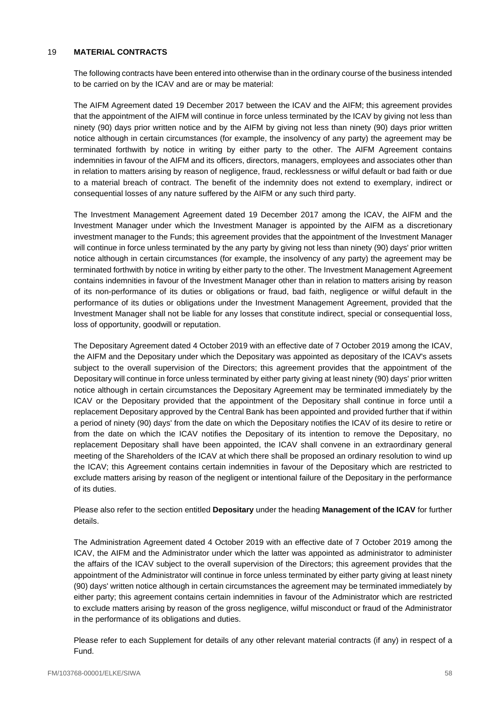### <span id="page-58-0"></span>19 **MATERIAL CONTRACTS**

The following contracts have been entered into otherwise than in the ordinary course of the business intended to be carried on by the ICAV and are or may be material:

The AIFM Agreement dated 19 December 2017 between the ICAV and the AIFM; this agreement provides that the appointment of the AIFM will continue in force unless terminated by the ICAV by giving not less than ninety (90) days prior written notice and by the AIFM by giving not less than ninety (90) days prior written notice although in certain circumstances (for example, the insolvency of any party) the agreement may be terminated forthwith by notice in writing by either party to the other. The AIFM Agreement contains indemnities in favour of the AIFM and its officers, directors, managers, employees and associates other than in relation to matters arising by reason of negligence, fraud, recklessness or wilful default or bad faith or due to a material breach of contract. The benefit of the indemnity does not extend to exemplary, indirect or consequential losses of any nature suffered by the AIFM or any such third party.

The Investment Management Agreement dated 19 December 2017 among the ICAV, the AIFM and the Investment Manager under which the Investment Manager is appointed by the AIFM as a discretionary investment manager to the Funds; this agreement provides that the appointment of the Investment Manager will continue in force unless terminated by the any party by giving not less than ninety (90) days' prior written notice although in certain circumstances (for example, the insolvency of any party) the agreement may be terminated forthwith by notice in writing by either party to the other. The Investment Management Agreement contains indemnities in favour of the Investment Manager other than in relation to matters arising by reason of its non-performance of its duties or obligations or fraud, bad faith, negligence or wilful default in the performance of its duties or obligations under the Investment Management Agreement, provided that the Investment Manager shall not be liable for any losses that constitute indirect, special or consequential loss, loss of opportunity, goodwill or reputation.

The Depositary Agreement dated 4 October 2019 with an effective date of 7 October 2019 among the ICAV, the AIFM and the Depositary under which the Depositary was appointed as depositary of the ICAV's assets subject to the overall supervision of the Directors; this agreement provides that the appointment of the Depositary will continue in force unless terminated by either party giving at least ninety (90) days' prior written notice although in certain circumstances the Depositary Agreement may be terminated immediately by the ICAV or the Depositary provided that the appointment of the Depositary shall continue in force until a replacement Depositary approved by the Central Bank has been appointed and provided further that if within a period of ninety (90) days' from the date on which the Depositary notifies the ICAV of its desire to retire or from the date on which the ICAV notifies the Depositary of its intention to remove the Depositary, no replacement Depositary shall have been appointed, the ICAV shall convene in an extraordinary general meeting of the Shareholders of the ICAV at which there shall be proposed an ordinary resolution to wind up the ICAV; this Agreement contains certain indemnities in favour of the Depositary which are restricted to exclude matters arising by reason of the negligent or intentional failure of the Depositary in the performance of its duties.

Please also refer to the section entitled **Depositary** under the heading **Management of the ICAV** for further details.

The Administration Agreement dated 4 October 2019 with an effective date of 7 October 2019 among the ICAV, the AIFM and the Administrator under which the latter was appointed as administrator to administer the affairs of the ICAV subject to the overall supervision of the Directors; this agreement provides that the appointment of the Administrator will continue in force unless terminated by either party giving at least ninety (90) days' written notice although in certain circumstances the agreement may be terminated immediately by either party; this agreement contains certain indemnities in favour of the Administrator which are restricted to exclude matters arising by reason of the gross negligence, wilful misconduct or fraud of the Administrator in the performance of its obligations and duties.

Please refer to each Supplement for details of any other relevant material contracts (if any) in respect of a Fund.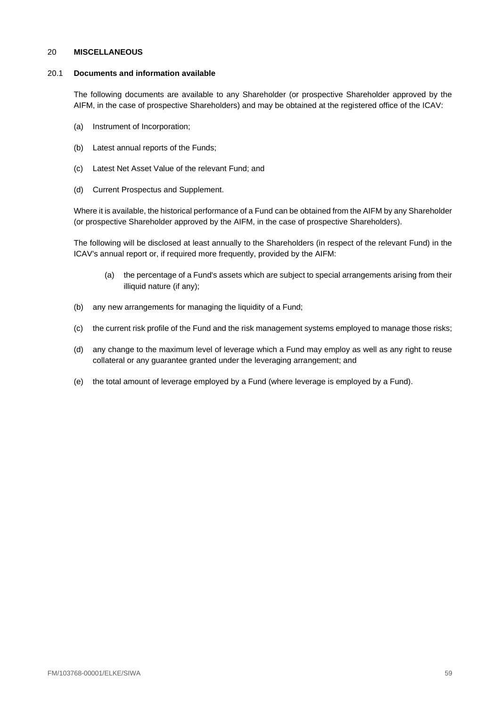### <span id="page-59-0"></span>20 **MISCELLANEOUS**

### 20.1 **Documents and information available**

The following documents are available to any Shareholder (or prospective Shareholder approved by the AIFM, in the case of prospective Shareholders) and may be obtained at the registered office of the ICAV:

- (a) Instrument of Incorporation;
- (b) Latest annual reports of the Funds;
- (c) Latest Net Asset Value of the relevant Fund; and
- (d) Current Prospectus and Supplement.

Where it is available, the historical performance of a Fund can be obtained from the AIFM by any Shareholder (or prospective Shareholder approved by the AIFM, in the case of prospective Shareholders).

The following will be disclosed at least annually to the Shareholders (in respect of the relevant Fund) in the ICAV's annual report or, if required more frequently, provided by the AIFM:

- (a) the percentage of a Fund's assets which are subject to special arrangements arising from their illiquid nature (if any);
- (b) any new arrangements for managing the liquidity of a Fund;
- (c) the current risk profile of the Fund and the risk management systems employed to manage those risks;
- (d) any change to the maximum level of leverage which a Fund may employ as well as any right to reuse collateral or any guarantee granted under the leveraging arrangement; and
- (e) the total amount of leverage employed by a Fund (where leverage is employed by a Fund).